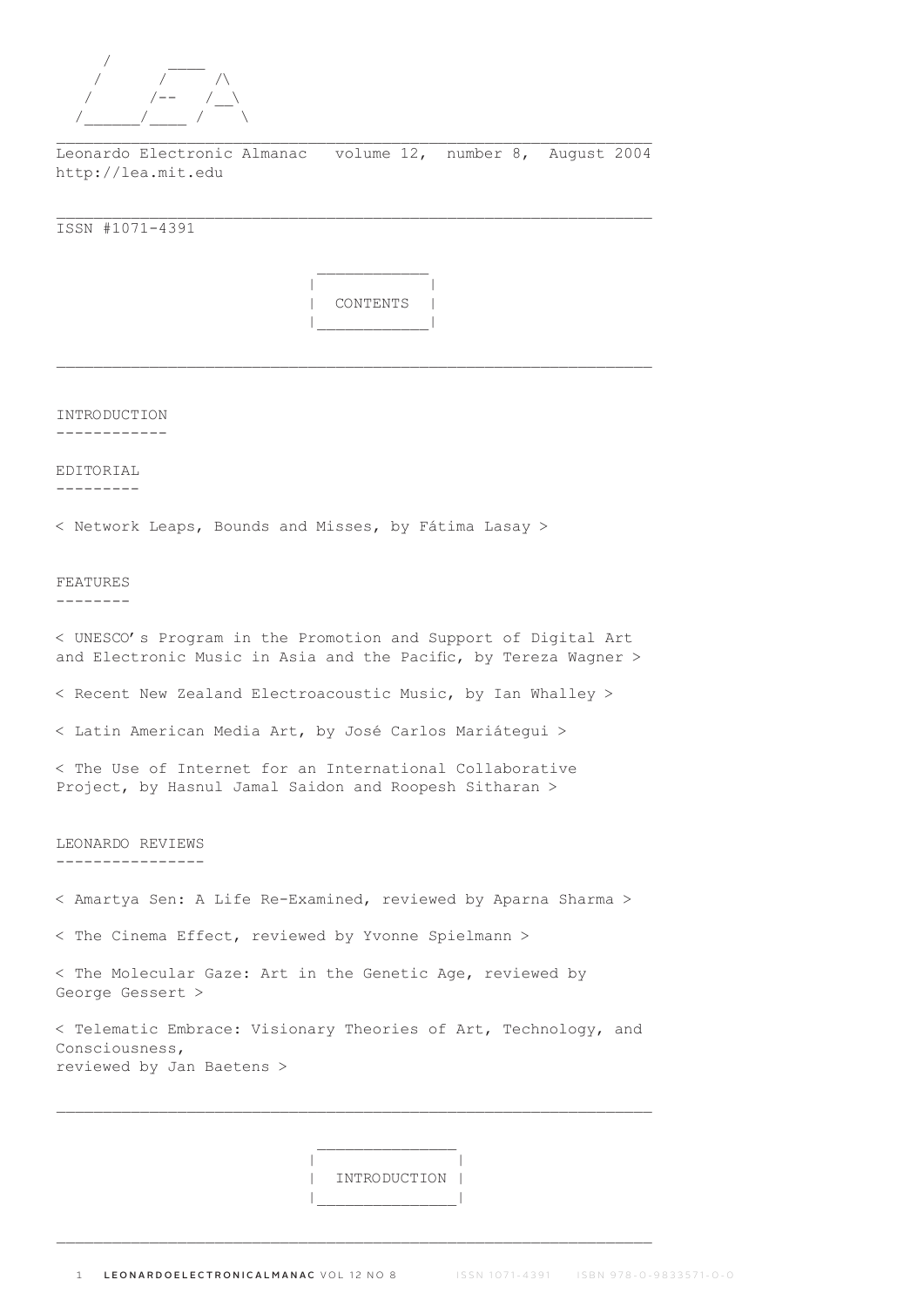

Leonardo Electronic Almanac volume 12, number 8, August 2004 http://lea.mit.edu

\_\_\_\_\_\_\_\_\_\_\_\_\_\_\_\_\_\_\_\_\_\_\_\_\_\_\_\_\_\_\_\_\_\_\_\_\_\_\_\_\_\_\_\_\_\_\_\_\_\_\_\_\_\_\_\_\_\_\_\_\_\_\_\_

ISSN #1071-4391

 | | | CONTENTS | |\_\_\_\_\_\_\_\_\_\_\_\_|

 $\mathcal{L}_\text{max}$ 

INTRODUCTION ------------

EDITORIAL ---------

< Network Leaps, Bounds and Misses, by Fátima Lasay >

 $\mathcal{L}_\text{max}$  and  $\mathcal{L}_\text{max}$  and  $\mathcal{L}_\text{max}$  and  $\mathcal{L}_\text{max}$ 

FEATURES

--------

< UNESCO's Program in the Promotion and Support of Digital Art and Electronic Music in Asia and the Pacific, by Tereza Wagner >

< Recent New Zealand Electroacoustic Music, by Ian Whalley >

< Latin American Media Art, by José Carlos Mariátegui >

< The Use of Internet for an International Collaborative Project, by Hasnul Jamal Saidon and Roopesh Sitharan >

LEONARDO REVIEWS ----------------

< Amartya Sen: A Life Re-Examined, reviewed by Aparna Sharma >

< The Cinema Effect, reviewed by Yvonne Spielmann >

< The Molecular Gaze: Art in the Genetic Age, reviewed by George Gessert >

< Telematic Embrace: Visionary Theories of Art, Technology, and Consciousness, reviewed by Jan Baetens >

 | | | INTRODUCTION | |\_\_\_\_\_\_\_\_\_\_\_\_\_\_\_|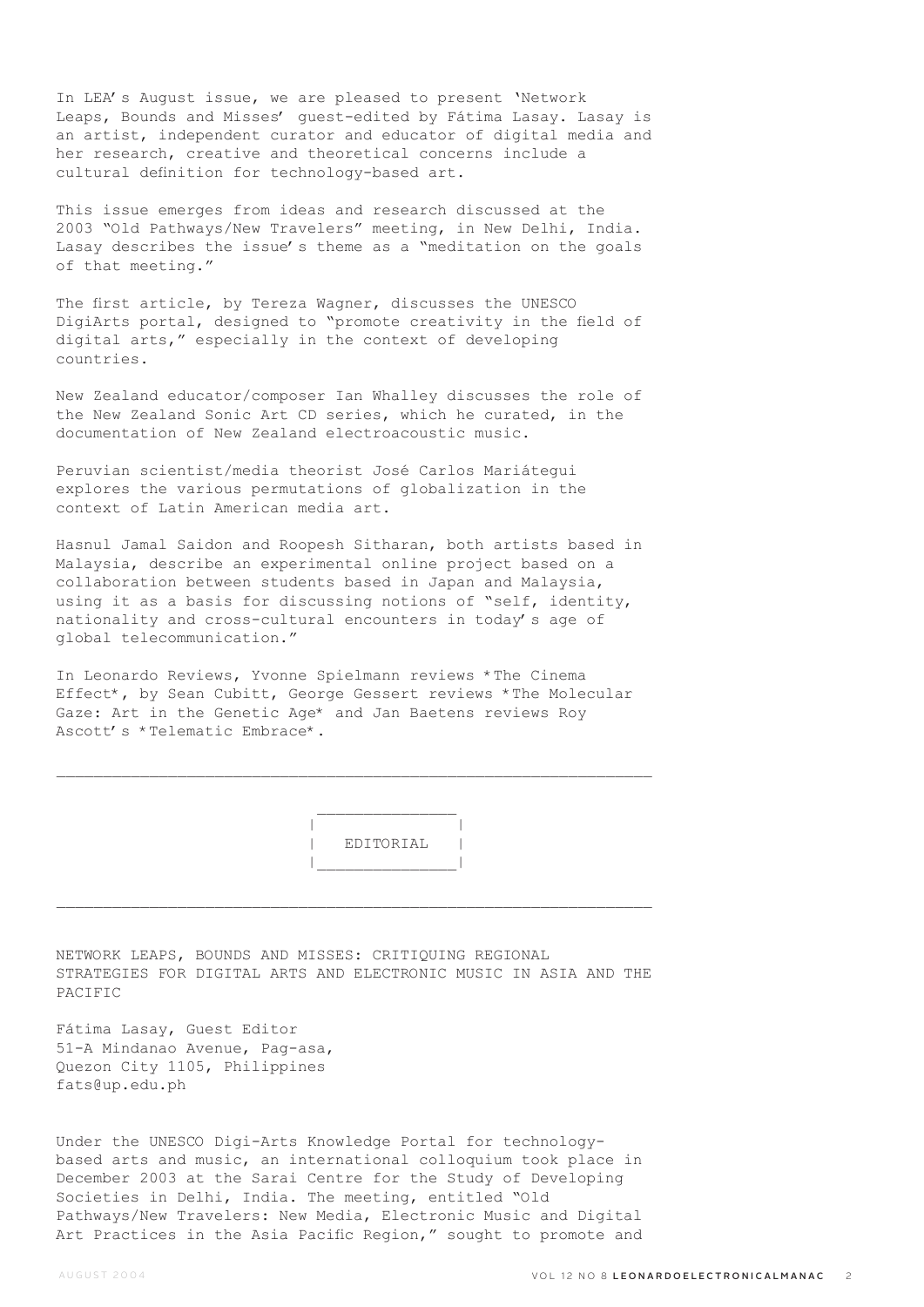In LEA's August issue, we are pleased to present 'Network Leaps, Bounds and Misses' guest-edited by Fátima Lasay. Lasay is an artist, independent curator and educator of digital media and her research, creative and theoretical concerns include a cultural definition for technology-based art.

This issue emerges from ideas and research discussed at the 2003 "Old Pathways/New Travelers" meeting, in New Delhi, India. Lasay describes the issue's theme as a "meditation on the goals of that meeting."

The first article, by Tereza Wagner, discusses the UNESCO DigiArts portal, designed to "promote creativity in the field of digital arts," especially in the context of developing countries.

New Zealand educator/composer Ian Whalley discusses the role of the New Zealand Sonic Art CD series, which he curated, in the documentation of New Zealand electroacoustic music.

Peruvian scientist/media theorist José Carlos Mariátegui explores the various permutations of globalization in the context of Latin American media art.

Hasnul Jamal Saidon and Roopesh Sitharan, both artists based in Malaysia, describe an experimental online project based on a collaboration between students based in Japan and Malaysia, using it as a basis for discussing notions of "self, identity, nationality and cross-cultural encounters in today's age of global telecommunication."

In Leonardo Reviews, Yvonne Spielmann reviews \*The Cinema Effect\*, by Sean Cubitt, George Gessert reviews \*The Molecular Gaze: Art in the Genetic Age\* and Jan Baetens reviews Roy Ascott's \*Telematic Embrace\*.

 $\mathcal{L}_\text{max}$ 

 $\mathcal{L}_\text{max}$  and  $\mathcal{L}_\text{max}$  and  $\mathcal{L}_\text{max}$  and  $\mathcal{L}_\text{max}$ 

 | | | EDITORIAL | |\_\_\_\_\_\_\_\_\_\_\_\_\_\_\_|

NETWORK LEAPS, BOUNDS AND MISSES: CRITIQUING REGIONAL STRATEGIES FOR DIGITAL ARTS AND ELECTRONIC MUSIC IN ASIA AND THE PACIFIC

Fátima Lasay, Guest Editor 51-A Mindanao Avenue, Pag-asa, Quezon City 1105, Philippines fats@up.edu.ph

Under the UNESCO Digi-Arts Knowledge Portal for technologybased arts and music, an international colloquium took place in December 2003 at the Sarai Centre for the Study of Developing Societies in Delhi, India. The meeting, entitled "Old Pathways/New Travelers: New Media, Electronic Music and Digital Art Practices in the Asia Pacific Region," sought to promote and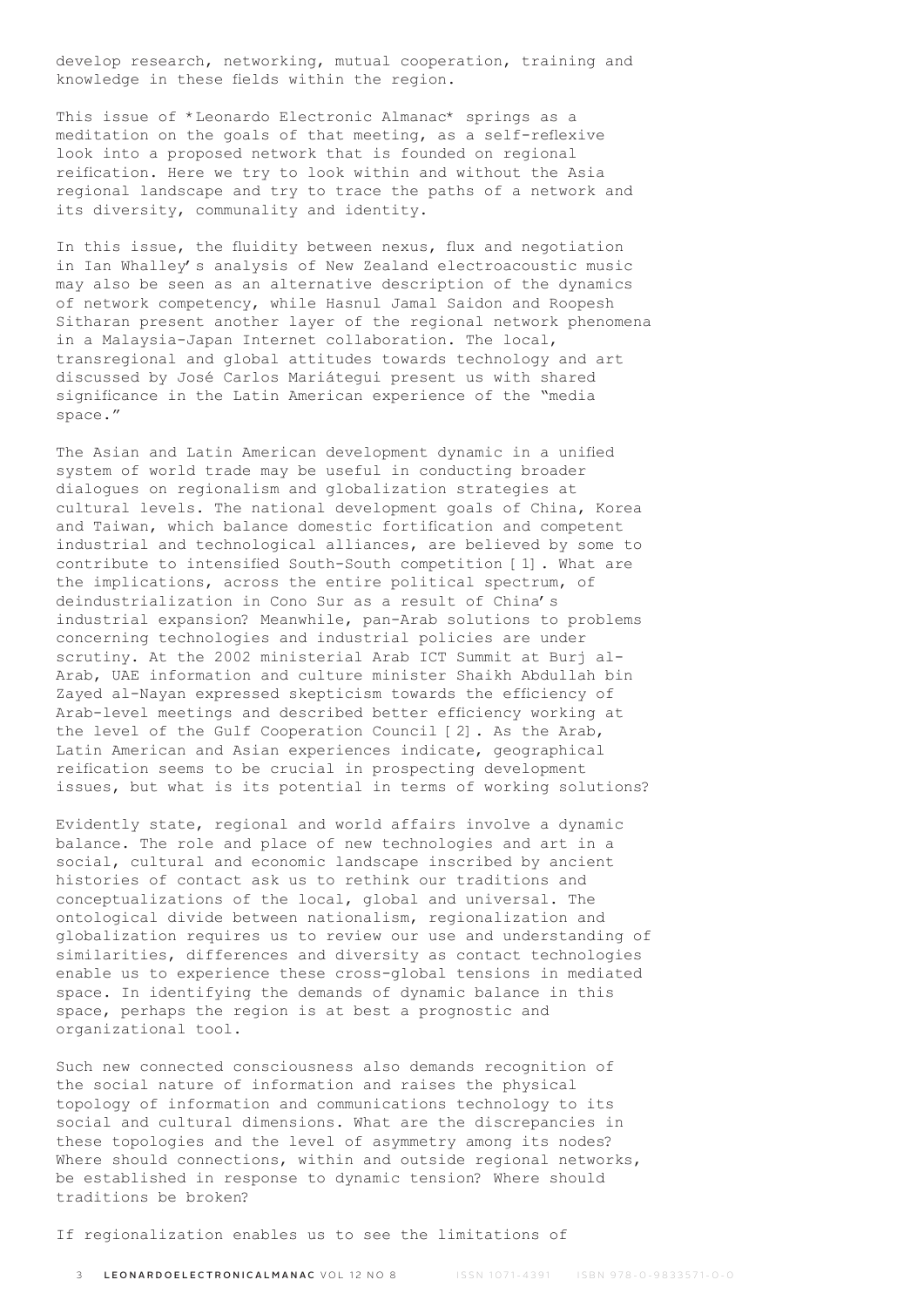develop research, networking, mutual cooperation, training and knowledge in these fields within the region.

This issue of \*Leonardo Electronic Almanac\* springs as a meditation on the goals of that meeting, as a self-reflexive look into a proposed network that is founded on regional reification. Here we try to look within and without the Asia regional landscape and try to trace the paths of a network and its diversity, communality and identity.

In this issue, the fluidity between nexus, flux and negotiation in Ian Whalley's analysis of New Zealand electroacoustic music may also be seen as an alternative description of the dynamics of network competency, while Hasnul Jamal Saidon and Roopesh Sitharan present another layer of the regional network phenomena in a Malaysia-Japan Internet collaboration. The local, transregional and global attitudes towards technology and art discussed by José Carlos Mariátegui present us with shared significance in the Latin American experience of the "media space."

The Asian and Latin American development dynamic in a unified system of world trade may be useful in conducting broader dialogues on regionalism and globalization strategies at cultural levels. The national development goals of China, Korea and Taiwan, which balance domestic fortification and competent industrial and technological alliances, are believed by some to contribute to intensified South-South competition [1]. What are the implications, across the entire political spectrum, of deindustrialization in Cono Sur as a result of China's industrial expansion? Meanwhile, pan-Arab solutions to problems concerning technologies and industrial policies are under scrutiny. At the 2002 ministerial Arab ICT Summit at Burj al-Arab, UAE information and culture minister Shaikh Abdullah bin Zayed al-Nayan expressed skepticism towards the efficiency of Arab-level meetings and described better efficiency working at the level of the Gulf Cooperation Council [2]. As the Arab, Latin American and Asian experiences indicate, geographical reification seems to be crucial in prospecting development issues, but what is its potential in terms of working solutions?

Evidently state, regional and world affairs involve a dynamic balance. The role and place of new technologies and art in a social, cultural and economic landscape inscribed by ancient histories of contact ask us to rethink our traditions and conceptualizations of the local, global and universal. The ontological divide between nationalism, regionalization and globalization requires us to review our use and understanding of similarities, differences and diversity as contact technologies enable us to experience these cross-global tensions in mediated space. In identifying the demands of dynamic balance in this space, perhaps the region is at best a prognostic and organizational tool.

Such new connected consciousness also demands recognition of the social nature of information and raises the physical topology of information and communications technology to its social and cultural dimensions. What are the discrepancies in these topologies and the level of asymmetry among its nodes? Where should connections, within and outside regional networks, be established in response to dynamic tension? Where should traditions be broken?

If regionalization enables us to see the limitations of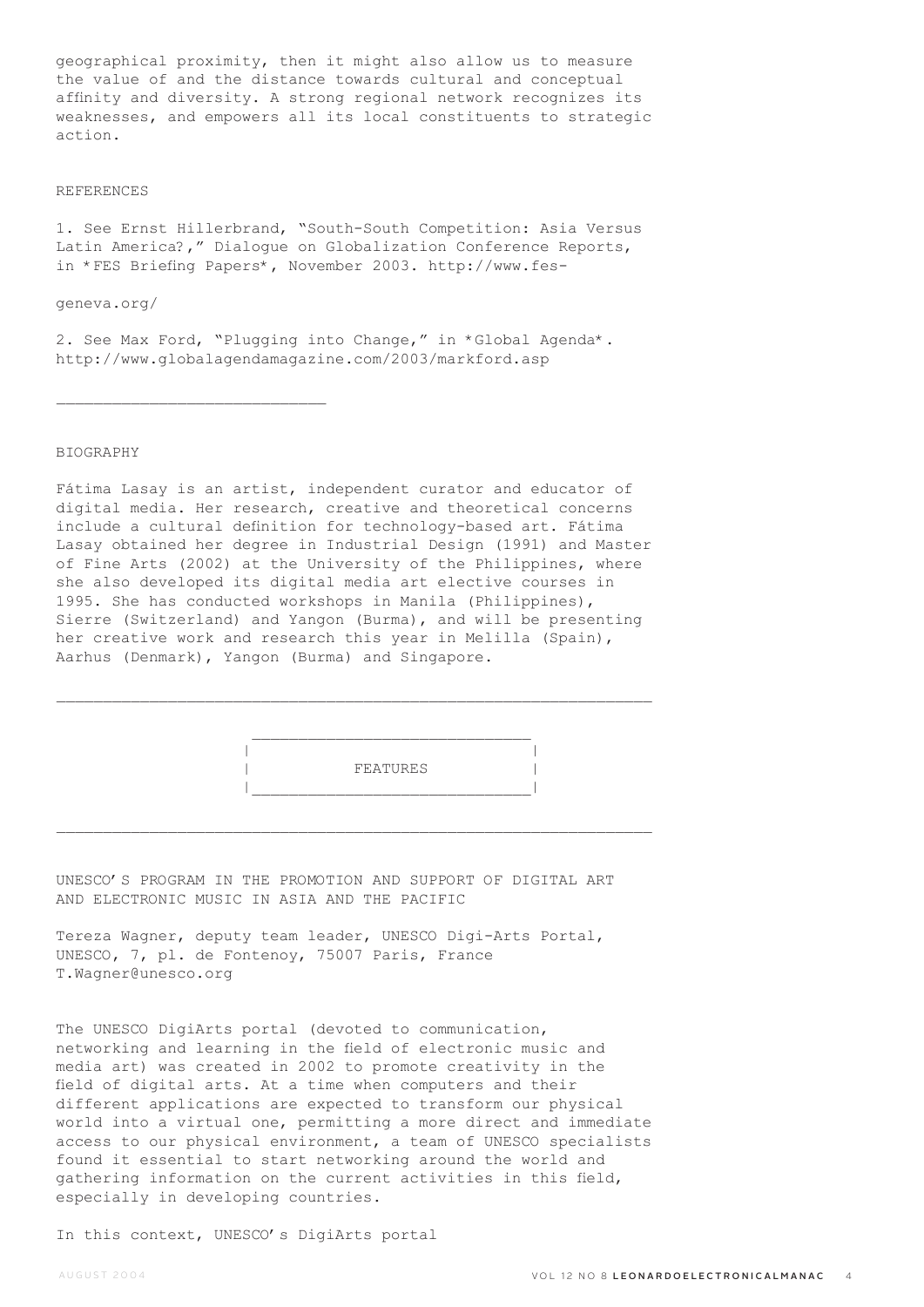geographical proximity, then it might also allow us to measure the value of and the distance towards cultural and conceptual affinity and diversity. A strong regional network recognizes its weaknesses, and empowers all its local constituents to strategic action.

#### REFERENCES

1. See Ernst Hillerbrand, "South-South Competition: Asia Versus Latin America?," Dialogue on Globalization Conference Reports, in \*FES Briefing Papers\*, November 2003. http://www.fes-

geneva.org/

 $\mathcal{L}_\text{max}$ 

2. See Max Ford, "Plugging into Change," in \*Global Agenda\*. http://www.globalagendamagazine.com/2003/markford.asp

### BIOGRAPHY

Fátima Lasay is an artist, independent curator and educator of digital media. Her research, creative and theoretical concerns include a cultural definition for technology-based art. Fátima Lasay obtained her degree in Industrial Design (1991) and Master of Fine Arts (2002) at the University of the Philippines, where she also developed its digital media art elective courses in 1995. She has conducted workshops in Manila (Philippines), Sierre (Switzerland) and Yangon (Burma), and will be presenting her creative work and research this year in Melilla (Spain), Aarhus (Denmark), Yangon (Burma) and Singapore.

 $\mathcal{L}_\text{max}$ 

 $\mathcal{L}_\text{max}$ 



UNESCO'S PROGRAM IN THE PROMOTION AND SUPPORT OF DIGITAL ART AND ELECTRONIC MUSIC IN ASIA AND THE PACIFIC

Tereza Wagner, deputy team leader, UNESCO Digi-Arts Portal, UNESCO, 7, pl. de Fontenoy, 75007 Paris, France T.Wagner@unesco.org

The UNESCO DigiArts portal (devoted to communication, networking and learning in the field of electronic music and media art) was created in 2002 to promote creativity in the field of digital arts. At a time when computers and their different applications are expected to transform our physical world into a virtual one, permitting a more direct and immediate access to our physical environment, a team of UNESCO specialists found it essential to start networking around the world and gathering information on the current activities in this field, especially in developing countries.

In this context, UNESCO's DigiArts portal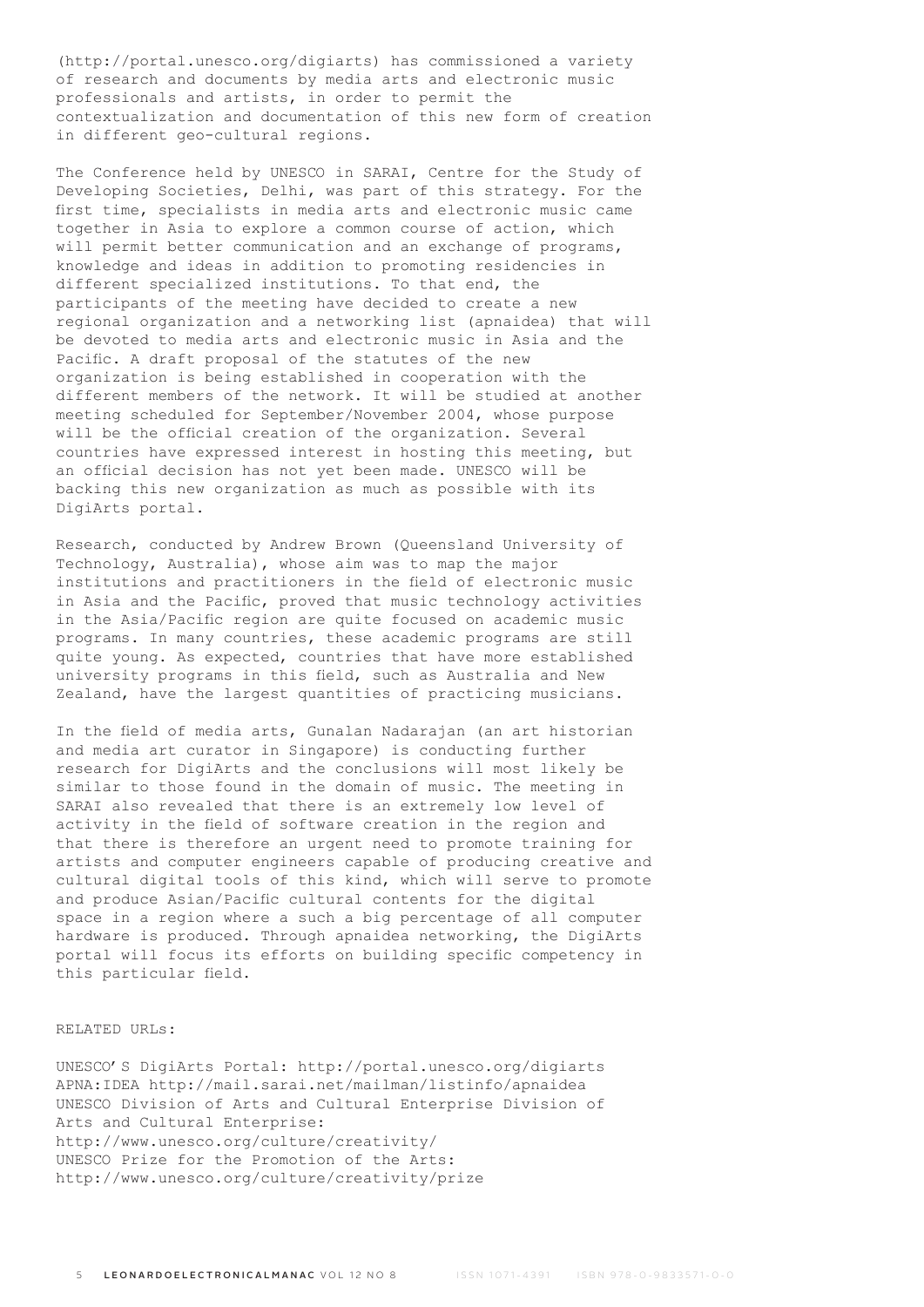(http://portal.unesco.org/digiarts) has commissioned a variety of research and documents by media arts and electronic music professionals and artists, in order to permit the contextualization and documentation of this new form of creation in different geo-cultural regions.

The Conference held by UNESCO in SARAI, Centre for the Study of Developing Societies, Delhi, was part of this strategy. For the first time, specialists in media arts and electronic music came together in Asia to explore a common course of action, which will permit better communication and an exchange of programs, knowledge and ideas in addition to promoting residencies in different specialized institutions. To that end, the participants of the meeting have decided to create a new regional organization and a networking list (apnaidea) that will be devoted to media arts and electronic music in Asia and the Pacific. A draft proposal of the statutes of the new organization is being established in cooperation with the different members of the network. It will be studied at another meeting scheduled for September/November 2004, whose purpose will be the official creation of the organization. Several countries have expressed interest in hosting this meeting, but an official decision has not yet been made. UNESCO will be backing this new organization as much as possible with its DigiArts portal.

Research, conducted by Andrew Brown (Queensland University of Technology, Australia), whose aim was to map the major institutions and practitioners in the field of electronic music in Asia and the Pacific, proved that music technology activities in the Asia/Pacific region are quite focused on academic music programs. In many countries, these academic programs are still quite young. As expected, countries that have more established university programs in this field, such as Australia and New Zealand, have the largest quantities of practicing musicians.

In the field of media arts, Gunalan Nadarajan (an art historian and media art curator in Singapore) is conducting further research for DigiArts and the conclusions will most likely be similar to those found in the domain of music. The meeting in SARAI also revealed that there is an extremely low level of activity in the field of software creation in the region and that there is therefore an urgent need to promote training for artists and computer engineers capable of producing creative and cultural digital tools of this kind, which will serve to promote and produce Asian/Pacific cultural contents for the digital space in a region where a such a big percentage of all computer hardware is produced. Through apnaidea networking, the DigiArts portal will focus its efforts on building specific competency in this particular field.

# RELATED URLs:

UNESCO'S DigiArts Portal: http://portal.unesco.org/digiarts APNA:IDEA http://mail.sarai.net/mailman/listinfo/apnaidea UNESCO Division of Arts and Cultural Enterprise Division of Arts and Cultural Enterprise: http://www.unesco.org/culture/creativity/ UNESCO Prize for the Promotion of the Arts: http://www.unesco.org/culture/creativity/prize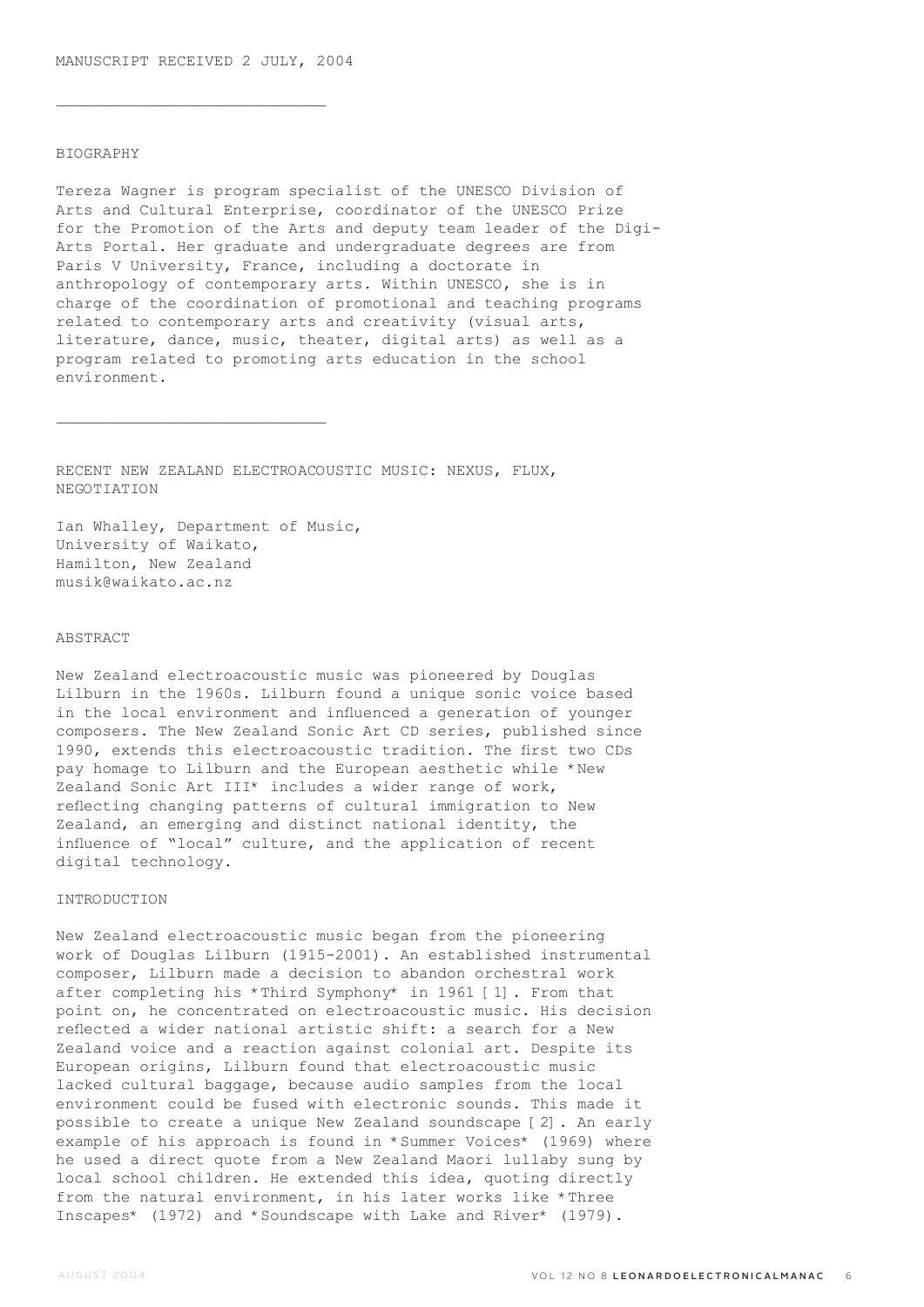$\overline{\phantom{a}}$  , where  $\overline{\phantom{a}}$  , where  $\overline{\phantom{a}}$  ,  $\overline{\phantom{a}}$  ,  $\overline{\phantom{a}}$  ,  $\overline{\phantom{a}}$  ,  $\overline{\phantom{a}}$  ,  $\overline{\phantom{a}}$  ,  $\overline{\phantom{a}}$  ,  $\overline{\phantom{a}}$  ,  $\overline{\phantom{a}}$  ,  $\overline{\phantom{a}}$  ,  $\overline{\phantom{a}}$  ,  $\overline{\phantom{a}}$  ,  $\overline{\phantom{a}}$  ,

### BIOGRAPHY

Tereza Wagner is program specialist of the UNESCO Division of Arts and Cultural Enterprise, coordinator of the UNESCO Prize for the Promotion of the Arts and deputy team leader of the Digi-Arts Portal. Her graduate and undergraduate degrees are from Paris V University, France, including a doctorate in anthropology of contemporary arts. Within UNESCO, she is in charge of the coordination of promotional and teaching programs related to contemporary arts and creativity (visual arts, literature, dance, music, theater, digital arts) as well as a program related to promoting arts education in the school environment.

RECENT NEW ZEALAND ELECTROACOUSTIC MUSIC: NEXUS, FLUX, NEGOTIATION

Ian Whalley, Department of Music, University of Waikato, Hamilton, New Zealand musik@waikato.ac.nz

 $\mathcal{L}_\text{max}$ 

# ABSTRACT

New Zealand electroacoustic music was pioneered by Douglas Lilburn in the 1960s. Lilburn found a unique sonic voice based in the local environment and influenced a generation of younger composers. The New Zealand Sonic Art CD series, published since 1990, extends this electroacoustic tradition. The first two CDs pay homage to Lilburn and the European aesthetic while \*New Zealand Sonic Art III\* includes a wider range of work, reflecting changing patterns of cultural immigration to New Zealand, an emerging and distinct national identity, the influence of "local" culture, and the application of recent digital technology.

#### INTRODUCTION

New Zealand electroacoustic music began from the pioneering work of Douglas Lilburn (1915-2001). An established instrumental composer, Lilburn made a decision to abandon orchestral work after completing his \*Third Symphony\* in 1961 [1]. From that point on, he concentrated on electroacoustic music. His decision reflected a wider national artistic shift: a search for a New Zealand voice and a reaction against colonial art. Despite its European origins, Lilburn found that electroacoustic music lacked cultural baggage, because audio samples from the local environment could be fused with electronic sounds. This made it possible to create a unique New Zealand soundscape [2]. An early example of his approach is found in \*Summer Voices\* (1969) where he used a direct quote from a New Zealand Maori lullaby sung by local school children. He extended this idea, quoting directly from the natural environment, in his later works like \*Three Inscapes\* (1972) and \*Soundscape with Lake and River\* (1979).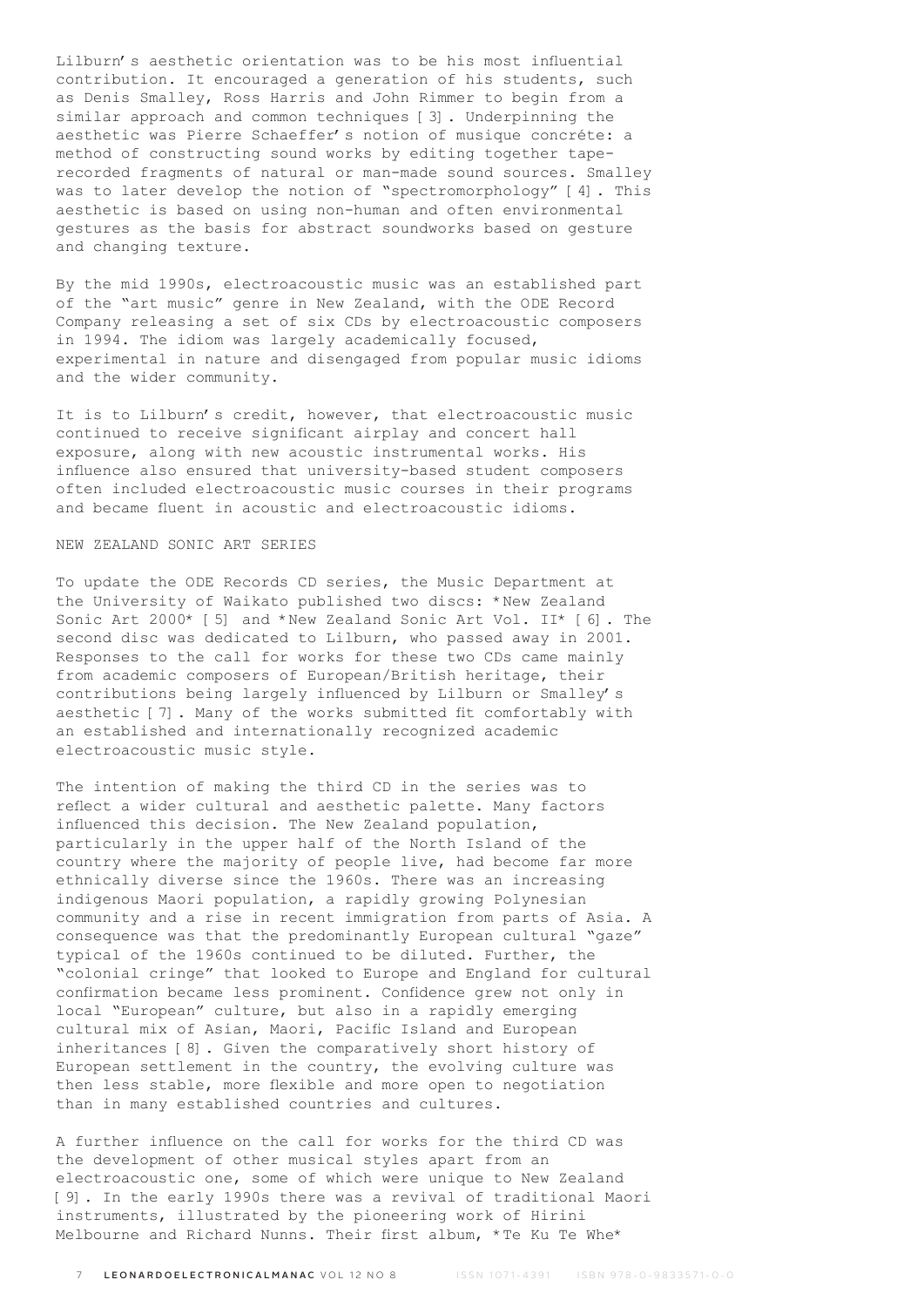Lilburn's aesthetic orientation was to be his most influential contribution. It encouraged a generation of his students, such as Denis Smalley, Ross Harris and John Rimmer to begin from a similar approach and common techniques [3]. Underpinning the aesthetic was Pierre Schaeffer's notion of musique concréte: a method of constructing sound works by editing together taperecorded fragments of natural or man-made sound sources. Smalley was to later develop the notion of "spectromorphology" [4]. This aesthetic is based on using non-human and often environmental gestures as the basis for abstract soundworks based on gesture and changing texture.

By the mid 1990s, electroacoustic music was an established part of the "art music" genre in New Zealand, with the ODE Record Company releasing a set of six CDs by electroacoustic composers in 1994. The idiom was largely academically focused, experimental in nature and disengaged from popular music idioms and the wider community.

It is to Lilburn's credit, however, that electroacoustic music continued to receive significant airplay and concert hall exposure, along with new acoustic instrumental works. His influence also ensured that university-based student composers often included electroacoustic music courses in their programs and became fluent in acoustic and electroacoustic idioms.

### NEW ZEALAND SONIC ART SERIES

To update the ODE Records CD series, the Music Department at the University of Waikato published two discs: \*New Zealand Sonic Art 2000\* [5] and \*New Zealand Sonic Art Vol. II\* [6]. The second disc was dedicated to Lilburn, who passed away in 2001. Responses to the call for works for these two CDs came mainly from academic composers of European/British heritage, their contributions being largely influenced by Lilburn or Smalley's aesthetic [7]. Many of the works submitted fit comfortably with an established and internationally recognized academic electroacoustic music style.

The intention of making the third CD in the series was to reflect a wider cultural and aesthetic palette. Many factors influenced this decision. The New Zealand population, particularly in the upper half of the North Island of the country where the majority of people live, had become far more ethnically diverse since the 1960s. There was an increasing indigenous Maori population, a rapidly growing Polynesian community and a rise in recent immigration from parts of Asia. A consequence was that the predominantly European cultural "gaze" typical of the 1960s continued to be diluted. Further, the "colonial cringe" that looked to Europe and England for cultural confirmation became less prominent. Confidence grew not only in local "European" culture, but also in a rapidly emerging cultural mix of Asian, Maori, Pacific Island and European inheritances [8]. Given the comparatively short history of European settlement in the country, the evolving culture was then less stable, more flexible and more open to negotiation than in many established countries and cultures.

A further influence on the call for works for the third CD was the development of other musical styles apart from an electroacoustic one, some of which were unique to New Zealand [9]. In the early 1990s there was a revival of traditional Maori instruments, illustrated by the pioneering work of Hirini Melbourne and Richard Nunns. Their first album, \*Te Ku Te Whe\*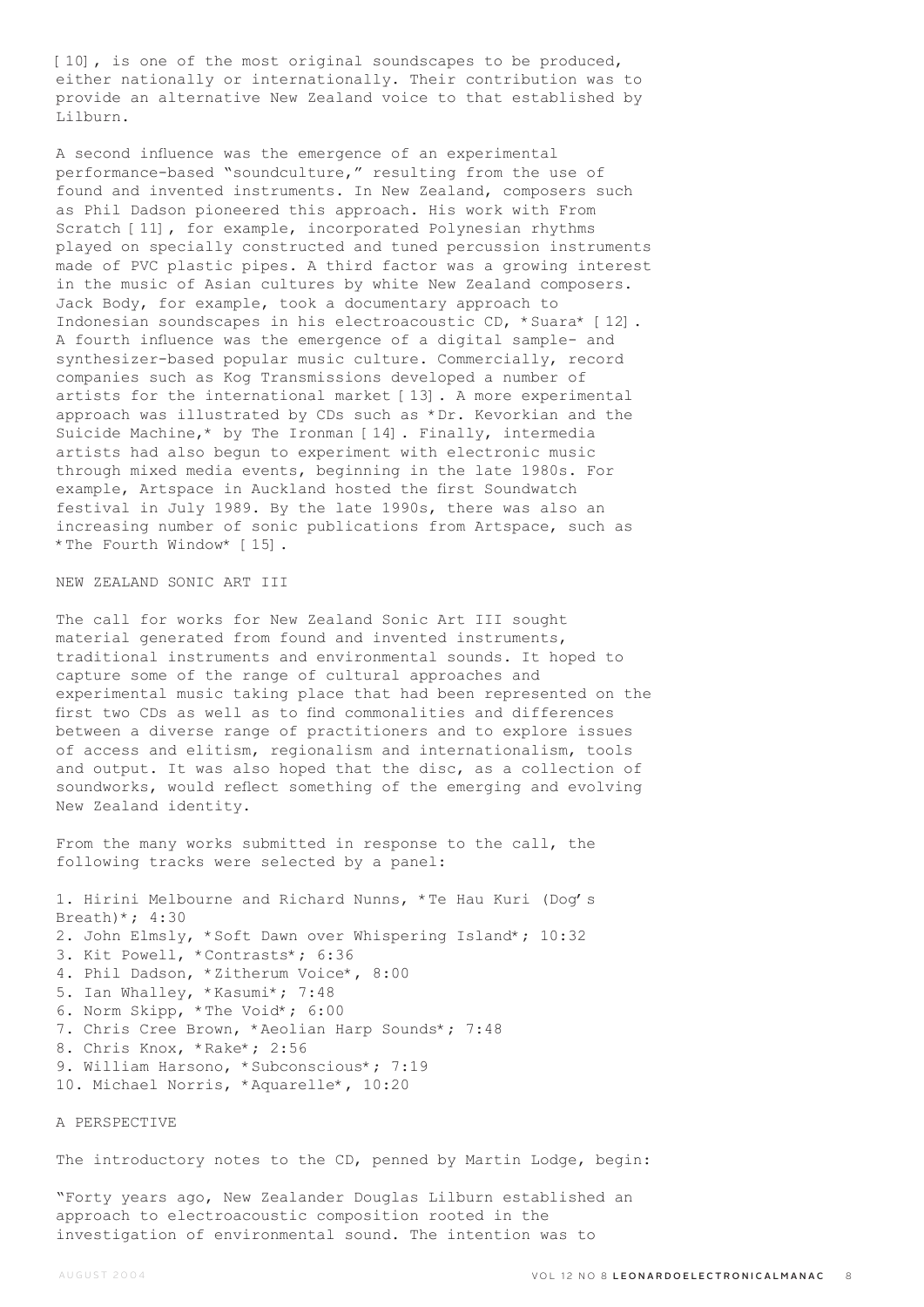[10], is one of the most original soundscapes to be produced, either nationally or internationally. Their contribution was to provide an alternative New Zealand voice to that established by Lilburn.

A second influence was the emergence of an experimental performance-based "soundculture," resulting from the use of found and invented instruments. In New Zealand, composers such as Phil Dadson pioneered this approach. His work with From Scratch [11], for example, incorporated Polynesian rhythms played on specially constructed and tuned percussion instruments made of PVC plastic pipes. A third factor was a growing interest in the music of Asian cultures by white New Zealand composers. Jack Body, for example, took a documentary approach to Indonesian soundscapes in his electroacoustic CD, \*Suara\* [12]. A fourth influence was the emergence of a digital sample- and synthesizer-based popular music culture. Commercially, record companies such as Kog Transmissions developed a number of artists for the international market [13]. A more experimental approach was illustrated by CDs such as \*Dr. Kevorkian and the Suicide Machine,\* by The Ironman [14]. Finally, intermedia artists had also begun to experiment with electronic music through mixed media events, beginning in the late 1980s. For example, Artspace in Auckland hosted the first Soundwatch festival in July 1989. By the late 1990s, there was also an increasing number of sonic publications from Artspace, such as \*The Fourth Window\* [15].

## NEW ZEALAND SONIC ART III

The call for works for New Zealand Sonic Art III sought material generated from found and invented instruments, traditional instruments and environmental sounds. It hoped to capture some of the range of cultural approaches and experimental music taking place that had been represented on the first two CDs as well as to find commonalities and differences between a diverse range of practitioners and to explore issues of access and elitism, regionalism and internationalism, tools and output. It was also hoped that the disc, as a collection of soundworks, would reflect something of the emerging and evolving New Zealand identity.

From the many works submitted in response to the call, the following tracks were selected by a panel:

1. Hirini Melbourne and Richard Nunns, \*Te Hau Kuri (Dog's Breath)\*;  $4:30$ 2. John Elmsly, \*Soft Dawn over Whispering Island\*; 10:32 3. Kit Powell, \*Contrasts\*; 6:36 4. Phil Dadson, \*Zitherum Voice\*, 8:00 5. Ian Whalley, \*Kasumi\*; 7:48 6. Norm Skipp, \*The Void\*; 6:00 7. Chris Cree Brown, \*Aeolian Harp Sounds\*; 7:48 8. Chris Knox, \*Rake\*; 2:56 9. William Harsono, \*Subconscious\*; 7:19 10. Michael Norris, \*Aquarelle\*, 10:20

#### A PERSPECTIVE

The introductory notes to the CD, penned by Martin Lodge, begin:

"Forty years ago, New Zealander Douglas Lilburn established an approach to electroacoustic composition rooted in the investigation of environmental sound. The intention was to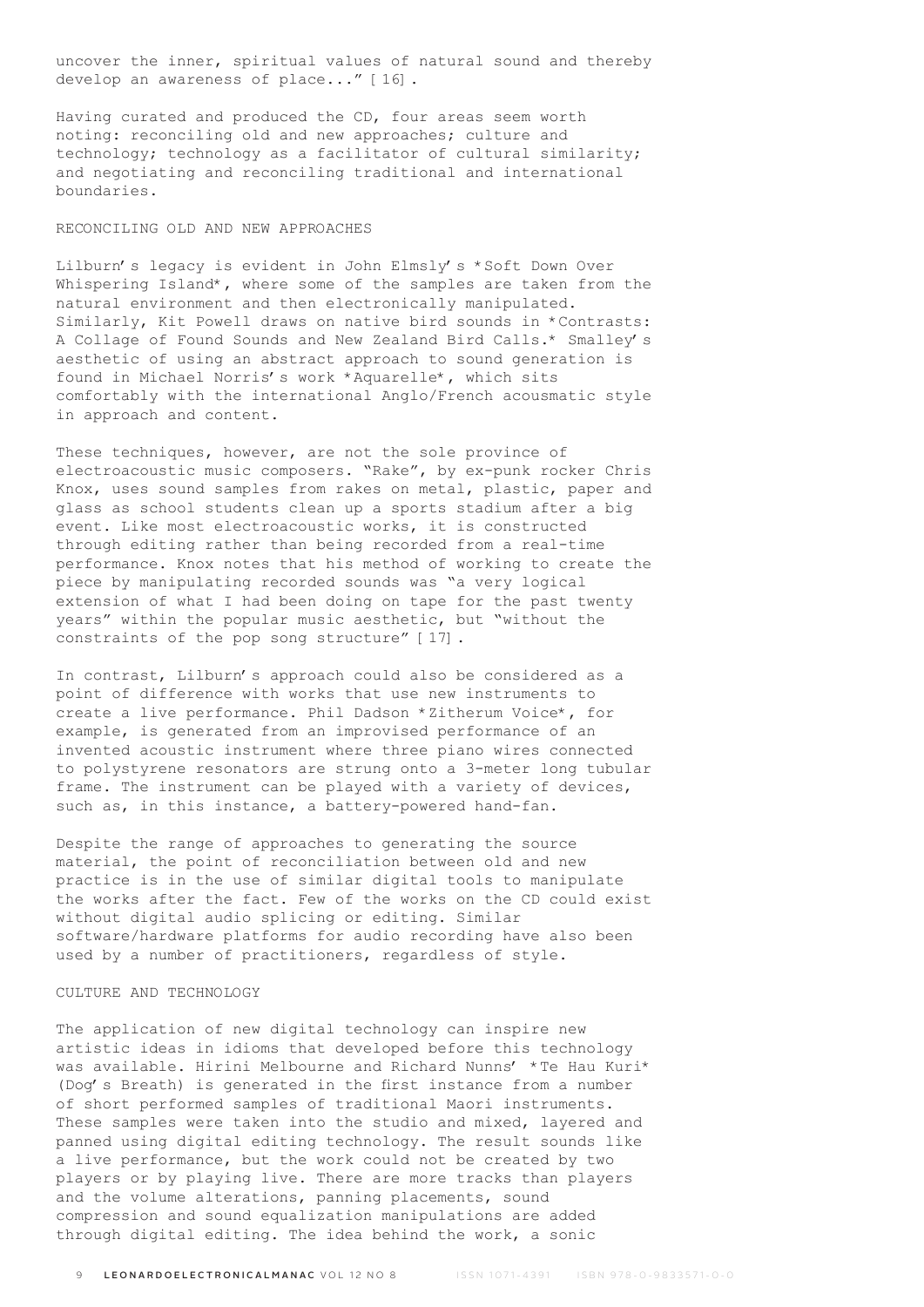uncover the inner, spiritual values of natural sound and thereby develop an awareness of place..." [16].

Having curated and produced the CD, four areas seem worth noting: reconciling old and new approaches; culture and technology; technology as a facilitator of cultural similarity; and negotiating and reconciling traditional and international boundaries.

## RECONCILING OLD AND NEW APPROACHES

Lilburn's legacy is evident in John Elmsly's \*Soft Down Over Whispering Island\*, where some of the samples are taken from the natural environment and then electronically manipulated. Similarly, Kit Powell draws on native bird sounds in \*Contrasts: A Collage of Found Sounds and New Zealand Bird Calls.\* Smalley's aesthetic of using an abstract approach to sound generation is found in Michael Norris's work \*Aquarelle\*, which sits comfortably with the international Anglo/French acousmatic style in approach and content.

These techniques, however, are not the sole province of electroacoustic music composers. "Rake", by ex-punk rocker Chris Knox, uses sound samples from rakes on metal, plastic, paper and glass as school students clean up a sports stadium after a big event. Like most electroacoustic works, it is constructed through editing rather than being recorded from a real-time performance. Knox notes that his method of working to create the piece by manipulating recorded sounds was "a very logical extension of what I had been doing on tape for the past twenty years" within the popular music aesthetic, but "without the constraints of the pop song structure" [17].

In contrast, Lilburn's approach could also be considered as a point of difference with works that use new instruments to create a live performance. Phil Dadson \*Zitherum Voice\*, for example, is generated from an improvised performance of an invented acoustic instrument where three piano wires connected to polystyrene resonators are strung onto a 3-meter long tubular frame. The instrument can be played with a variety of devices, such as, in this instance, a battery-powered hand-fan.

Despite the range of approaches to generating the source material, the point of reconciliation between old and new practice is in the use of similar digital tools to manipulate the works after the fact. Few of the works on the CD could exist without digital audio splicing or editing. Similar software/hardware platforms for audio recording have also been used by a number of practitioners, regardless of style.

# CULTURE AND TECHNOLOGY

The application of new digital technology can inspire new artistic ideas in idioms that developed before this technology was available. Hirini Melbourne and Richard Nunns' \*Te Hau Kuri\* (Dog's Breath) is generated in the first instance from a number of short performed samples of traditional Maori instruments. These samples were taken into the studio and mixed, layered and panned using digital editing technology. The result sounds like a live performance, but the work could not be created by two players or by playing live. There are more tracks than players and the volume alterations, panning placements, sound compression and sound equalization manipulations are added through digital editing. The idea behind the work, a sonic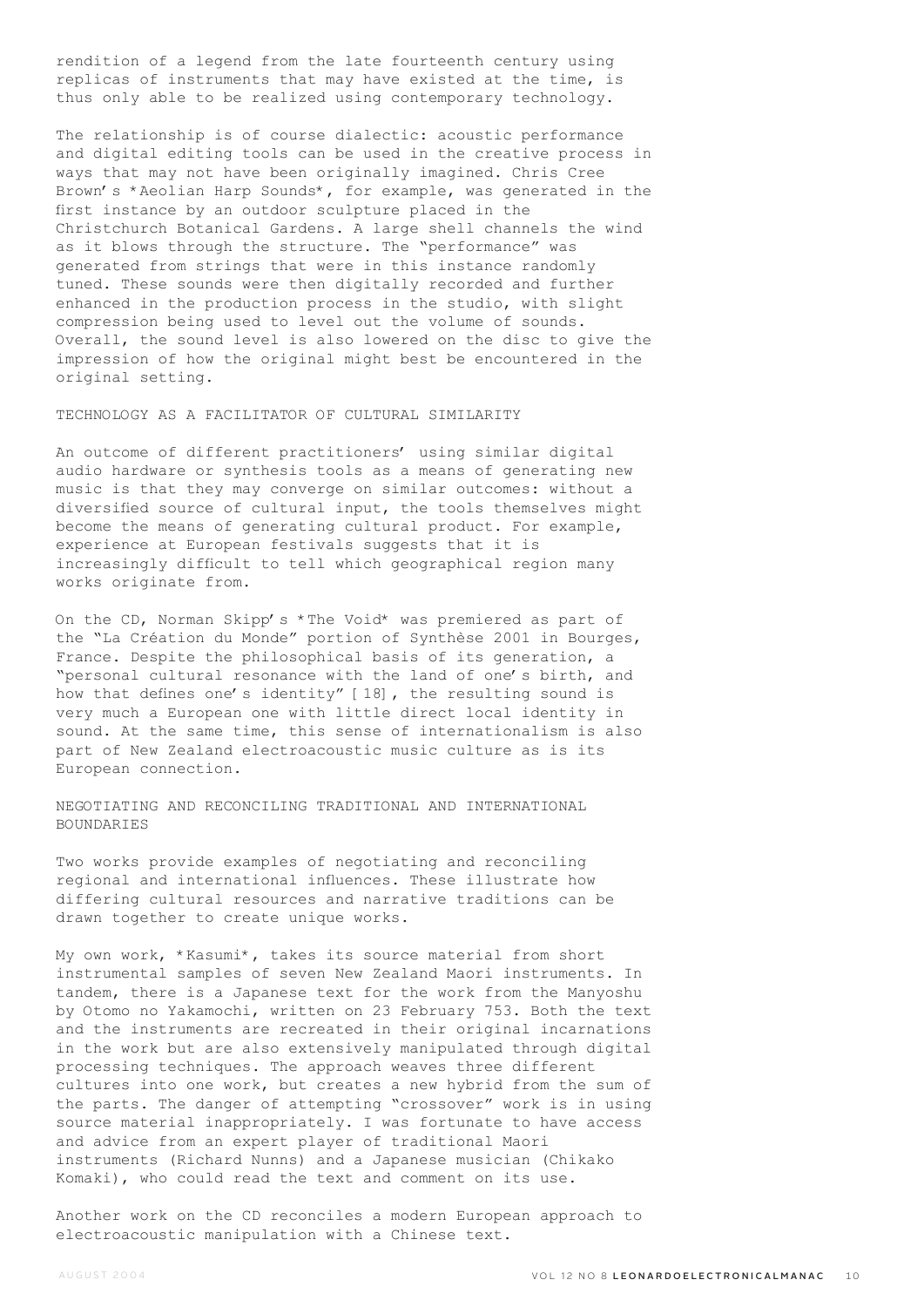rendition of a legend from the late fourteenth century using replicas of instruments that may have existed at the time, is thus only able to be realized using contemporary technology.

The relationship is of course dialectic: acoustic performance and digital editing tools can be used in the creative process in ways that may not have been originally imagined. Chris Cree Brown's \*Aeolian Harp Sounds\*, for example, was generated in the first instance by an outdoor sculpture placed in the Christchurch Botanical Gardens. A large shell channels the wind as it blows through the structure. The "performance" was generated from strings that were in this instance randomly tuned. These sounds were then digitally recorded and further enhanced in the production process in the studio, with slight compression being used to level out the volume of sounds. Overall, the sound level is also lowered on the disc to give the impression of how the original might best be encountered in the original setting.

TECHNOLOGY AS A FACILITATOR OF CULTURAL SIMILARITY

An outcome of different practitioners' using similar digital audio hardware or synthesis tools as a means of generating new music is that they may converge on similar outcomes: without a diversified source of cultural input, the tools themselves might become the means of generating cultural product. For example, experience at European festivals suggests that it is increasingly difficult to tell which geographical region many works originate from.

On the CD, Norman Skipp's \*The Void\* was premiered as part of the "La Création du Monde" portion of Synthèse 2001 in Bourges, France. Despite the philosophical basis of its generation, a "personal cultural resonance with the land of one's birth, and how that defines one's identity" [18], the resulting sound is very much a European one with little direct local identity in sound. At the same time, this sense of internationalism is also part of New Zealand electroacoustic music culture as is its European connection.

NEGOTIATING AND RECONCILING TRADITIONAL AND INTERNATIONAL BOUNDARIES

Two works provide examples of negotiating and reconciling regional and international influences. These illustrate how differing cultural resources and narrative traditions can be drawn together to create unique works.

My own work, \*Kasumi\*, takes its source material from short instrumental samples of seven New Zealand Maori instruments. In tandem, there is a Japanese text for the work from the Manyoshu by Otomo no Yakamochi, written on 23 February 753. Both the text and the instruments are recreated in their original incarnations in the work but are also extensively manipulated through digital processing techniques. The approach weaves three different cultures into one work, but creates a new hybrid from the sum of the parts. The danger of attempting "crossover" work is in using source material inappropriately. I was fortunate to have access and advice from an expert player of traditional Maori instruments (Richard Nunns) and a Japanese musician (Chikako Komaki), who could read the text and comment on its use.

Another work on the CD reconciles a modern European approach to electroacoustic manipulation with a Chinese text.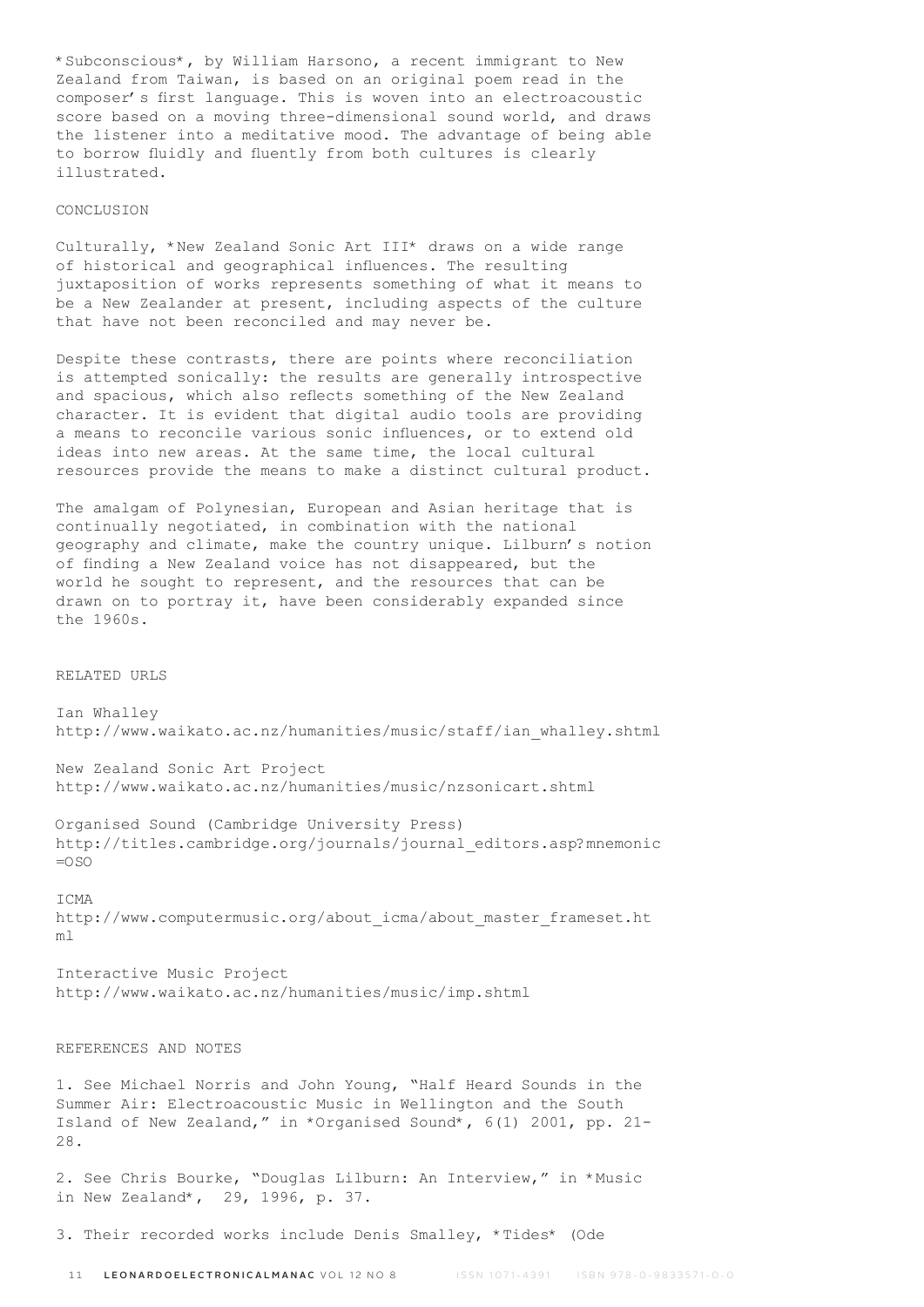\*Subconscious\*, by William Harsono, a recent immigrant to New Zealand from Taiwan, is based on an original poem read in the composer's first language. This is woven into an electroacoustic score based on a moving three-dimensional sound world, and draws the listener into a meditative mood. The advantage of being able to borrow fluidly and fluently from both cultures is clearly illustrated.

#### CONCLUSION

Culturally, \*New Zealand Sonic Art III\* draws on a wide range of historical and geographical influences. The resulting juxtaposition of works represents something of what it means to be a New Zealander at present, including aspects of the culture that have not been reconciled and may never be.

Despite these contrasts, there are points where reconciliation is attempted sonically: the results are generally introspective and spacious, which also reflects something of the New Zealand character. It is evident that digital audio tools are providing a means to reconcile various sonic influences, or to extend old ideas into new areas. At the same time, the local cultural resources provide the means to make a distinct cultural product.

The amalgam of Polynesian, European and Asian heritage that is continually negotiated, in combination with the national geography and climate, make the country unique. Lilburn's notion of finding a New Zealand voice has not disappeared, but the world he sought to represent, and the resources that can be drawn on to portray it, have been considerably expanded since the 1960s.

### RELATED URLS

Ian Whalley http://www.waikato.ac.nz/humanities/music/staff/ian\_whalley.shtml

New Zealand Sonic Art Project http://www.waikato.ac.nz/humanities/music/nzsonicart.shtml

Organised Sound (Cambridge University Press) http://titles.cambridge.org/journals/journal\_editors.asp?mnemonic  $=0.50$ 

# ICMA http://www.computermusic.org/about\_icma/about\_master\_frameset.ht ml

Interactive Music Project http://www.waikato.ac.nz/humanities/music/imp.shtml

# REFERENCES AND NOTES

1. See Michael Norris and John Young, "Half Heard Sounds in the Summer Air: Electroacoustic Music in Wellington and the South Island of New Zealand," in \*Organised Sound\*, 6(1) 2001, pp. 21- 28.

2. See Chris Bourke, "Douglas Lilburn: An Interview," in \*Music in New Zealand\*, 29, 1996, p. 37.

3. Their recorded works include Denis Smalley, \*Tides\* (Ode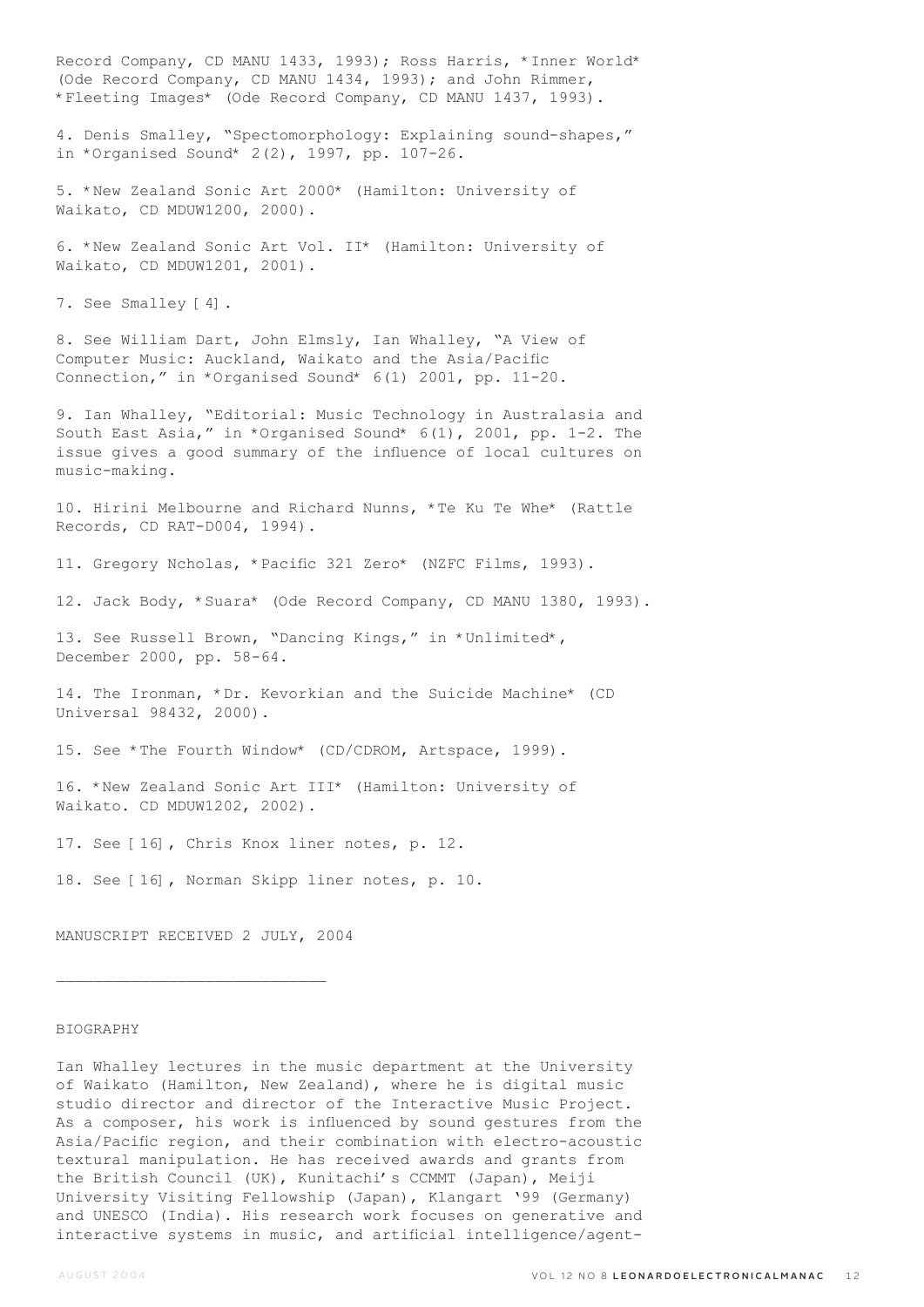Record Company, CD MANU 1433, 1993); Ross Harris, \*Inner World\* (Ode Record Company, CD MANU 1434, 1993); and John Rimmer, \*Fleeting Images\* (Ode Record Company, CD MANU 1437, 1993). 4. Denis Smalley, "Spectomorphology: Explaining sound-shapes," in \*Organised Sound\* 2(2), 1997, pp. 107-26. 5. \*New Zealand Sonic Art 2000\* (Hamilton: University of Waikato, CD MDUW1200, 2000). 6. \*New Zealand Sonic Art Vol. II\* (Hamilton: University of Waikato, CD MDUW1201, 2001). 7. See Smalley [4]. 8. See William Dart, John Elmsly, Ian Whalley, "A View of Computer Music: Auckland, Waikato and the Asia/Pacific Connection," in \*Organised Sound\* 6(1) 2001, pp. 11-20. 9. Ian Whalley, "Editorial: Music Technology in Australasia and South East Asia," in \*Organised Sound\* 6(1), 2001, pp. 1-2. The issue gives a good summary of the influence of local cultures on music-making. 10. Hirini Melbourne and Richard Nunns, \*Te Ku Te Whe\* (Rattle Records, CD RAT-D004, 1994). 11. Gregory Ncholas, \*Pacific 321 Zero\* (NZFC Films, 1993). 12. Jack Body, \*Suara\* (Ode Record Company, CD MANU 1380, 1993). 13. See Russell Brown, "Dancing Kings," in \*Unlimited\*, December 2000, pp. 58-64. 14. The Ironman, \*Dr. Kevorkian and the Suicide Machine\* (CD Universal 98432, 2000). 15. See \*The Fourth Window\* (CD/CDROM, Artspace, 1999). 16. \*New Zealand Sonic Art III\* (Hamilton: University of Waikato. CD MDUW1202, 2002). 17. See [16], Chris Knox liner notes, p. 12. 18. See [16], Norman Skipp liner notes, p. 10. MANUSCRIPT RECEIVED 2 JULY, 2004 BIOGRAPHY Ian Whalley lectures in the music department at the University of Waikato (Hamilton, New Zealand), where he is digital music studio director and director of the Interactive Music Project. As a composer, his work is influenced by sound gestures from the Asia/Pacific region, and their combination with electro-acoustic

textural manipulation. He has received awards and grants from the British Council (UK), Kunitachi's CCMMT (Japan), Meiji University Visiting Fellowship (Japan), Klangart '99 (Germany) and UNESCO (India). His research work focuses on generative and interactive systems in music, and artificial intelligence/agent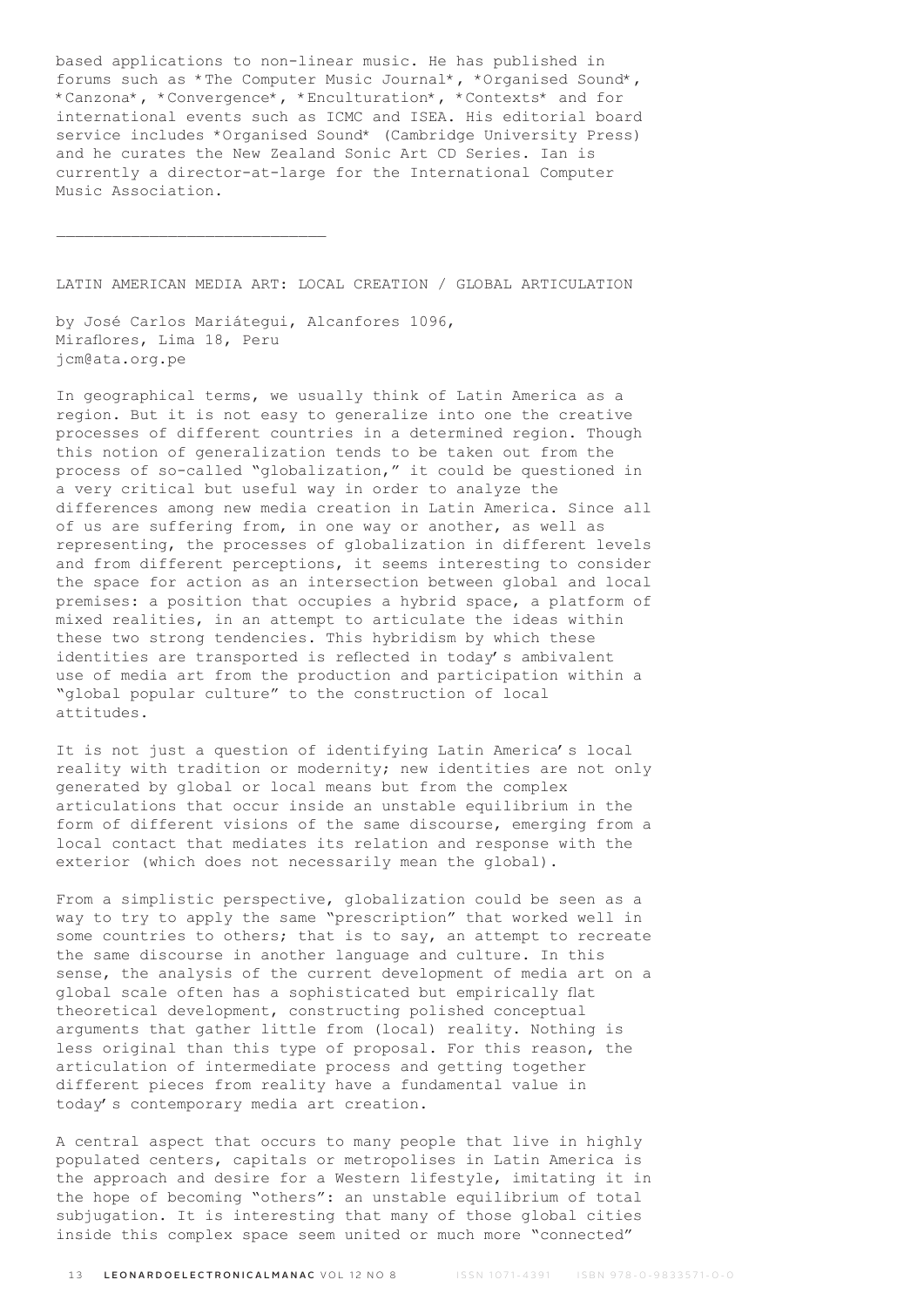based applications to non-linear music. He has published in forums such as \*The Computer Music Journal\*, \*Organised Sound\*, \*Canzona\*, \*Convergence\*, \*Enculturation\*, \*Contexts\* and for international events such as ICMC and ISEA. His editorial board service includes \*Organised Sound\* (Cambridge University Press) and he curates the New Zealand Sonic Art CD Series. Ian is currently a director-at-large for the International Computer Music Association.

LATIN AMERICAN MEDIA ART: LOCAL CREATION / GLOBAL ARTICULATION

by José Carlos Mariátegui, Alcanfores 1096, Miraflores, Lima 18, Peru jcm@ata.org.pe

 $\mathcal{L}_\text{max}$ 

In geographical terms, we usually think of Latin America as a region. But it is not easy to generalize into one the creative processes of different countries in a determined region. Though this notion of generalization tends to be taken out from the process of so-called "globalization," it could be questioned in a very critical but useful way in order to analyze the differences among new media creation in Latin America. Since all of us are suffering from, in one way or another, as well as representing, the processes of globalization in different levels and from different perceptions, it seems interesting to consider the space for action as an intersection between global and local premises: a position that occupies a hybrid space, a platform of mixed realities, in an attempt to articulate the ideas within these two strong tendencies. This hybridism by which these identities are transported is reflected in today's ambivalent use of media art from the production and participation within a "global popular culture" to the construction of local attitudes.

It is not just a question of identifying Latin America's local reality with tradition or modernity; new identities are not only generated by global or local means but from the complex articulations that occur inside an unstable equilibrium in the form of different visions of the same discourse, emerging from a local contact that mediates its relation and response with the exterior (which does not necessarily mean the global).

From a simplistic perspective, globalization could be seen as a way to try to apply the same "prescription" that worked well in some countries to others; that is to say, an attempt to recreate the same discourse in another language and culture. In this sense, the analysis of the current development of media art on a global scale often has a sophisticated but empirically flat theoretical development, constructing polished conceptual arguments that gather little from (local) reality. Nothing is less original than this type of proposal. For this reason, the articulation of intermediate process and getting together different pieces from reality have a fundamental value in today's contemporary media art creation.

A central aspect that occurs to many people that live in highly populated centers, capitals or metropolises in Latin America is the approach and desire for a Western lifestyle, imitating it in the hope of becoming "others": an unstable equilibrium of total subjugation. It is interesting that many of those global cities inside this complex space seem united or much more "connected"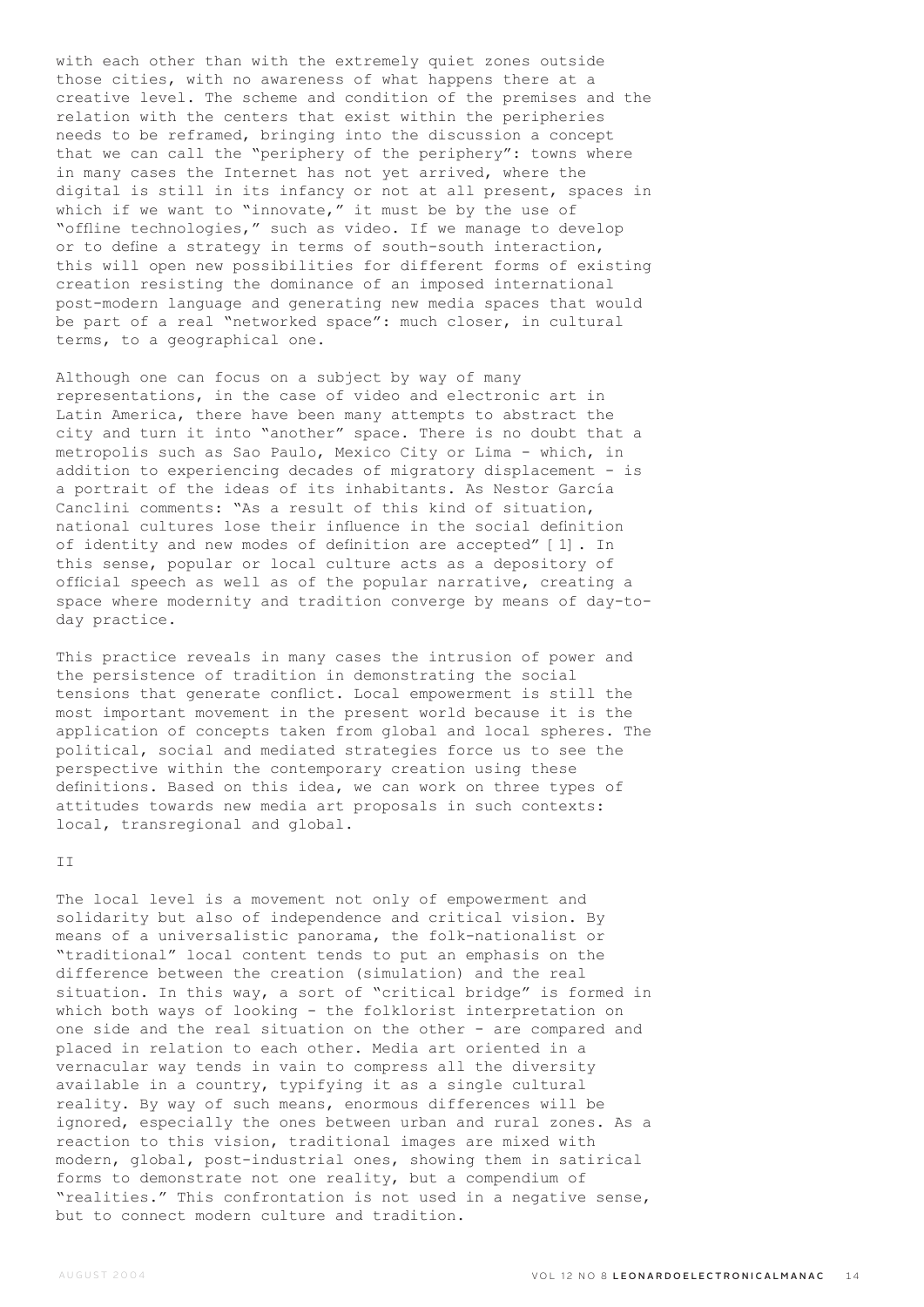with each other than with the extremely quiet zones outside those cities, with no awareness of what happens there at a creative level. The scheme and condition of the premises and the relation with the centers that exist within the peripheries needs to be reframed, bringing into the discussion a concept that we can call the "periphery of the periphery": towns where in many cases the Internet has not yet arrived, where the digital is still in its infancy or not at all present, spaces in which if we want to "innovate," it must be by the use of "offline technologies," such as video. If we manage to develop or to define a strategy in terms of south-south interaction, this will open new possibilities for different forms of existing creation resisting the dominance of an imposed international post-modern language and generating new media spaces that would be part of a real "networked space": much closer, in cultural terms, to a geographical one.

Although one can focus on a subject by way of many representations, in the case of video and electronic art in Latin America, there have been many attempts to abstract the city and turn it into "another" space. There is no doubt that a metropolis such as Sao Paulo, Mexico City or Lima - which, in addition to experiencing decades of migratory displacement - is a portrait of the ideas of its inhabitants. As Nestor García Canclini comments: "As a result of this kind of situation, national cultures lose their influence in the social definition of identity and new modes of definition are accepted" [1]. In this sense, popular or local culture acts as a depository of official speech as well as of the popular narrative, creating a space where modernity and tradition converge by means of day-today practice.

This practice reveals in many cases the intrusion of power and the persistence of tradition in demonstrating the social tensions that generate conflict. Local empowerment is still the most important movement in the present world because it is the application of concepts taken from global and local spheres. The political, social and mediated strategies force us to see the perspective within the contemporary creation using these definitions. Based on this idea, we can work on three types of attitudes towards new media art proposals in such contexts: local, transregional and global.

### T<sub>T</sub>

The local level is a movement not only of empowerment and solidarity but also of independence and critical vision. By means of a universalistic panorama, the folk-nationalist or "traditional" local content tends to put an emphasis on the difference between the creation (simulation) and the real situation. In this way, a sort of "critical bridge" is formed in which both ways of looking - the folklorist interpretation on one side and the real situation on the other - are compared and placed in relation to each other. Media art oriented in a vernacular way tends in vain to compress all the diversity available in a country, typifying it as a single cultural reality. By way of such means, enormous differences will be ignored, especially the ones between urban and rural zones. As a reaction to this vision, traditional images are mixed with modern, global, post-industrial ones, showing them in satirical forms to demonstrate not one reality, but a compendium of "realities." This confrontation is not used in a negative sense, but to connect modern culture and tradition.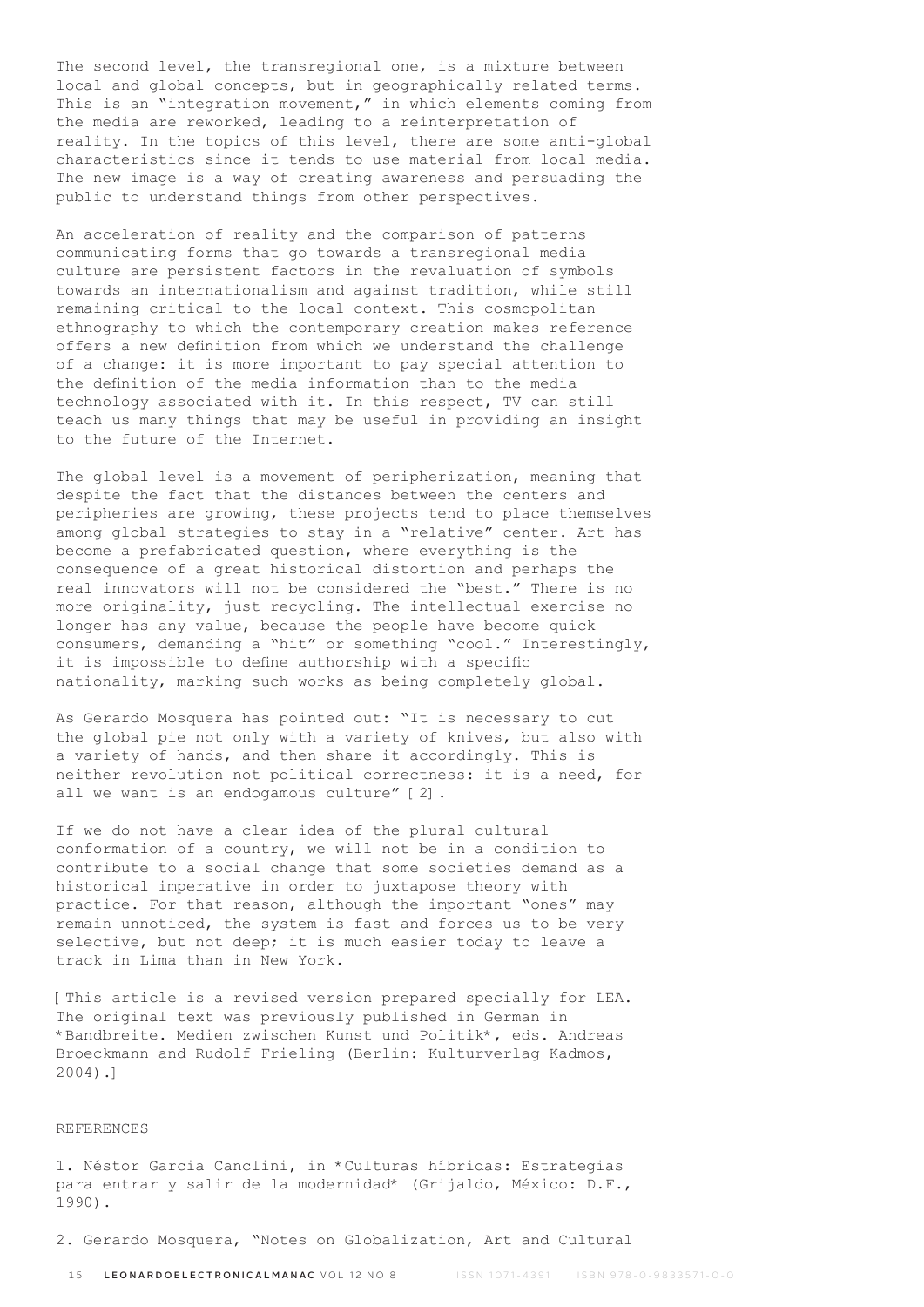The second level, the transregional one, is a mixture between local and global concepts, but in geographically related terms. This is an "integration movement," in which elements coming from the media are reworked, leading to a reinterpretation of reality. In the topics of this level, there are some anti-global characteristics since it tends to use material from local media. The new image is a way of creating awareness and persuading the public to understand things from other perspectives.

An acceleration of reality and the comparison of patterns communicating forms that go towards a transregional media culture are persistent factors in the revaluation of symbols towards an internationalism and against tradition, while still remaining critical to the local context. This cosmopolitan ethnography to which the contemporary creation makes reference offers a new definition from which we understand the challenge of a change: it is more important to pay special attention to the definition of the media information than to the media technology associated with it. In this respect, TV can still teach us many things that may be useful in providing an insight to the future of the Internet.

The global level is a movement of peripherization, meaning that despite the fact that the distances between the centers and peripheries are growing, these projects tend to place themselves among global strategies to stay in a "relative" center. Art has become a prefabricated question, where everything is the consequence of a great historical distortion and perhaps the real innovators will not be considered the "best." There is no more originality, just recycling. The intellectual exercise no longer has any value, because the people have become quick consumers, demanding a "hit" or something "cool." Interestingly, it is impossible to define authorship with a specific nationality, marking such works as being completely global.

As Gerardo Mosquera has pointed out: "It is necessary to cut the global pie not only with a variety of knives, but also with a variety of hands, and then share it accordingly. This is neither revolution not political correctness: it is a need, for all we want is an endogamous culture" [2].

If we do not have a clear idea of the plural cultural conformation of a country, we will not be in a condition to contribute to a social change that some societies demand as a historical imperative in order to juxtapose theory with practice. For that reason, although the important "ones" may remain unnoticed, the system is fast and forces us to be very selective, but not deep; it is much easier today to leave a track in Lima than in New York.

[This article is a revised version prepared specially for LEA. The original text was previously published in German in \*Bandbreite. Medien zwischen Kunst und Politik\*, eds. Andreas Broeckmann and Rudolf Frieling (Berlin: Kulturverlag Kadmos, 2004).]

#### REFERENCES

1. Néstor Garcia Canclini, in \*Culturas híbridas: Estrategias para entrar y salir de la modernidad\* (Grijaldo, México: D.F., 1990).

2. Gerardo Mosquera, "Notes on Globalization, Art and Cultural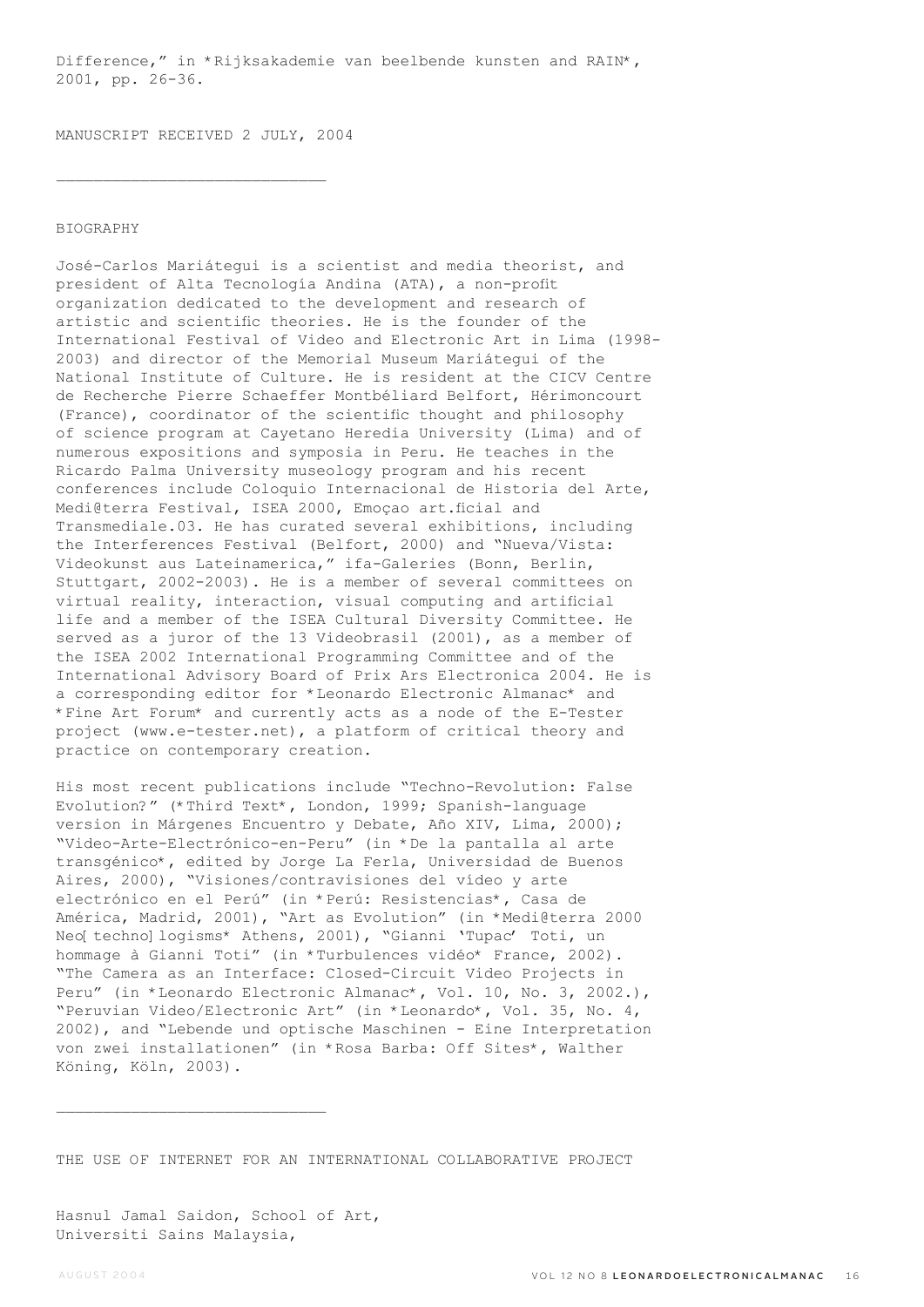Difference," in \*Rijksakademie van beelbende kunsten and RAIN\*, 2001, pp. 26-36.

MANUSCRIPT RECEIVED 2 JULY, 2004

 $\overline{\phantom{a}}$  , where  $\overline{\phantom{a}}$  , where  $\overline{\phantom{a}}$  ,  $\overline{\phantom{a}}$  ,  $\overline{\phantom{a}}$  ,  $\overline{\phantom{a}}$  ,  $\overline{\phantom{a}}$  ,  $\overline{\phantom{a}}$  ,  $\overline{\phantom{a}}$  ,  $\overline{\phantom{a}}$  ,  $\overline{\phantom{a}}$  ,  $\overline{\phantom{a}}$  ,  $\overline{\phantom{a}}$  ,  $\overline{\phantom{a}}$  ,  $\overline{\phantom{a}}$  ,

# BIOGRAPHY

José-Carlos Mariátegui is a scientist and media theorist, and president of Alta Tecnología Andina (ATA), a non-profit organization dedicated to the development and research of artistic and scientific theories. He is the founder of the International Festival of Video and Electronic Art in Lima (1998- 2003) and director of the Memorial Museum Mariátegui of the National Institute of Culture. He is resident at the CICV Centre de Recherche Pierre Schaeffer Montbéliard Belfort, Hérimoncourt (France), coordinator of the scientific thought and philosophy of science program at Cayetano Heredia University (Lima) and of numerous expositions and symposia in Peru. He teaches in the Ricardo Palma University museology program and his recent conferences include Coloquio Internacional de Historia del Arte, Medi@terra Festival, ISEA 2000, Emoçao art.ficial and Transmediale.03. He has curated several exhibitions, including the Interferences Festival (Belfort, 2000) and "Nueva/Vista: Videokunst aus Lateinamerica," ifa-Galeries (Bonn, Berlin, Stuttgart, 2002-2003). He is a member of several committees on virtual reality, interaction, visual computing and artificial life and a member of the ISEA Cultural Diversity Committee. He served as a juror of the 13 Videobrasil (2001), as a member of the ISEA 2002 International Programming Committee and of the International Advisory Board of Prix Ars Electronica 2004. He is a corresponding editor for \*Leonardo Electronic Almanac\* and \*Fine Art Forum\* and currently acts as a node of the E-Tester project (www.e-tester.net), a platform of critical theory and practice on contemporary creation.

His most recent publications include "Techno-Revolution: False Evolution?" (\*Third Text\*, London, 1999; Spanish-language version in Márgenes Encuentro y Debate, Año XIV, Lima, 2000); "Video-Arte-Electrónico-en-Peru" (in \*De la pantalla al arte transgénico\*, edited by Jorge La Ferla, Universidad de Buenos Aires, 2000), "Visiones/contravisiones del vídeo y arte electrónico en el Perú" (in \*Perú: Resistencias\*, Casa de América, Madrid, 2001), "Art as Evolution" (in \*Medi@terra 2000 Neo[ techno] logisms\* Athens, 2001), "Gianni 'Tupac' Toti, un hommage à Gianni Toti" (in \*Turbulences vidéo\* France, 2002). "The Camera as an Interface: Closed-Circuit Video Projects in Peru" (in \*Leonardo Electronic Almanac\*, Vol. 10, No. 3, 2002.), "Peruvian Video/Electronic Art" (in \*Leonardo\*, Vol. 35, No. 4, 2002), and "Lebende und optische Maschinen - Eine Interpretation von zwei installationen" (in \*Rosa Barba: Off Sites\*, Walther Köning, Köln, 2003).

THE USE OF INTERNET FOR AN INTERNATIONAL COLLABORATIVE PROJECT

Hasnul Jamal Saidon, School of Art, Universiti Sains Malaysia,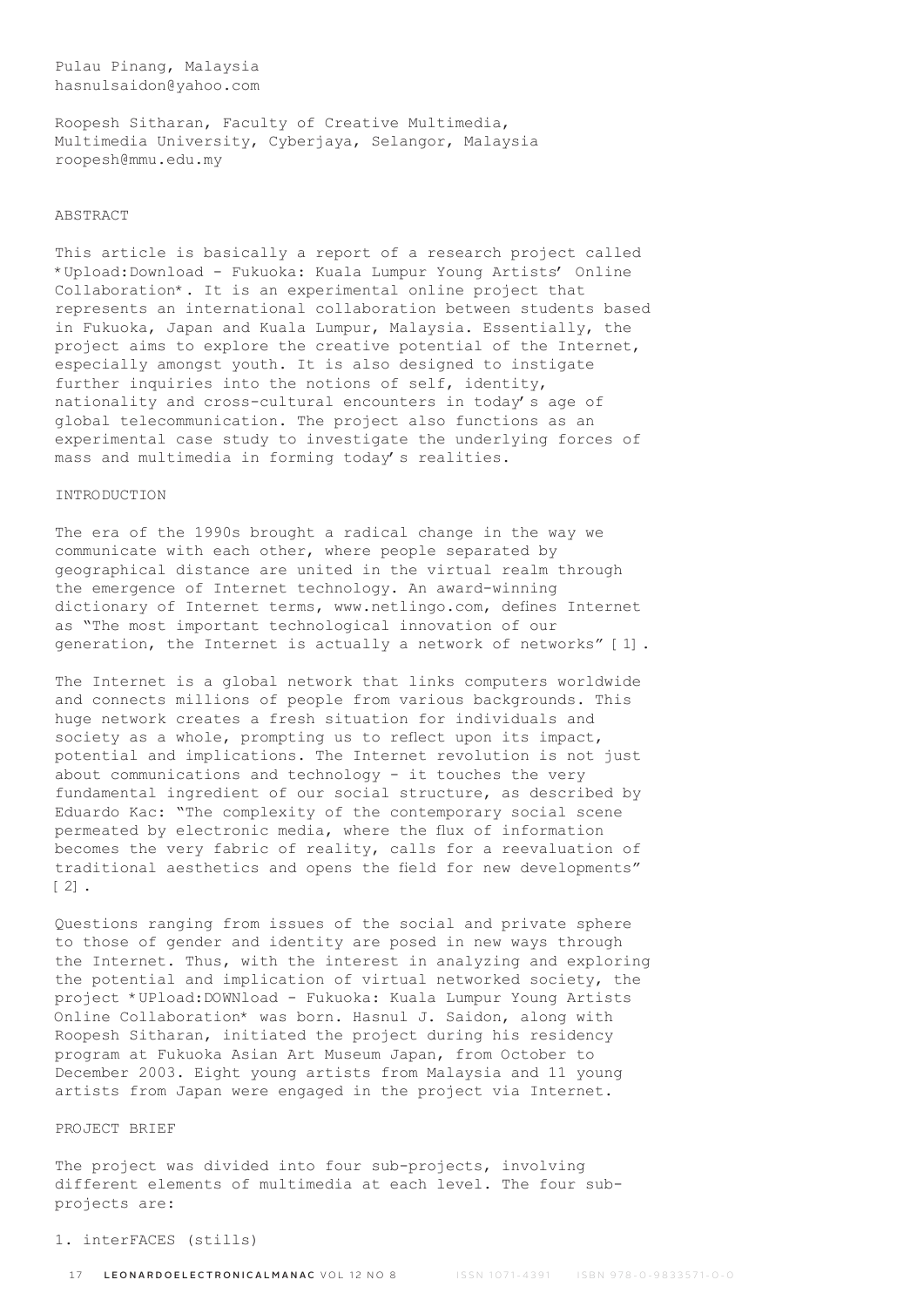# Pulau Pinang, Malaysia hasnulsaidon@yahoo.com

Roopesh Sitharan, Faculty of Creative Multimedia, Multimedia University, Cyberjaya, Selangor, Malaysia roopesh@mmu.edu.my

# ABSTRACT

This article is basically a report of a research project called \*Upload:Download - Fukuoka: Kuala Lumpur Young Artists' Online Collaboration\*. It is an experimental online project that represents an international collaboration between students based in Fukuoka, Japan and Kuala Lumpur, Malaysia. Essentially, the project aims to explore the creative potential of the Internet, especially amongst youth. It is also designed to instigate further inquiries into the notions of self, identity, nationality and cross-cultural encounters in today's age of global telecommunication. The project also functions as an experimental case study to investigate the underlying forces of mass and multimedia in forming today's realities.

### INTRODUCTION

The era of the 1990s brought a radical change in the way we communicate with each other, where people separated by geographical distance are united in the virtual realm through the emergence of Internet technology. An award-winning dictionary of Internet terms, www.netlingo.com, defines Internet as "The most important technological innovation of our generation, the Internet is actually a network of networks" [1].

The Internet is a global network that links computers worldwide and connects millions of people from various backgrounds. This huge network creates a fresh situation for individuals and society as a whole, prompting us to reflect upon its impact, potential and implications. The Internet revolution is not just about communications and technology - it touches the very fundamental ingredient of our social structure, as described by Eduardo Kac: "The complexity of the contemporary social scene permeated by electronic media, where the flux of information becomes the very fabric of reality, calls for a reevaluation of traditional aesthetics and opens the field for new developments" [2].

Questions ranging from issues of the social and private sphere to those of gender and identity are posed in new ways through the Internet. Thus, with the interest in analyzing and exploring the potential and implication of virtual networked society, the project \*UPload:DOWNload - Fukuoka: Kuala Lumpur Young Artists Online Collaboration\* was born. Hasnul J. Saidon, along with Roopesh Sitharan, initiated the project during his residency program at Fukuoka Asian Art Museum Japan, from October to December 2003. Eight young artists from Malaysia and 11 young artists from Japan were engaged in the project via Internet.

# PROJECT BRIEF

The project was divided into four sub-projects, involving different elements of multimedia at each level. The four subprojects are:

### 1. interFACES (stills)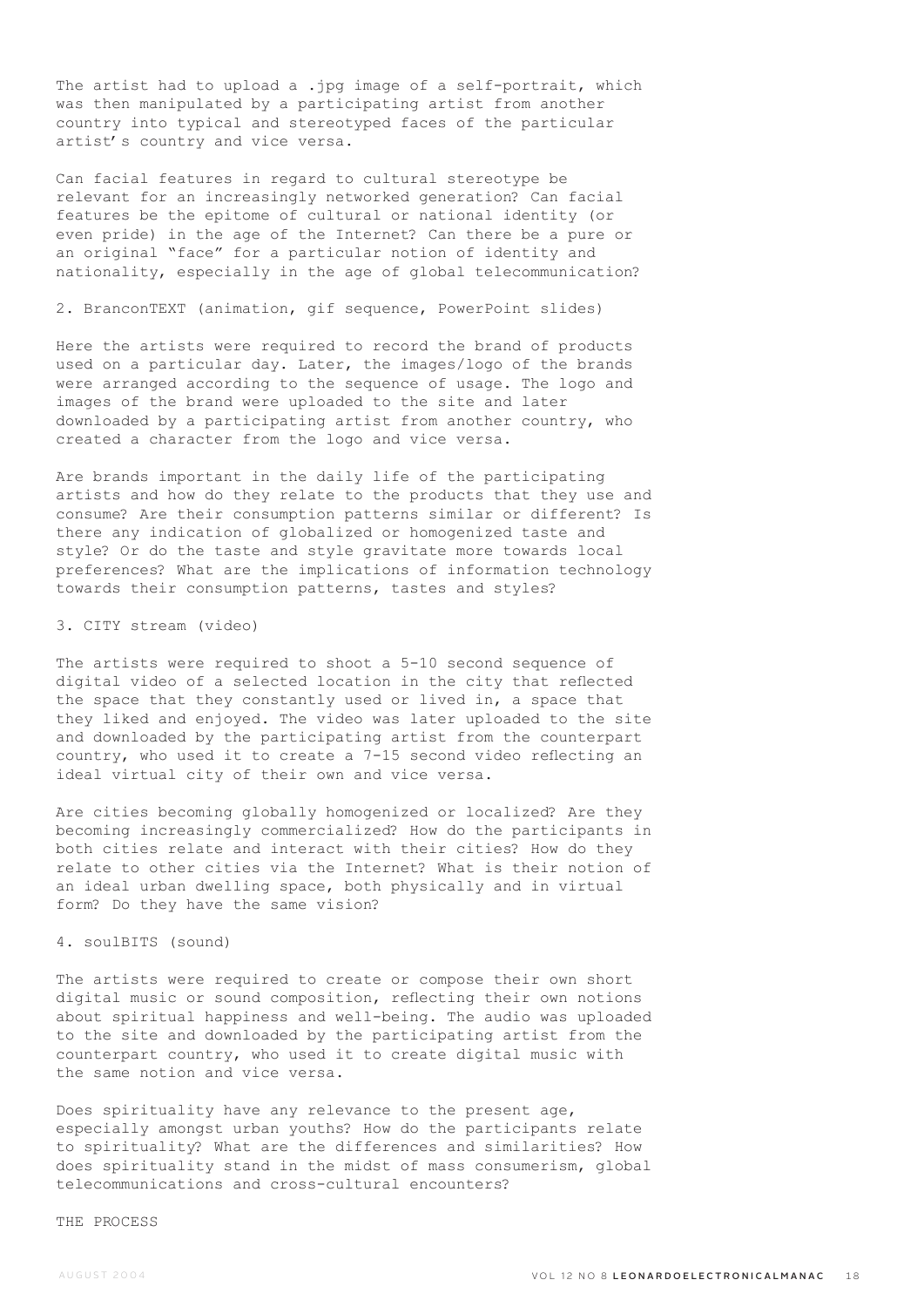The artist had to upload a .jpg image of a self-portrait, which was then manipulated by a participating artist from another country into typical and stereotyped faces of the particular artist's country and vice versa.

Can facial features in regard to cultural stereotype be relevant for an increasingly networked generation? Can facial features be the epitome of cultural or national identity (or even pride) in the age of the Internet? Can there be a pure or an original "face" for a particular notion of identity and nationality, especially in the age of global telecommunication?

2. BranconTEXT (animation, gif sequence, PowerPoint slides)

Here the artists were required to record the brand of products used on a particular day. Later, the images/logo of the brands were arranged according to the sequence of usage. The logo and images of the brand were uploaded to the site and later downloaded by a participating artist from another country, who created a character from the logo and vice versa.

Are brands important in the daily life of the participating artists and how do they relate to the products that they use and consume? Are their consumption patterns similar or different? Is there any indication of globalized or homogenized taste and style? Or do the taste and style gravitate more towards local preferences? What are the implications of information technology towards their consumption patterns, tastes and styles?

### 3. CITY stream (video)

The artists were required to shoot a 5-10 second sequence of digital video of a selected location in the city that reflected the space that they constantly used or lived in, a space that they liked and enjoyed. The video was later uploaded to the site and downloaded by the participating artist from the counterpart country, who used it to create a 7-15 second video reflecting an ideal virtual city of their own and vice versa.

Are cities becoming globally homogenized or localized? Are they becoming increasingly commercialized? How do the participants in both cities relate and interact with their cities? How do they relate to other cities via the Internet? What is their notion of an ideal urban dwelling space, both physically and in virtual form? Do they have the same vision?

### 4. soulBITS (sound)

The artists were required to create or compose their own short digital music or sound composition, reflecting their own notions about spiritual happiness and well-being. The audio was uploaded to the site and downloaded by the participating artist from the counterpart country, who used it to create digital music with the same notion and vice versa.

Does spirituality have any relevance to the present age, especially amongst urban youths? How do the participants relate to spirituality? What are the differences and similarities? How does spirituality stand in the midst of mass consumerism, global telecommunications and cross-cultural encounters?

### THE PROCESS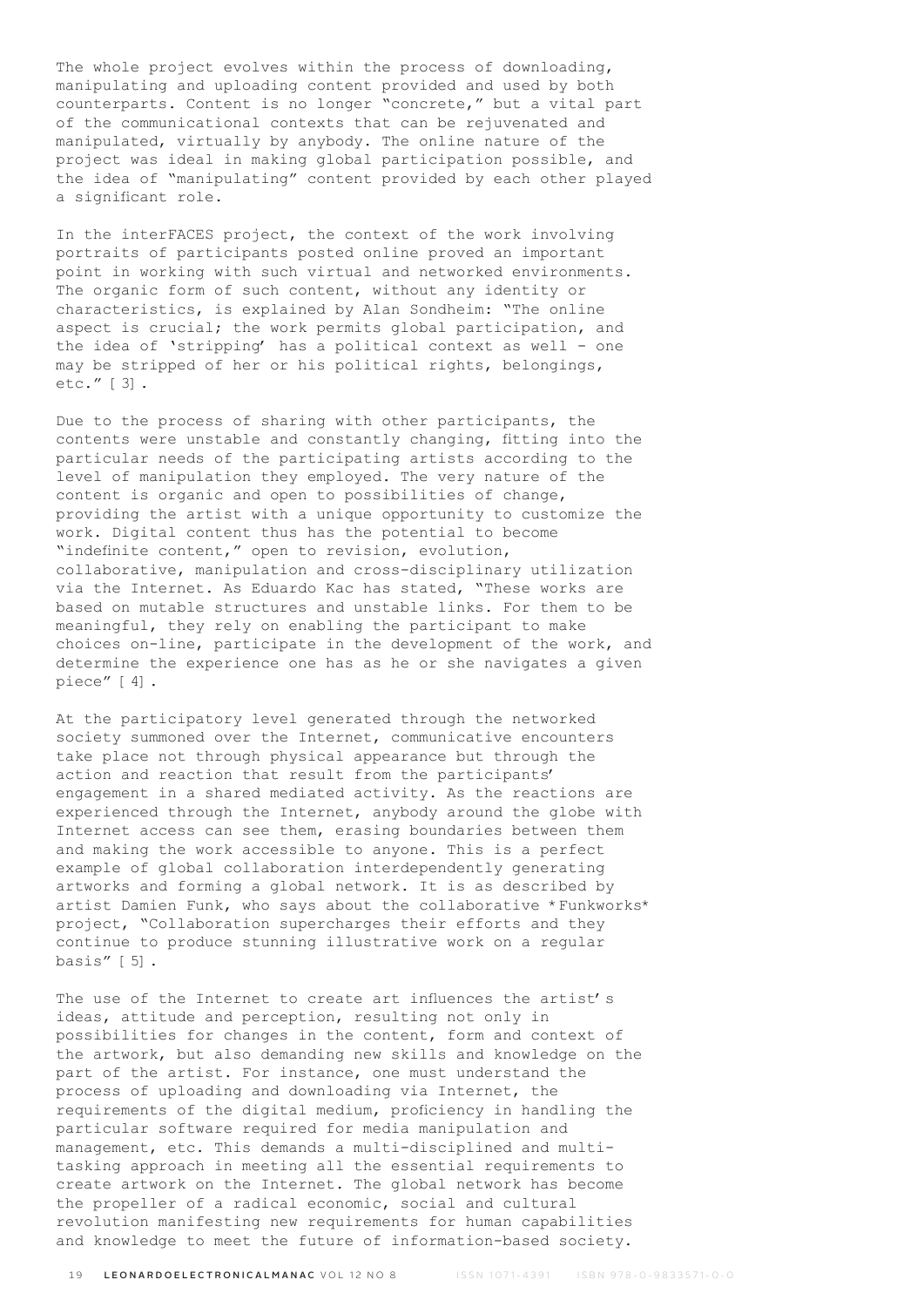The whole project evolves within the process of downloading, manipulating and uploading content provided and used by both counterparts. Content is no longer "concrete," but a vital part of the communicational contexts that can be rejuvenated and manipulated, virtually by anybody. The online nature of the project was ideal in making global participation possible, and the idea of "manipulating" content provided by each other played a significant role.

In the interFACES project, the context of the work involving portraits of participants posted online proved an important point in working with such virtual and networked environments. The organic form of such content, without any identity or characteristics, is explained by Alan Sondheim: "The online aspect is crucial; the work permits global participation, and the idea of 'stripping' has a political context as well - one may be stripped of her or his political rights, belongings, etc." [3].

Due to the process of sharing with other participants, the contents were unstable and constantly changing, fitting into the particular needs of the participating artists according to the level of manipulation they employed. The very nature of the content is organic and open to possibilities of change, providing the artist with a unique opportunity to customize the work. Digital content thus has the potential to become "indefinite content," open to revision, evolution, collaborative, manipulation and cross-disciplinary utilization via the Internet. As Eduardo Kac has stated, "These works are based on mutable structures and unstable links. For them to be meaningful, they rely on enabling the participant to make choices on-line, participate in the development of the work, and determine the experience one has as he or she navigates a given piece" [4].

At the participatory level generated through the networked society summoned over the Internet, communicative encounters take place not through physical appearance but through the action and reaction that result from the participants' engagement in a shared mediated activity. As the reactions are experienced through the Internet, anybody around the globe with Internet access can see them, erasing boundaries between them and making the work accessible to anyone. This is a perfect example of global collaboration interdependently generating artworks and forming a global network. It is as described by artist Damien Funk, who says about the collaborative \*Funkworks\* project, "Collaboration supercharges their efforts and they continue to produce stunning illustrative work on a regular basis" [5].

The use of the Internet to create art influences the artist's ideas, attitude and perception, resulting not only in possibilities for changes in the content, form and context of the artwork, but also demanding new skills and knowledge on the part of the artist. For instance, one must understand the process of uploading and downloading via Internet, the requirements of the digital medium, proficiency in handling the particular software required for media manipulation and management, etc. This demands a multi-disciplined and multitasking approach in meeting all the essential requirements to create artwork on the Internet. The global network has become the propeller of a radical economic, social and cultural revolution manifesting new requirements for human capabilities and knowledge to meet the future of information-based society.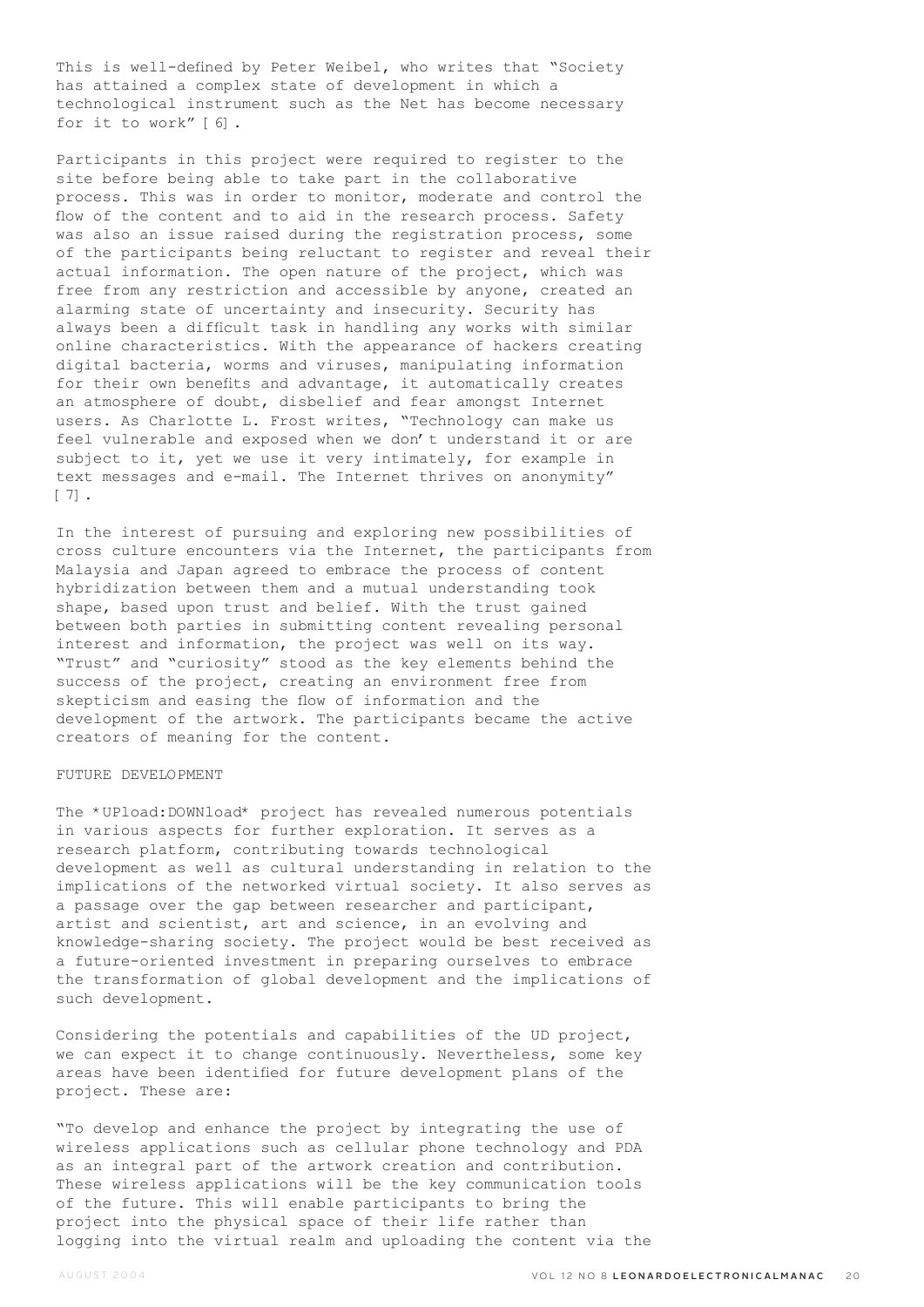This is well-defined by Peter Weibel, who writes that "Society has attained a complex state of development in which a technological instrument such as the Net has become necessary for it to work" [6].

Participants in this project were required to register to the site before being able to take part in the collaborative process. This was in order to monitor, moderate and control the flow of the content and to aid in the research process. Safety was also an issue raised during the registration process, some of the participants being reluctant to register and reveal their actual information. The open nature of the project, which was free from any restriction and accessible by anyone, created an alarming state of uncertainty and insecurity. Security has always been a difficult task in handling any works with similar online characteristics. With the appearance of hackers creating digital bacteria, worms and viruses, manipulating information for their own benefits and advantage, it automatically creates an atmosphere of doubt, disbelief and fear amongst Internet users. As Charlotte L. Frost writes, "Technology can make us feel vulnerable and exposed when we don't understand it or are subject to it, yet we use it very intimately, for example in text messages and e-mail. The Internet thrives on anonymity" [7].

In the interest of pursuing and exploring new possibilities of cross culture encounters via the Internet, the participants from Malaysia and Japan agreed to embrace the process of content hybridization between them and a mutual understanding took shape, based upon trust and belief. With the trust gained between both parties in submitting content revealing personal interest and information, the project was well on its way. "Trust" and "curiosity" stood as the key elements behind the success of the project, creating an environment free from skepticism and easing the flow of information and the development of the artwork. The participants became the active creators of meaning for the content.

### FUTURE DEVELOPMENT

The \*UPload:DOWNload\* project has revealed numerous potentials in various aspects for further exploration. It serves as a research platform, contributing towards technological development as well as cultural understanding in relation to the implications of the networked virtual society. It also serves as a passage over the gap between researcher and participant, artist and scientist, art and science, in an evolving and knowledge-sharing society. The project would be best received as a future-oriented investment in preparing ourselves to embrace the transformation of global development and the implications of such development.

Considering the potentials and capabilities of the UD project, we can expect it to change continuously. Nevertheless, some key areas have been identified for future development plans of the project. These are:

"To develop and enhance the project by integrating the use of wireless applications such as cellular phone technology and PDA as an integral part of the artwork creation and contribution. These wireless applications will be the key communication tools of the future. This will enable participants to bring the project into the physical space of their life rather than logging into the virtual realm and uploading the content via the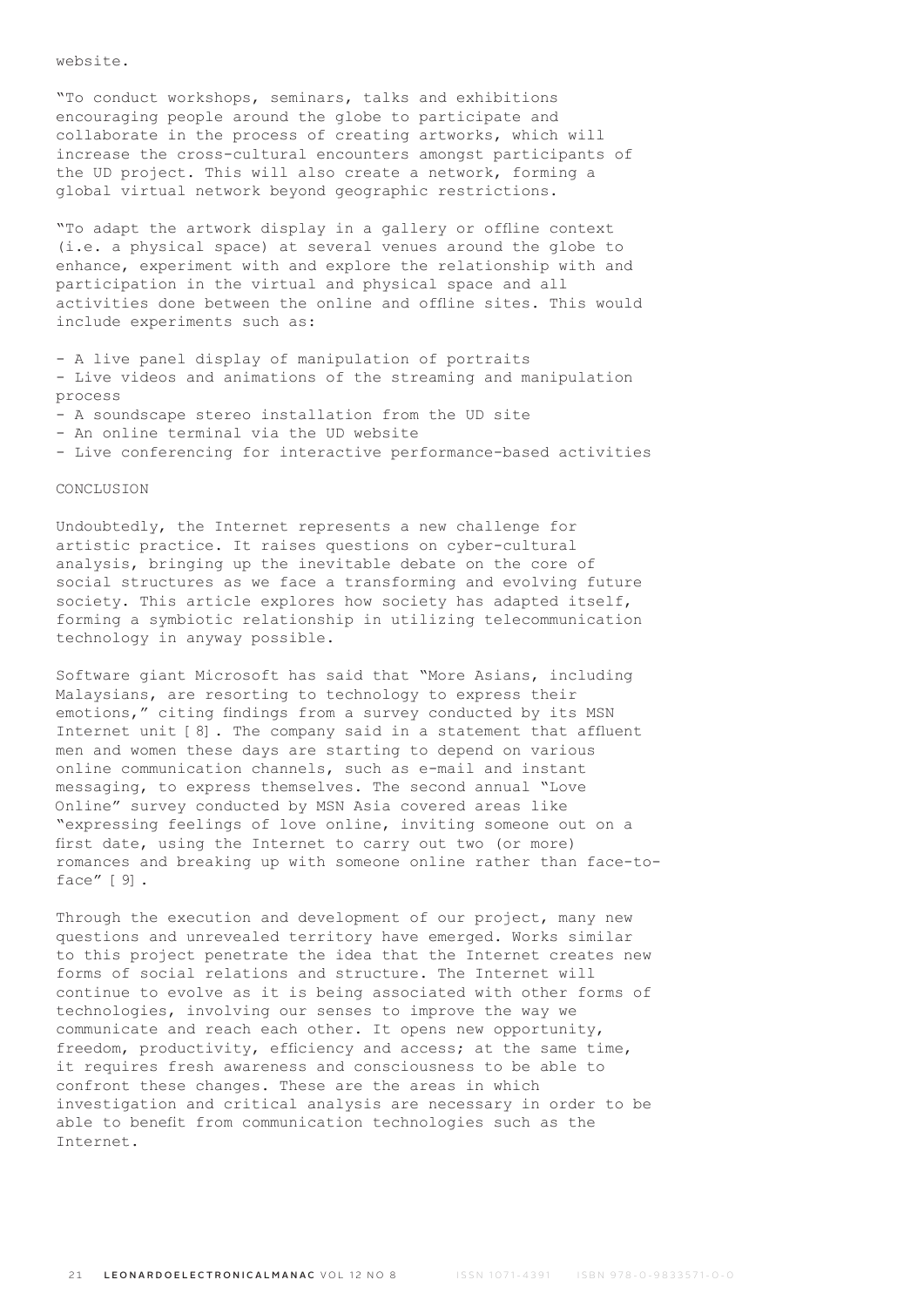website.

"To conduct workshops, seminars, talks and exhibitions encouraging people around the globe to participate and collaborate in the process of creating artworks, which will increase the cross-cultural encounters amongst participants of the UD project. This will also create a network, forming a global virtual network beyond geographic restrictions.

"To adapt the artwork display in a gallery or offline context (i.e. a physical space) at several venues around the globe to enhance, experiment with and explore the relationship with and participation in the virtual and physical space and all activities done between the online and offline sites. This would include experiments such as:

- A live panel display of manipulation of portraits - Live videos and animations of the streaming and manipulation process

- A soundscape stereo installation from the UD site
- An online terminal via the UD website

- Live conferencing for interactive performance-based activities

# CONCLUSION

Undoubtedly, the Internet represents a new challenge for artistic practice. It raises questions on cyber-cultural analysis, bringing up the inevitable debate on the core of social structures as we face a transforming and evolving future society. This article explores how society has adapted itself, forming a symbiotic relationship in utilizing telecommunication technology in anyway possible.

Software giant Microsoft has said that "More Asians, including Malaysians, are resorting to technology to express their emotions," citing findings from a survey conducted by its MSN Internet unit [8]. The company said in a statement that affluent men and women these days are starting to depend on various online communication channels, such as e-mail and instant messaging, to express themselves. The second annual "Love Online" survey conducted by MSN Asia covered areas like "expressing feelings of love online, inviting someone out on a first date, using the Internet to carry out two (or more) romances and breaking up with someone online rather than face-toface" [9].

Through the execution and development of our project, many new questions and unrevealed territory have emerged. Works similar to this project penetrate the idea that the Internet creates new forms of social relations and structure. The Internet will continue to evolve as it is being associated with other forms of technologies, involving our senses to improve the way we communicate and reach each other. It opens new opportunity, freedom, productivity, efficiency and access; at the same time, it requires fresh awareness and consciousness to be able to confront these changes. These are the areas in which investigation and critical analysis are necessary in order to be able to benefit from communication technologies such as the Internet.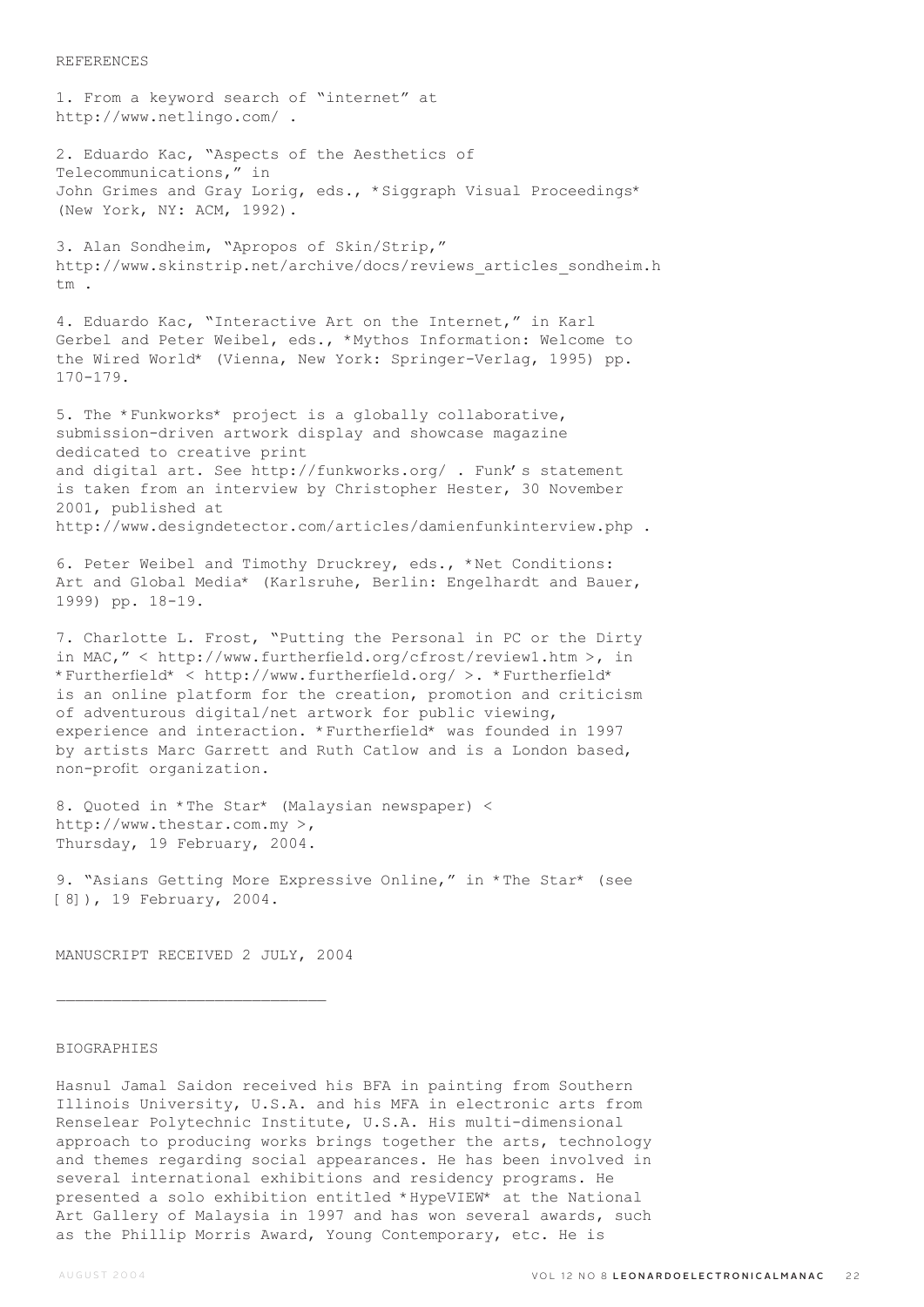#### REFERENCES

1. From a keyword search of "internet" at http://www.netlingo.com/ .

2. Eduardo Kac, "Aspects of the Aesthetics of Telecommunications," in John Grimes and Gray Lorig, eds., \*Siggraph Visual Proceedings\* (New York, NY: ACM, 1992).

3. Alan Sondheim, "Apropos of Skin/Strip," http://www.skinstrip.net/archive/docs/reviews\_articles\_sondheim.h  $+m$ 

4. Eduardo Kac, "Interactive Art on the Internet," in Karl Gerbel and Peter Weibel, eds., \*Mythos Information: Welcome to the Wired World\* (Vienna, New York: Springer-Verlag, 1995) pp. 170-179.

5. The \*Funkworks\* project is a globally collaborative, submission-driven artwork display and showcase magazine dedicated to creative print and digital art. See http://funkworks.org/ . Funk's statement is taken from an interview by Christopher Hester, 30 November 2001, published at http://www.designdetector.com/articles/damienfunkinterview.php .

6. Peter Weibel and Timothy Druckrey, eds., \*Net Conditions: Art and Global Media\* (Karlsruhe, Berlin: Engelhardt and Bauer, 1999) pp. 18-19.

7. Charlotte L. Frost, "Putting the Personal in PC or the Dirty in MAC," < http://www.furtherfield.org/cfrost/review1.htm >, in \*Furtherfield\* < http://www.furtherfield.org/ >. \*Furtherfield\* is an online platform for the creation, promotion and criticism of adventurous digital/net artwork for public viewing, experience and interaction. \*Furtherfield\* was founded in 1997 by artists Marc Garrett and Ruth Catlow and is a London based, non-profit organization.

8. Quoted in \*The Star\* (Malaysian newspaper) < http://www.thestar.com.my >, Thursday, 19 February, 2004.

9. "Asians Getting More Expressive Online," in \*The Star\* (see [8]), 19 February, 2004.

MANUSCRIPT RECEIVED 2 JULY, 2004

### BIOGRAPHIES

Hasnul Jamal Saidon received his BFA in painting from Southern Illinois University, U.S.A. and his MFA in electronic arts from Renselear Polytechnic Institute, U.S.A. His multi-dimensional approach to producing works brings together the arts, technology and themes regarding social appearances. He has been involved in several international exhibitions and residency programs. He presented a solo exhibition entitled \*HypeVIEW\* at the National Art Gallery of Malaysia in 1997 and has won several awards, such as the Phillip Morris Award, Young Contemporary, etc. He is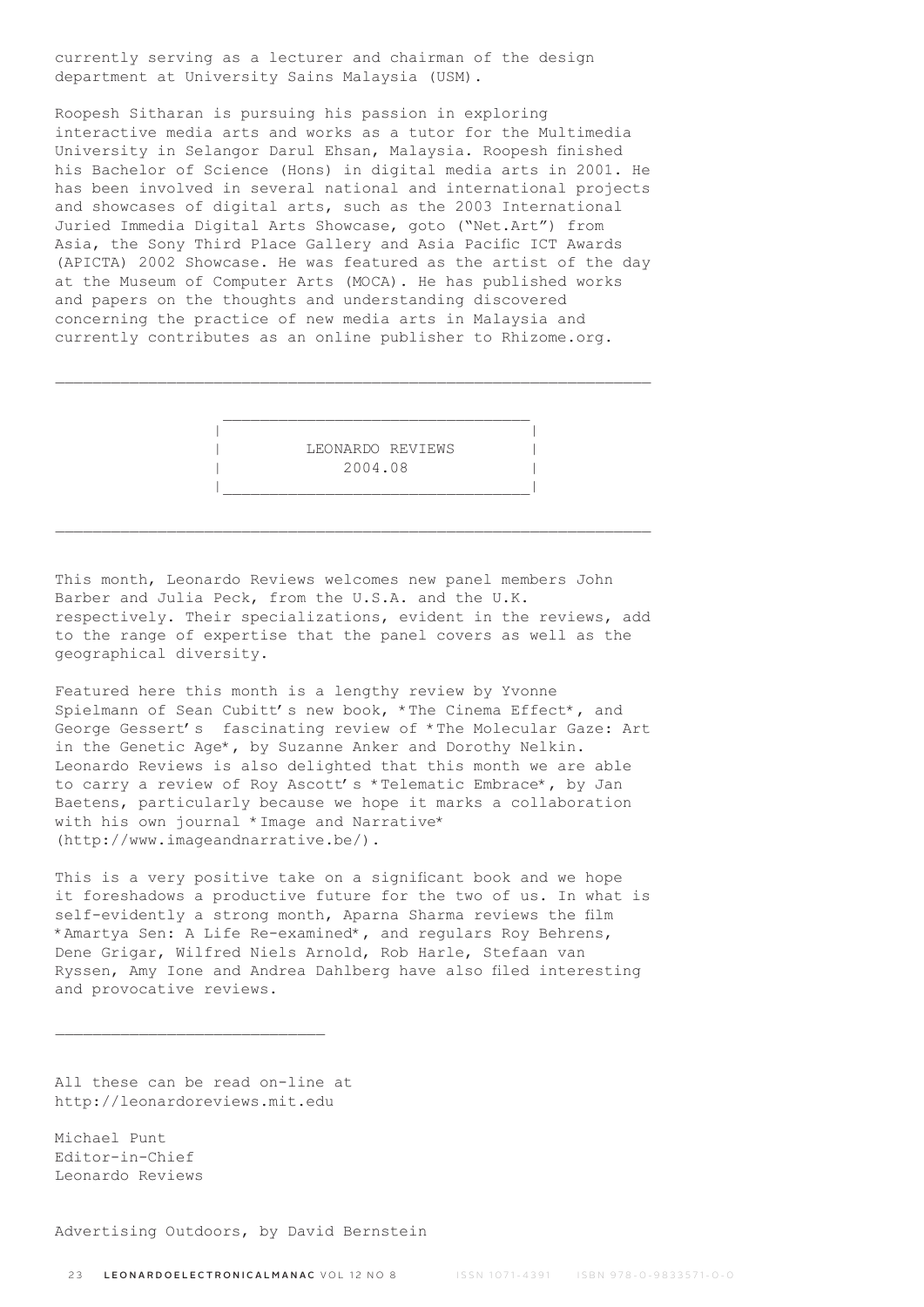currently serving as a lecturer and chairman of the design department at University Sains Malaysia (USM).

Roopesh Sitharan is pursuing his passion in exploring interactive media arts and works as a tutor for the Multimedia University in Selangor Darul Ehsan, Malaysia. Roopesh finished his Bachelor of Science (Hons) in digital media arts in 2001. He has been involved in several national and international projects and showcases of digital arts, such as the 2003 International Juried Immedia Digital Arts Showcase, goto ("Net.Art") from Asia, the Sony Third Place Gallery and Asia Pacific ICT Awards (APICTA) 2002 Showcase. He was featured as the artist of the day at the Museum of Computer Arts (MOCA). He has published works and papers on the thoughts and understanding discovered concerning the practice of new media arts in Malaysia and currently contributes as an online publisher to Rhizome.org.

 | | | LEONARDO REVIEWS | | 2004.08 | |\_\_\_\_\_\_\_\_\_\_\_\_\_\_\_\_\_\_\_\_\_\_\_\_\_\_\_\_\_\_\_\_\_|

This month, Leonardo Reviews welcomes new panel members John Barber and Julia Peck, from the U.S.A. and the U.K. respectively. Their specializations, evident in the reviews, add to the range of expertise that the panel covers as well as the geographical diversity.

Featured here this month is a lengthy review by Yvonne Spielmann of Sean Cubitt's new book, \*The Cinema Effect\*, and George Gessert's fascinating review of \*The Molecular Gaze: Art in the Genetic Age\*, by Suzanne Anker and Dorothy Nelkin. Leonardo Reviews is also delighted that this month we are able to carry a review of Roy Ascott's \*Telematic Embrace\*, by Jan Baetens, particularly because we hope it marks a collaboration with his own journal \*Image and Narrative\* (http://www.imageandnarrative.be/).

This is a very positive take on a significant book and we hope it foreshadows a productive future for the two of us. In what is self-evidently a strong month, Aparna Sharma reviews the film \*Amartya Sen: A Life Re-examined\*, and regulars Roy Behrens, Dene Grigar, Wilfred Niels Arnold, Rob Harle, Stefaan van Ryssen, Amy Ione and Andrea Dahlberg have also filed interesting and provocative reviews.

All these can be read on-line at http://leonardoreviews.mit.edu

 $\overline{\phantom{a}}$  , where  $\overline{\phantom{a}}$  , where  $\overline{\phantom{a}}$  ,  $\overline{\phantom{a}}$  ,  $\overline{\phantom{a}}$  ,  $\overline{\phantom{a}}$  ,  $\overline{\phantom{a}}$  ,  $\overline{\phantom{a}}$  ,  $\overline{\phantom{a}}$  ,  $\overline{\phantom{a}}$  ,  $\overline{\phantom{a}}$  ,  $\overline{\phantom{a}}$  ,  $\overline{\phantom{a}}$  ,  $\overline{\phantom{a}}$  ,  $\overline{\phantom{a}}$  ,

Michael Punt Editor-in-Chief Leonardo Reviews

Advertising Outdoors, by David Bernstein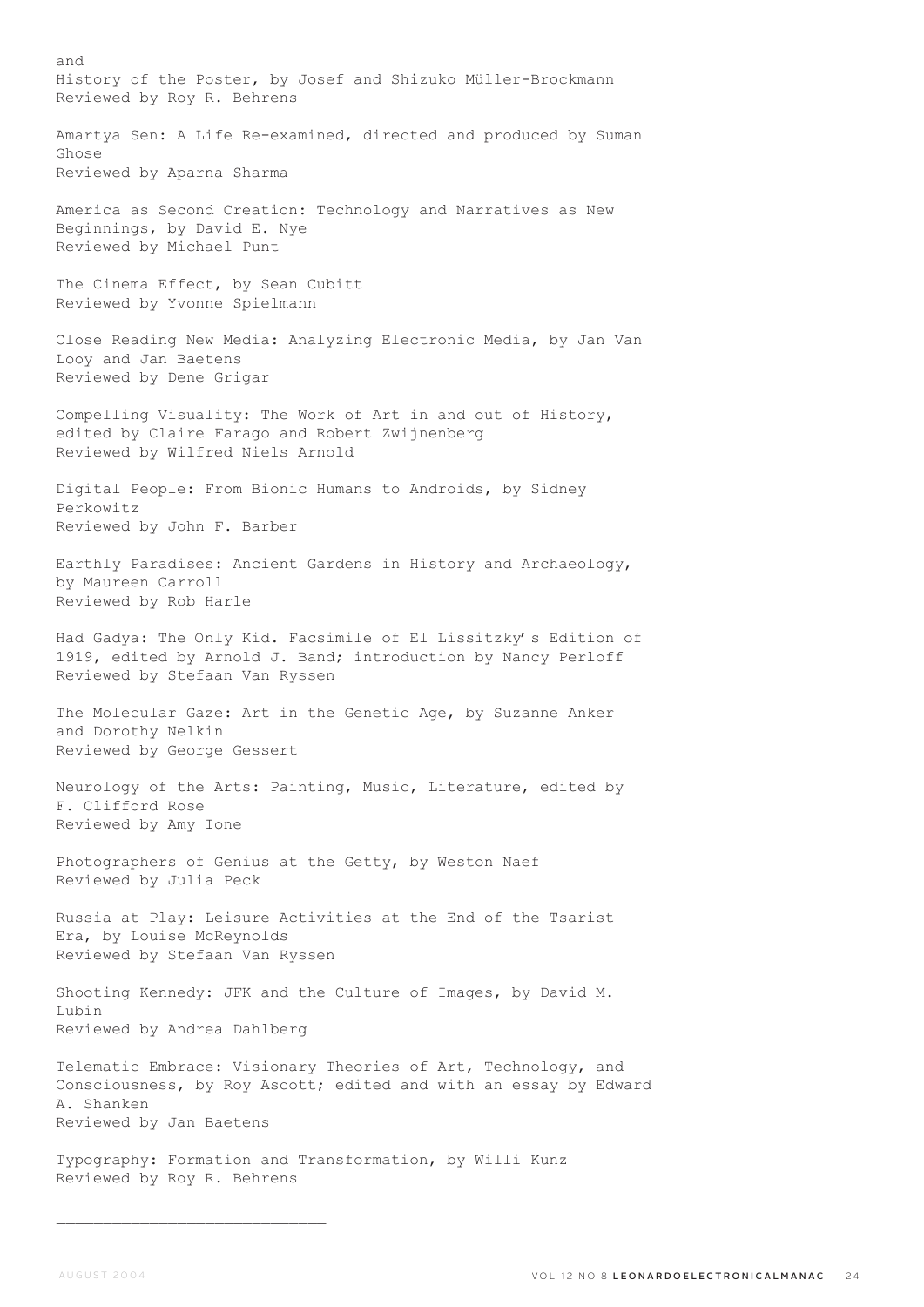and History of the Poster, by Josef and Shizuko Müller-Brockmann Reviewed by Roy R. Behrens Amartya Sen: A Life Re-examined, directed and produced by Suman Ghose Reviewed by Aparna Sharma America as Second Creation: Technology and Narratives as New Beginnings, by David E. Nye Reviewed by Michael Punt The Cinema Effect, by Sean Cubitt Reviewed by Yvonne Spielmann Close Reading New Media: Analyzing Electronic Media, by Jan Van Looy and Jan Baetens Reviewed by Dene Grigar Compelling Visuality: The Work of Art in and out of History, edited by Claire Farago and Robert Zwijnenberg Reviewed by Wilfred Niels Arnold Digital People: From Bionic Humans to Androids, by Sidney Perkowitz Reviewed by John F. Barber Earthly Paradises: Ancient Gardens in History and Archaeology, by Maureen Carroll Reviewed by Rob Harle Had Gadya: The Only Kid. Facsimile of El Lissitzky's Edition of 1919, edited by Arnold J. Band; introduction by Nancy Perloff Reviewed by Stefaan Van Ryssen The Molecular Gaze: Art in the Genetic Age, by Suzanne Anker and Dorothy Nelkin Reviewed by George Gessert Neurology of the Arts: Painting, Music, Literature, edited by F. Clifford Rose Reviewed by Amy Ione Photographers of Genius at the Getty, by Weston Naef Reviewed by Julia Peck Russia at Play: Leisure Activities at the End of the Tsarist Era, by Louise McReynolds Reviewed by Stefaan Van Ryssen Shooting Kennedy: JFK and the Culture of Images, by David M. Lubin Reviewed by Andrea Dahlberg Telematic Embrace: Visionary Theories of Art, Technology, and Consciousness, by Roy Ascott; edited and with an essay by Edward A. Shanken Reviewed by Jan Baetens Typography: Formation and Transformation, by Willi Kunz Reviewed by Roy R. Behrens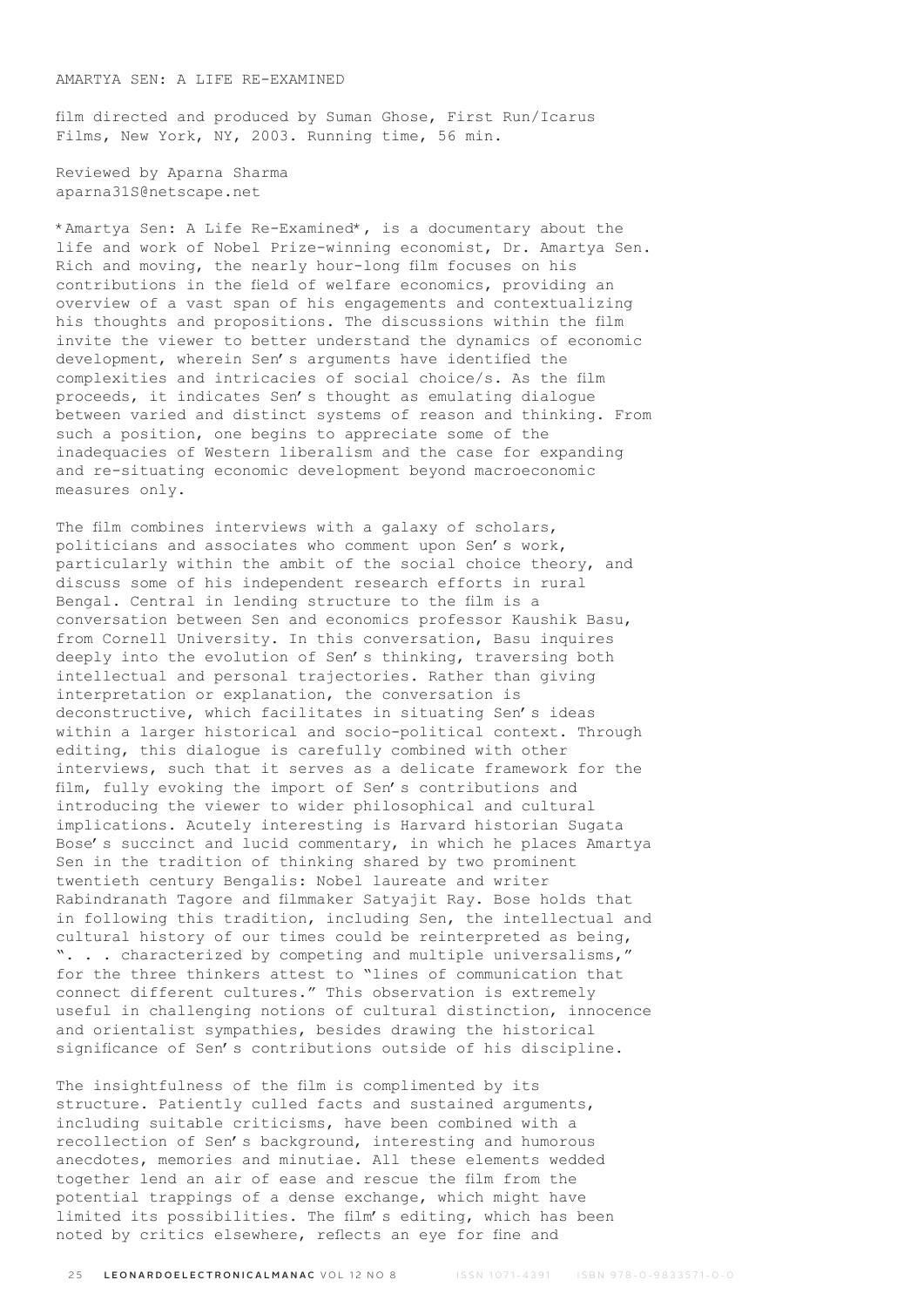# AMARTYA SEN: A LIFE RE-EXAMINED

film directed and produced by Suman Ghose, First Run/Icarus Films, New York, NY, 2003. Running time, 56 min.

Reviewed by Aparna Sharma aparna31S@netscape.net

\*Amartya Sen: A Life Re-Examined\*, is a documentary about the life and work of Nobel Prize-winning economist, Dr. Amartya Sen. Rich and moving, the nearly hour-long film focuses on his contributions in the field of welfare economics, providing an overview of a vast span of his engagements and contextualizing his thoughts and propositions. The discussions within the film invite the viewer to better understand the dynamics of economic development, wherein Sen's arguments have identified the complexities and intricacies of social choice/s. As the film proceeds, it indicates Sen's thought as emulating dialogue between varied and distinct systems of reason and thinking. From such a position, one begins to appreciate some of the inadequacies of Western liberalism and the case for expanding and re-situating economic development beyond macroeconomic measures only.

The film combines interviews with a galaxy of scholars, politicians and associates who comment upon Sen's work, particularly within the ambit of the social choice theory, and discuss some of his independent research efforts in rural Bengal. Central in lending structure to the film is a conversation between Sen and economics professor Kaushik Basu, from Cornell University. In this conversation, Basu inquires deeply into the evolution of Sen's thinking, traversing both intellectual and personal trajectories. Rather than giving interpretation or explanation, the conversation is deconstructive, which facilitates in situating Sen's ideas within a larger historical and socio-political context. Through editing, this dialogue is carefully combined with other interviews, such that it serves as a delicate framework for the film, fully evoking the import of Sen's contributions and introducing the viewer to wider philosophical and cultural implications. Acutely interesting is Harvard historian Sugata Bose's succinct and lucid commentary, in which he places Amartya Sen in the tradition of thinking shared by two prominent twentieth century Bengalis: Nobel laureate and writer Rabindranath Tagore and filmmaker Satyajit Ray. Bose holds that in following this tradition, including Sen, the intellectual and cultural history of our times could be reinterpreted as being, ". . . characterized by competing and multiple universalisms," for the three thinkers attest to "lines of communication that connect different cultures." This observation is extremely useful in challenging notions of cultural distinction, innocence and orientalist sympathies, besides drawing the historical significance of Sen's contributions outside of his discipline.

The insightfulness of the film is complimented by its structure. Patiently culled facts and sustained arguments, including suitable criticisms, have been combined with a recollection of Sen's background, interesting and humorous anecdotes, memories and minutiae. All these elements wedded together lend an air of ease and rescue the film from the potential trappings of a dense exchange, which might have limited its possibilities. The film's editing, which has been noted by critics elsewhere, reflects an eye for fine and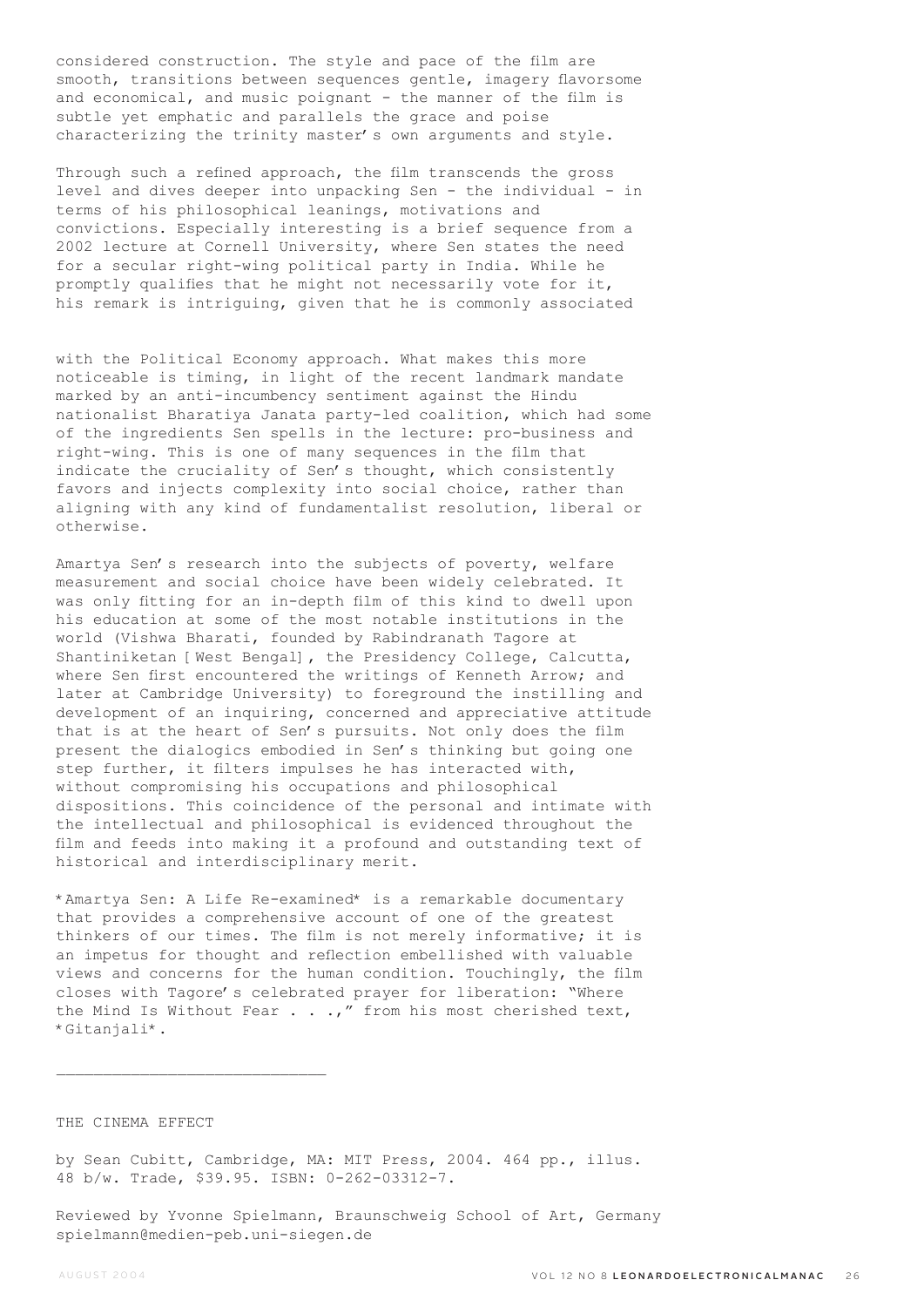considered construction. The style and pace of the film are smooth, transitions between sequences gentle, imagery flavorsome and economical, and music poignant - the manner of the film is subtle yet emphatic and parallels the grace and poise characterizing the trinity master's own arguments and style.

Through such a refined approach, the film transcends the gross level and dives deeper into unpacking Sen - the individual - in terms of his philosophical leanings, motivations and convictions. Especially interesting is a brief sequence from a 2002 lecture at Cornell University, where Sen states the need for a secular right-wing political party in India. While he promptly qualifies that he might not necessarily vote for it, his remark is intriguing, given that he is commonly associated

with the Political Economy approach. What makes this more noticeable is timing, in light of the recent landmark mandate marked by an anti-incumbency sentiment against the Hindu nationalist Bharatiya Janata party-led coalition, which had some of the ingredients Sen spells in the lecture: pro-business and right-wing. This is one of many sequences in the film that indicate the cruciality of Sen's thought, which consistently favors and injects complexity into social choice, rather than aligning with any kind of fundamentalist resolution, liberal or otherwise.

Amartya Sen's research into the subjects of poverty, welfare measurement and social choice have been widely celebrated. It was only fitting for an in-depth film of this kind to dwell upon his education at some of the most notable institutions in the world (Vishwa Bharati, founded by Rabindranath Tagore at Shantiniketan [West Bengal], the Presidency College, Calcutta, where Sen first encountered the writings of Kenneth Arrow: and later at Cambridge University) to foreground the instilling and development of an inquiring, concerned and appreciative attitude that is at the heart of Sen's pursuits. Not only does the film present the dialogics embodied in Sen's thinking but going one step further, it filters impulses he has interacted with, without compromising his occupations and philosophical dispositions. This coincidence of the personal and intimate with the intellectual and philosophical is evidenced throughout the film and feeds into making it a profound and outstanding text of historical and interdisciplinary merit.

\*Amartya Sen: A Life Re-examined\* is a remarkable documentary that provides a comprehensive account of one of the greatest thinkers of our times. The film is not merely informative; it is an impetus for thought and reflection embellished with valuable views and concerns for the human condition. Touchingly, the film closes with Tagore's celebrated prayer for liberation: "Where the Mind Is Without Fear . . .," from his most cherished text, \*Gitanjali\*.

### THE CINEMA EFFECT

by Sean Cubitt, Cambridge, MA: MIT Press, 2004. 464 pp., illus. 48 b/w. Trade, \$39.95. ISBN: 0-262-03312-7.

Reviewed by Yvonne Spielmann, Braunschweig School of Art, Germany spielmann@medien-peb.uni-siegen.de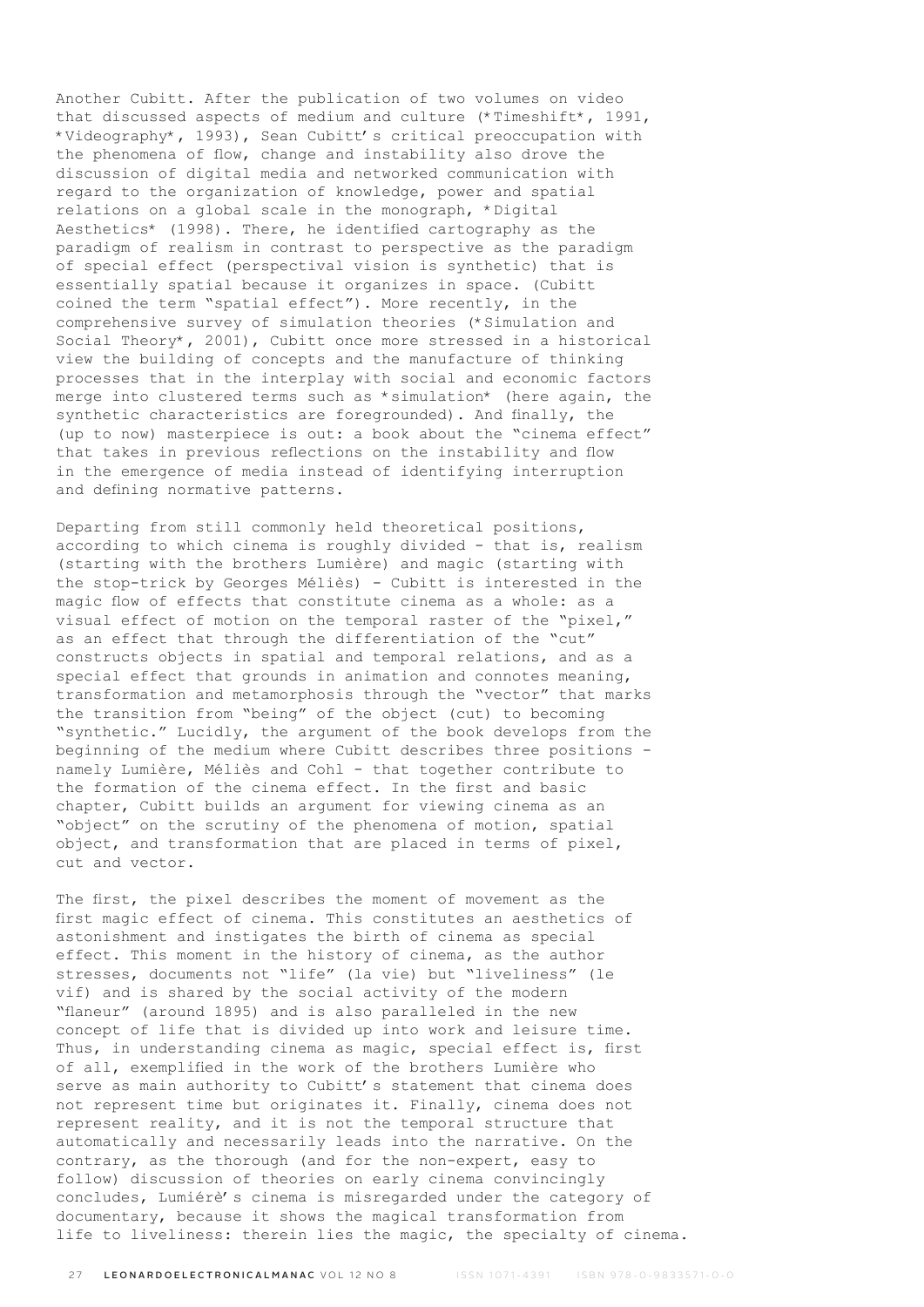Another Cubitt. After the publication of two volumes on video that discussed aspects of medium and culture (\*Timeshift\*, 1991, \*Videography\*, 1993), Sean Cubitt's critical preoccupation with the phenomena of flow, change and instability also drove the discussion of digital media and networked communication with regard to the organization of knowledge, power and spatial relations on a global scale in the monograph, \*Digital Aesthetics\* (1998). There, he identified cartography as the paradigm of realism in contrast to perspective as the paradigm of special effect (perspectival vision is synthetic) that is essentially spatial because it organizes in space. (Cubitt coined the term "spatial effect"). More recently, in the comprehensive survey of simulation theories (\*Simulation and Social Theory\*, 2001), Cubitt once more stressed in a historical view the building of concepts and the manufacture of thinking processes that in the interplay with social and economic factors merge into clustered terms such as \*simulation\* (here again, the synthetic characteristics are foregrounded). And finally, the (up to now) masterpiece is out: a book about the "cinema effect" that takes in previous reflections on the instability and flow in the emergence of media instead of identifying interruption and defining normative patterns.

Departing from still commonly held theoretical positions, according to which cinema is roughly divided - that is, realism (starting with the brothers Lumière) and magic (starting with the stop-trick by Georges Méliès) - Cubitt is interested in the magic flow of effects that constitute cinema as a whole: as a visual effect of motion on the temporal raster of the "pixel," as an effect that through the differentiation of the "cut" constructs objects in spatial and temporal relations, and as a special effect that grounds in animation and connotes meaning, transformation and metamorphosis through the "vector" that marks the transition from "being" of the object (cut) to becoming "synthetic." Lucidly, the argument of the book develops from the beginning of the medium where Cubitt describes three positions namely Lumière, Méliès and Cohl - that together contribute to the formation of the cinema effect. In the first and basic chapter, Cubitt builds an argument for viewing cinema as an "object" on the scrutiny of the phenomena of motion, spatial object, and transformation that are placed in terms of pixel, cut and vector.

The first, the pixel describes the moment of movement as the first magic effect of cinema. This constitutes an aesthetics of astonishment and instigates the birth of cinema as special effect. This moment in the history of cinema, as the author stresses, documents not "life" (la vie) but "liveliness" (le vif) and is shared by the social activity of the modern "flaneur" (around 1895) and is also paralleled in the new concept of life that is divided up into work and leisure time. Thus, in understanding cinema as magic, special effect is, first of all, exemplified in the work of the brothers Lumière who serve as main authority to Cubitt's statement that cinema does not represent time but originates it. Finally, cinema does not represent reality, and it is not the temporal structure that automatically and necessarily leads into the narrative. On the contrary, as the thorough (and for the non-expert, easy to follow) discussion of theories on early cinema convincingly concludes, Lumiérè's cinema is misregarded under the category of documentary, because it shows the magical transformation from life to liveliness: therein lies the magic, the specialty of cinema.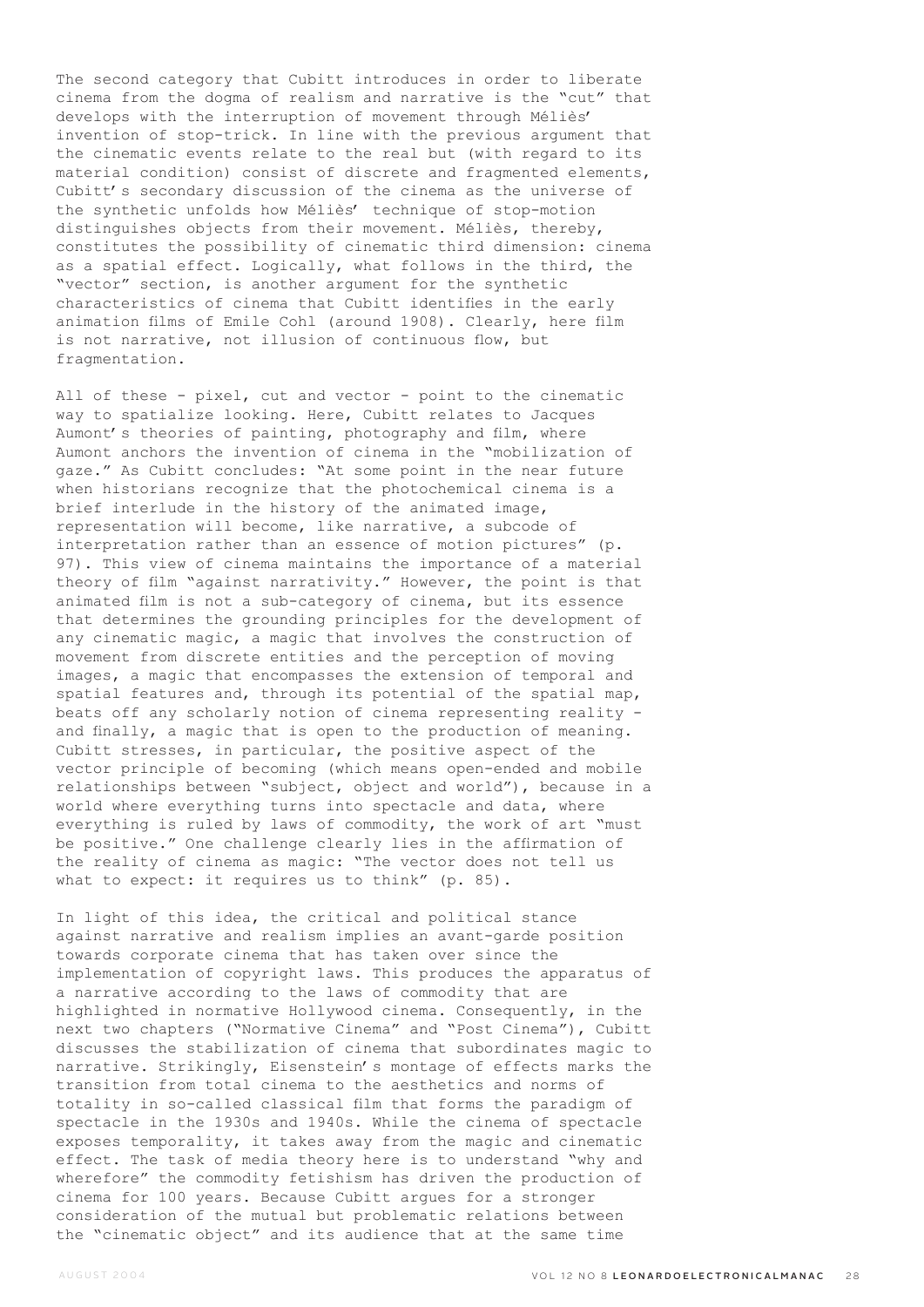The second category that Cubitt introduces in order to liberate cinema from the dogma of realism and narrative is the "cut" that develops with the interruption of movement through Méliès' invention of stop-trick. In line with the previous argument that the cinematic events relate to the real but (with regard to its material condition) consist of discrete and fragmented elements, Cubitt's secondary discussion of the cinema as the universe of the synthetic unfolds how Méliès' technique of stop-motion distinguishes objects from their movement. Méliès, thereby, constitutes the possibility of cinematic third dimension: cinema as a spatial effect. Logically, what follows in the third, the "vector" section, is another argument for the synthetic characteristics of cinema that Cubitt identifies in the early animation films of Emile Cohl (around 1908). Clearly, here film is not narrative, not illusion of continuous flow, but fragmentation.

All of these - pixel, cut and vector - point to the cinematic way to spatialize looking. Here, Cubitt relates to Jacques Aumont's theories of painting, photography and film, where Aumont anchors the invention of cinema in the "mobilization of gaze." As Cubitt concludes: "At some point in the near future when historians recognize that the photochemical cinema is a brief interlude in the history of the animated image, representation will become, like narrative, a subcode of interpretation rather than an essence of motion pictures" (p. 97). This view of cinema maintains the importance of a material theory of film "against narrativity." However, the point is that animated film is not a sub-category of cinema, but its essence that determines the grounding principles for the development of any cinematic magic, a magic that involves the construction of movement from discrete entities and the perception of moving images, a magic that encompasses the extension of temporal and spatial features and, through its potential of the spatial map, beats off any scholarly notion of cinema representing reality and finally, a magic that is open to the production of meaning. Cubitt stresses, in particular, the positive aspect of the vector principle of becoming (which means open-ended and mobile relationships between "subject, object and world"), because in a world where everything turns into spectacle and data, where everything is ruled by laws of commodity, the work of art "must be positive." One challenge clearly lies in the affirmation of the reality of cinema as magic: "The vector does not tell us what to expect: it requires us to think" (p. 85).

In light of this idea, the critical and political stance against narrative and realism implies an avant-garde position towards corporate cinema that has taken over since the implementation of copyright laws. This produces the apparatus of a narrative according to the laws of commodity that are highlighted in normative Hollywood cinema. Consequently, in the next two chapters ("Normative Cinema" and "Post Cinema"), Cubitt discusses the stabilization of cinema that subordinates magic to narrative. Strikingly, Eisenstein's montage of effects marks the transition from total cinema to the aesthetics and norms of totality in so-called classical film that forms the paradigm of spectacle in the 1930s and 1940s. While the cinema of spectacle exposes temporality, it takes away from the magic and cinematic effect. The task of media theory here is to understand "why and wherefore" the commodity fetishism has driven the production of cinema for 100 years. Because Cubitt argues for a stronger consideration of the mutual but problematic relations between the "cinematic object" and its audience that at the same time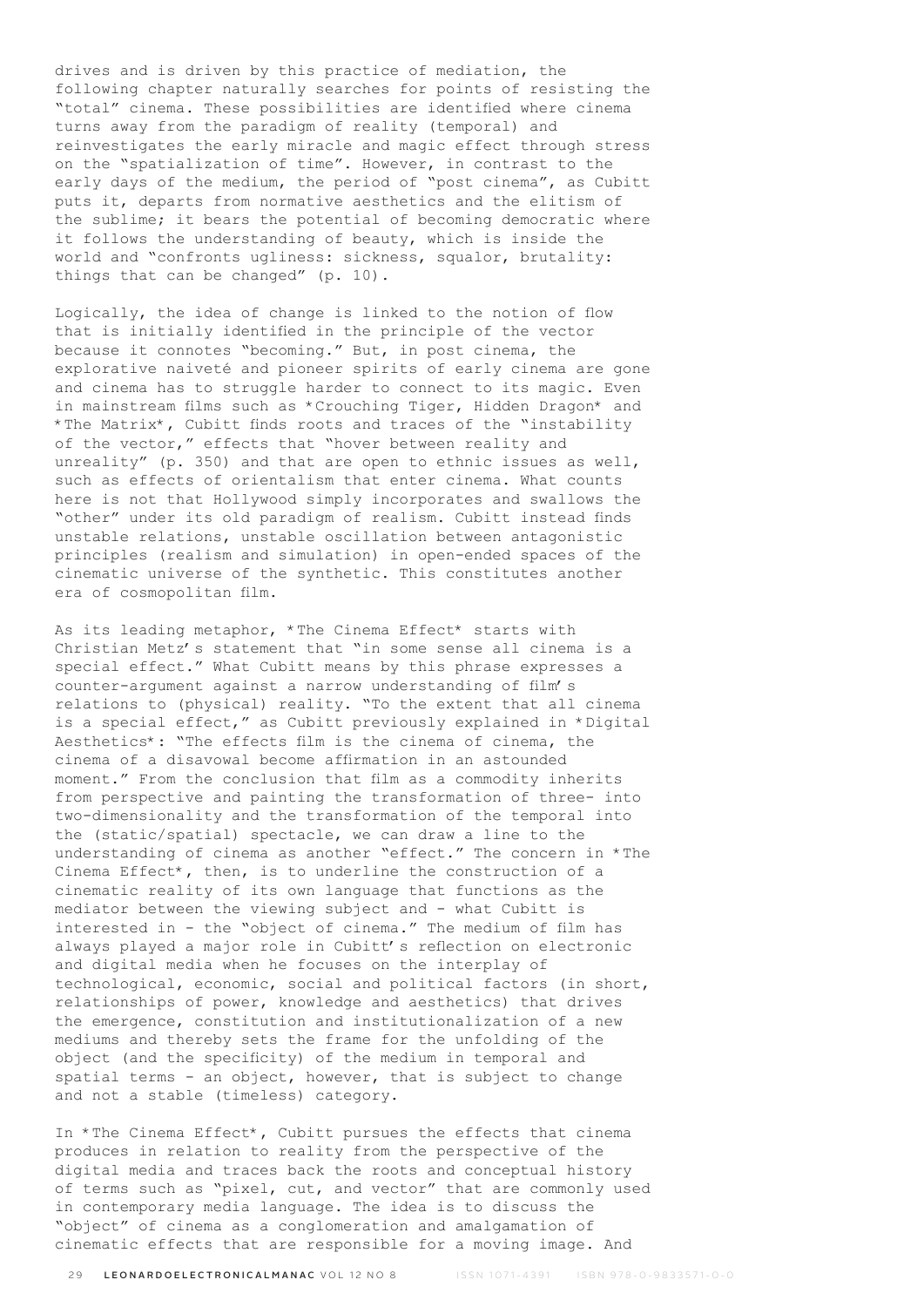drives and is driven by this practice of mediation, the following chapter naturally searches for points of resisting the "total" cinema. These possibilities are identified where cinema turns away from the paradigm of reality (temporal) and reinvestigates the early miracle and magic effect through stress on the "spatialization of time". However, in contrast to the early days of the medium, the period of "post cinema", as Cubitt puts it, departs from normative aesthetics and the elitism of the sublime; it bears the potential of becoming democratic where it follows the understanding of beauty, which is inside the world and "confronts ugliness: sickness, squalor, brutality: things that can be changed" (p. 10).

Logically, the idea of change is linked to the notion of flow that is initially identified in the principle of the vector because it connotes "becoming." But, in post cinema, the explorative naiveté and pioneer spirits of early cinema are gone and cinema has to struggle harder to connect to its magic. Even in mainstream films such as \*Crouching Tiger, Hidden Dragon\* and \*The Matrix\*, Cubitt finds roots and traces of the "instability of the vector," effects that "hover between reality and unreality" (p. 350) and that are open to ethnic issues as well, such as effects of orientalism that enter cinema. What counts here is not that Hollywood simply incorporates and swallows the "other" under its old paradigm of realism. Cubitt instead finds unstable relations, unstable oscillation between antagonistic principles (realism and simulation) in open-ended spaces of the cinematic universe of the synthetic. This constitutes another era of cosmopolitan film.

As its leading metaphor, \*The Cinema Effect\* starts with Christian Metz's statement that "in some sense all cinema is a special effect." What Cubitt means by this phrase expresses a counter-argument against a narrow understanding of film's relations to (physical) reality. "To the extent that all cinema is a special effect," as Cubitt previously explained in \*Digital Aesthetics\*: "The effects film is the cinema of cinema, the cinema of a disavowal become affirmation in an astounded moment." From the conclusion that film as a commodity inherits from perspective and painting the transformation of three- into two-dimensionality and the transformation of the temporal into the (static/spatial) spectacle, we can draw a line to the understanding of cinema as another "effect." The concern in \*The Cinema Effect\*, then, is to underline the construction of a cinematic reality of its own language that functions as the mediator between the viewing subject and - what Cubitt is interested in - the "object of cinema." The medium of film has always played a major role in Cubitt's reflection on electronic and digital media when he focuses on the interplay of technological, economic, social and political factors (in short, relationships of power, knowledge and aesthetics) that drives the emergence, constitution and institutionalization of a new mediums and thereby sets the frame for the unfolding of the object (and the specificity) of the medium in temporal and spatial terms - an object, however, that is subject to change and not a stable (timeless) category.

In \*The Cinema Effect\*, Cubitt pursues the effects that cinema produces in relation to reality from the perspective of the digital media and traces back the roots and conceptual history of terms such as "pixel, cut, and vector" that are commonly used in contemporary media language. The idea is to discuss the "object" of cinema as a conglomeration and amalgamation of cinematic effects that are responsible for a moving image. And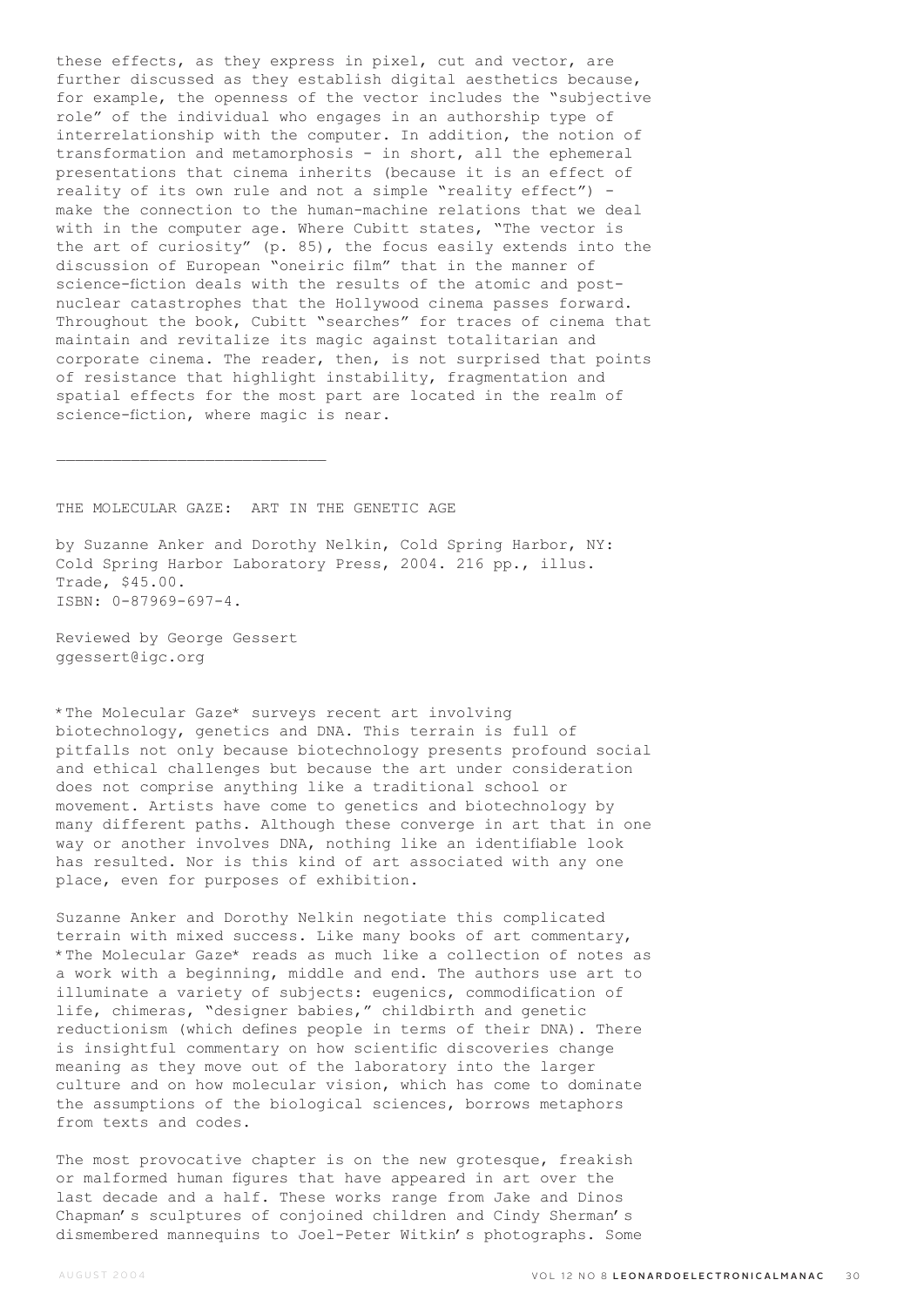these effects, as they express in pixel, cut and vector, are further discussed as they establish digital aesthetics because, for example, the openness of the vector includes the "subjective role" of the individual who engages in an authorship type of interrelationship with the computer. In addition, the notion of transformation and metamorphosis - in short, all the ephemeral presentations that cinema inherits (because it is an effect of reality of its own rule and not a simple "reality effect") make the connection to the human-machine relations that we deal with in the computer age. Where Cubitt states, "The vector is the art of curiosity" (p. 85), the focus easily extends into the discussion of European "oneiric film" that in the manner of science-fiction deals with the results of the atomic and postnuclear catastrophes that the Hollywood cinema passes forward. Throughout the book, Cubitt "searches" for traces of cinema that maintain and revitalize its magic against totalitarian and corporate cinema. The reader, then, is not surprised that points of resistance that highlight instability, fragmentation and spatial effects for the most part are located in the realm of science-fiction, where magic is near.

THE MOLECULAR GAZE: ART IN THE GENETIC AGE

by Suzanne Anker and Dorothy Nelkin, Cold Spring Harbor, NY: Cold Spring Harbor Laboratory Press, 2004. 216 pp., illus. Trade, \$45.00. ISBN: 0-87969-697-4.

Reviewed by George Gessert ggessert@igc.org

 $\mathcal{L}_\text{max}$ 

\*The Molecular Gaze\* surveys recent art involving biotechnology, genetics and DNA. This terrain is full of pitfalls not only because biotechnology presents profound social and ethical challenges but because the art under consideration does not comprise anything like a traditional school or movement. Artists have come to genetics and biotechnology by many different paths. Although these converge in art that in one way or another involves DNA, nothing like an identifiable look has resulted. Nor is this kind of art associated with any one place, even for purposes of exhibition.

Suzanne Anker and Dorothy Nelkin negotiate this complicated terrain with mixed success. Like many books of art commentary, \*The Molecular Gaze\* reads as much like a collection of notes as a work with a beginning, middle and end. The authors use art to illuminate a variety of subjects: eugenics, commodification of life, chimeras, "designer babies," childbirth and genetic reductionism (which defines people in terms of their DNA). There is insightful commentary on how scientific discoveries change meaning as they move out of the laboratory into the larger culture and on how molecular vision, which has come to dominate the assumptions of the biological sciences, borrows metaphors from texts and codes.

The most provocative chapter is on the new grotesque, freakish or malformed human figures that have appeared in art over the last decade and a half. These works range from Jake and Dinos Chapman's sculptures of conjoined children and Cindy Sherman's dismembered mannequins to Joel-Peter Witkin's photographs. Some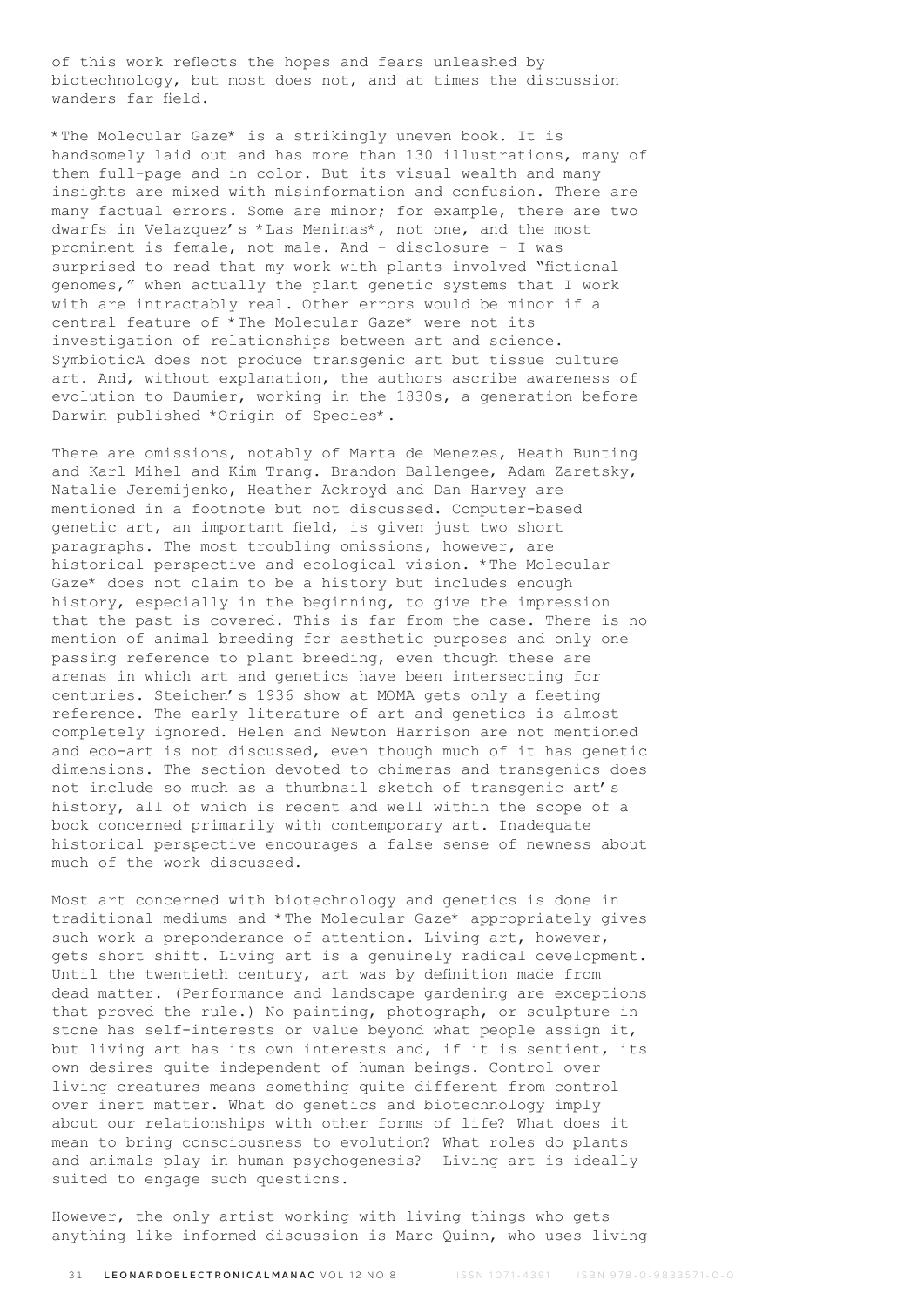of this work reflects the hopes and fears unleashed by biotechnology, but most does not, and at times the discussion wanders far field.

\*The Molecular Gaze\* is a strikingly uneven book. It is handsomely laid out and has more than 130 illustrations, many of them full-page and in color. But its visual wealth and many insights are mixed with misinformation and confusion. There are many factual errors. Some are minor; for example, there are two dwarfs in Velazquez's \*Las Meninas\*, not one, and the most prominent is female, not male. And - disclosure - I was surprised to read that my work with plants involved "fictional genomes," when actually the plant genetic systems that I work with are intractably real. Other errors would be minor if a central feature of \*The Molecular Gaze\* were not its investigation of relationships between art and science. SymbioticA does not produce transgenic art but tissue culture art. And, without explanation, the authors ascribe awareness of evolution to Daumier, working in the 1830s, a generation before Darwin published \*Origin of Species\*.

There are omissions, notably of Marta de Menezes, Heath Bunting and Karl Mihel and Kim Trang. Brandon Ballengee, Adam Zaretsky, Natalie Jeremijenko, Heather Ackroyd and Dan Harvey are mentioned in a footnote but not discussed. Computer-based genetic art, an important field, is given just two short paragraphs. The most troubling omissions, however, are historical perspective and ecological vision. \*The Molecular Gaze\* does not claim to be a history but includes enough history, especially in the beginning, to give the impression that the past is covered. This is far from the case. There is no mention of animal breeding for aesthetic purposes and only one passing reference to plant breeding, even though these are arenas in which art and genetics have been intersecting for centuries. Steichen's 1936 show at MOMA gets only a fleeting reference. The early literature of art and genetics is almost completely ignored. Helen and Newton Harrison are not mentioned and eco-art is not discussed, even though much of it has genetic dimensions. The section devoted to chimeras and transgenics does not include so much as a thumbnail sketch of transgenic art's history, all of which is recent and well within the scope of a book concerned primarily with contemporary art. Inadequate historical perspective encourages a false sense of newness about much of the work discussed.

Most art concerned with biotechnology and genetics is done in traditional mediums and \*The Molecular Gaze\* appropriately gives such work a preponderance of attention. Living art, however, gets short shift. Living art is a genuinely radical development. Until the twentieth century, art was by definition made from dead matter. (Performance and landscape gardening are exceptions that proved the rule.) No painting, photograph, or sculpture in stone has self-interests or value beyond what people assign it, but living art has its own interests and, if it is sentient, its own desires quite independent of human beings. Control over living creatures means something quite different from control over inert matter. What do genetics and biotechnology imply about our relationships with other forms of life? What does it mean to bring consciousness to evolution? What roles do plants and animals play in human psychogenesis? Living art is ideally suited to engage such questions.

However, the only artist working with living things who gets anything like informed discussion is Marc Quinn, who uses living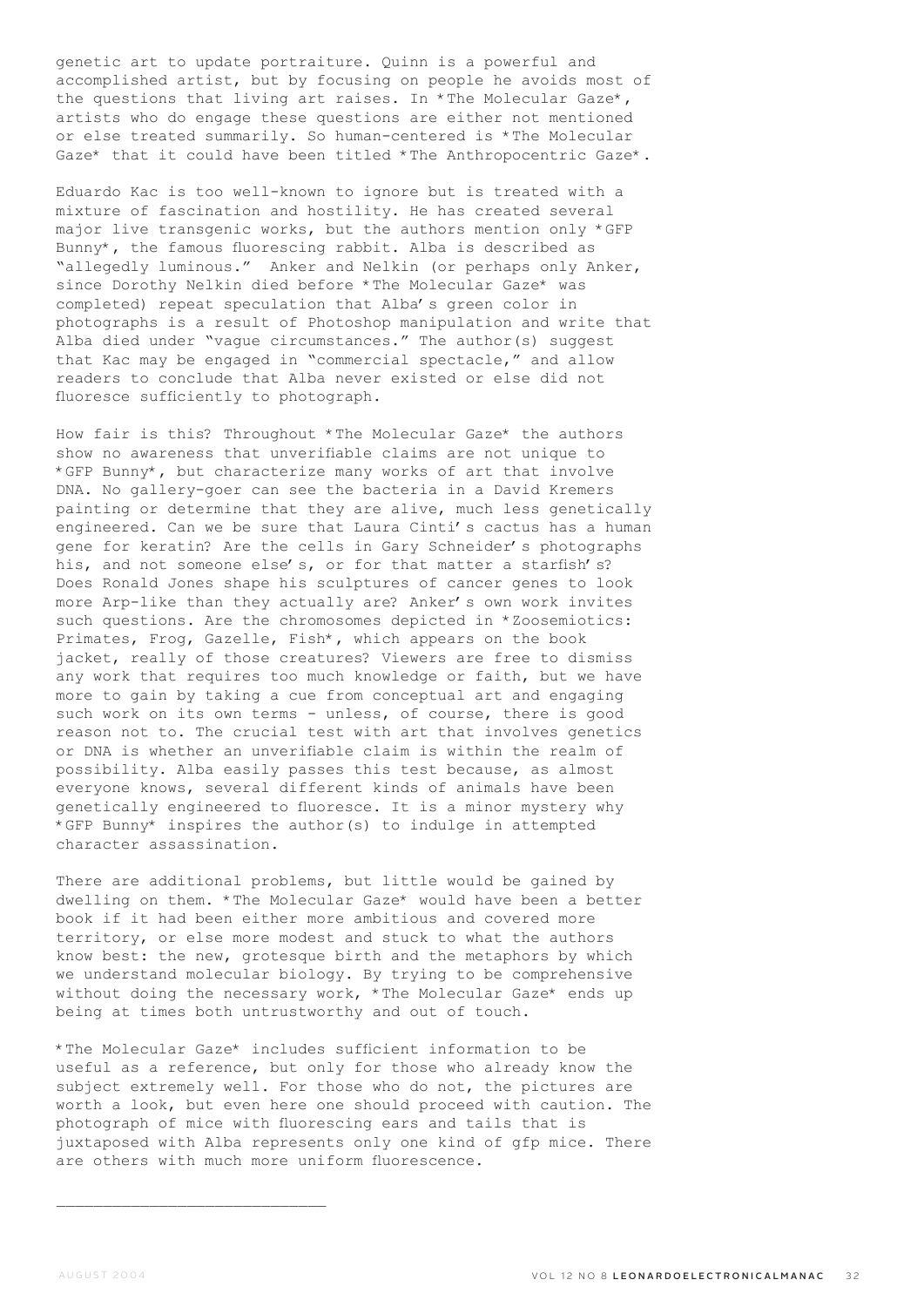genetic art to update portraiture. Quinn is a powerful and accomplished artist, but by focusing on people he avoids most of the questions that living art raises. In \*The Molecular Gaze\*, artists who do engage these questions are either not mentioned or else treated summarily. So human-centered is \*The Molecular Gaze\* that it could have been titled \*The Anthropocentric Gaze\*.

Eduardo Kac is too well-known to ignore but is treated with a mixture of fascination and hostility. He has created several major live transgenic works, but the authors mention only \*GFP Bunny\*, the famous fluorescing rabbit. Alba is described as "allegedly luminous." Anker and Nelkin (or perhaps only Anker, since Dorothy Nelkin died before \*The Molecular Gaze\* was completed) repeat speculation that Alba's green color in photographs is a result of Photoshop manipulation and write that Alba died under "vague circumstances." The author(s) suggest that Kac may be engaged in "commercial spectacle," and allow readers to conclude that Alba never existed or else did not fluoresce sufficiently to photograph.

How fair is this? Throughout \*The Molecular Gaze\* the authors show no awareness that unverifiable claims are not unique to \*GFP Bunny\*, but characterize many works of art that involve DNA. No gallery-goer can see the bacteria in a David Kremers painting or determine that they are alive, much less genetically engineered. Can we be sure that Laura Cinti's cactus has a human gene for keratin? Are the cells in Gary Schneider's photographs his, and not someone else's, or for that matter a starfish's? Does Ronald Jones shape his sculptures of cancer genes to look more Arp-like than they actually are? Anker's own work invites such questions. Are the chromosomes depicted in \*Zoosemiotics: Primates, Frog, Gazelle, Fish\*, which appears on the book jacket, really of those creatures? Viewers are free to dismiss any work that requires too much knowledge or faith, but we have more to gain by taking a cue from conceptual art and engaging such work on its own terms - unless, of course, there is good reason not to. The crucial test with art that involves genetics or DNA is whether an unverifiable claim is within the realm of possibility. Alba easily passes this test because, as almost everyone knows, several different kinds of animals have been genetically engineered to fluoresce. It is a minor mystery why \*GFP Bunny\* inspires the author(s) to indulge in attempted character assassination.

There are additional problems, but little would be gained by dwelling on them. \*The Molecular Gaze\* would have been a better book if it had been either more ambitious and covered more territory, or else more modest and stuck to what the authors know best: the new, grotesque birth and the metaphors by which we understand molecular biology. By trying to be comprehensive without doing the necessary work, \*The Molecular Gaze\* ends up being at times both untrustworthy and out of touch.

\*The Molecular Gaze\* includes sufficient information to be useful as a reference, but only for those who already know the subject extremely well. For those who do not, the pictures are worth a look, but even here one should proceed with caution. The photograph of mice with fluorescing ears and tails that is juxtaposed with Alba represents only one kind of gfp mice. There are others with much more uniform fluorescence.

 $\mathcal{L}_\text{max}$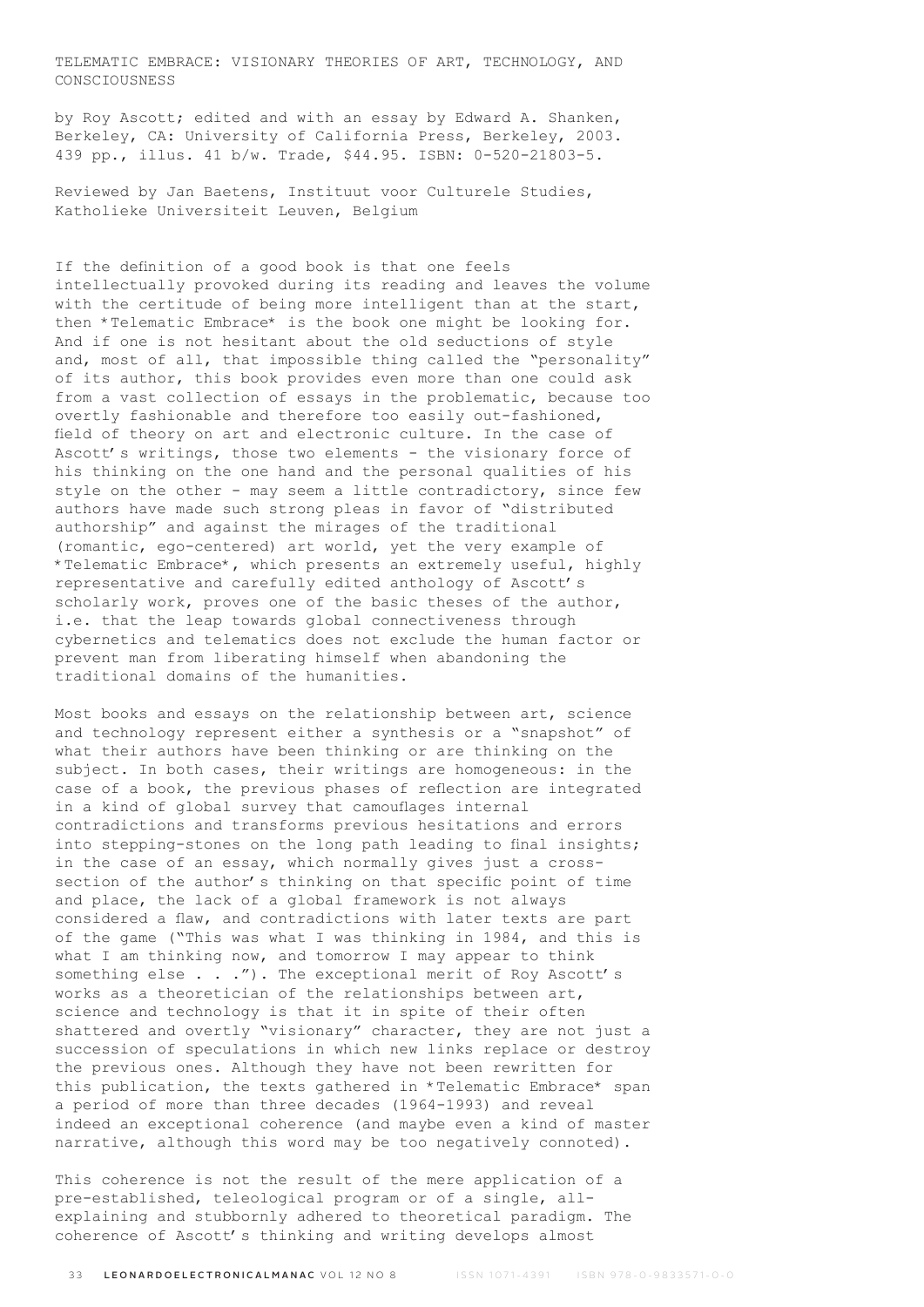TELEMATIC EMBRACE: VISIONARY THEORIES OF ART, TECHNOLOGY, AND CONSCIOUSNESS

by Roy Ascott; edited and with an essay by Edward A. Shanken, Berkeley, CA: University of California Press, Berkeley, 2003. 439 pp., illus. 41 b/w. Trade, \$44.95. ISBN: 0-520-21803-5.

Reviewed by Jan Baetens, Instituut voor Culturele Studies, Katholieke Universiteit Leuven, Belgium

If the definition of a good book is that one feels intellectually provoked during its reading and leaves the volume with the certitude of being more intelligent than at the start, then \*Telematic Embrace\* is the book one might be looking for. And if one is not hesitant about the old seductions of style and, most of all, that impossible thing called the "personality" of its author, this book provides even more than one could ask from a vast collection of essays in the problematic, because too overtly fashionable and therefore too easily out-fashioned, field of theory on art and electronic culture. In the case of Ascott's writings, those two elements - the visionary force of his thinking on the one hand and the personal qualities of his style on the other - may seem a little contradictory, since few authors have made such strong pleas in favor of "distributed authorship" and against the mirages of the traditional (romantic, ego-centered) art world, yet the very example of \*Telematic Embrace\*, which presents an extremely useful, highly representative and carefully edited anthology of Ascott's scholarly work, proves one of the basic theses of the author, i.e. that the leap towards global connectiveness through cybernetics and telematics does not exclude the human factor or prevent man from liberating himself when abandoning the traditional domains of the humanities.

Most books and essays on the relationship between art, science and technology represent either a synthesis or a "snapshot" of what their authors have been thinking or are thinking on the subject. In both cases, their writings are homogeneous: in the case of a book, the previous phases of reflection are integrated in a kind of global survey that camouflages internal contradictions and transforms previous hesitations and errors into stepping-stones on the long path leading to final insights; in the case of an essay, which normally gives just a crosssection of the author's thinking on that specific point of time and place, the lack of a global framework is not always considered a flaw, and contradictions with later texts are part of the game ("This was what I was thinking in 1984, and this is what I am thinking now, and tomorrow I may appear to think something else . . ."). The exceptional merit of Roy Ascott's works as a theoretician of the relationships between art, science and technology is that it in spite of their often shattered and overtly "visionary" character, they are not just a succession of speculations in which new links replace or destroy the previous ones. Although they have not been rewritten for this publication, the texts gathered in \*Telematic Embrace\* span a period of more than three decades (1964-1993) and reveal indeed an exceptional coherence (and maybe even a kind of master narrative, although this word may be too negatively connoted).

This coherence is not the result of the mere application of a pre-established, teleological program or of a single, allexplaining and stubbornly adhered to theoretical paradigm. The coherence of Ascott's thinking and writing develops almost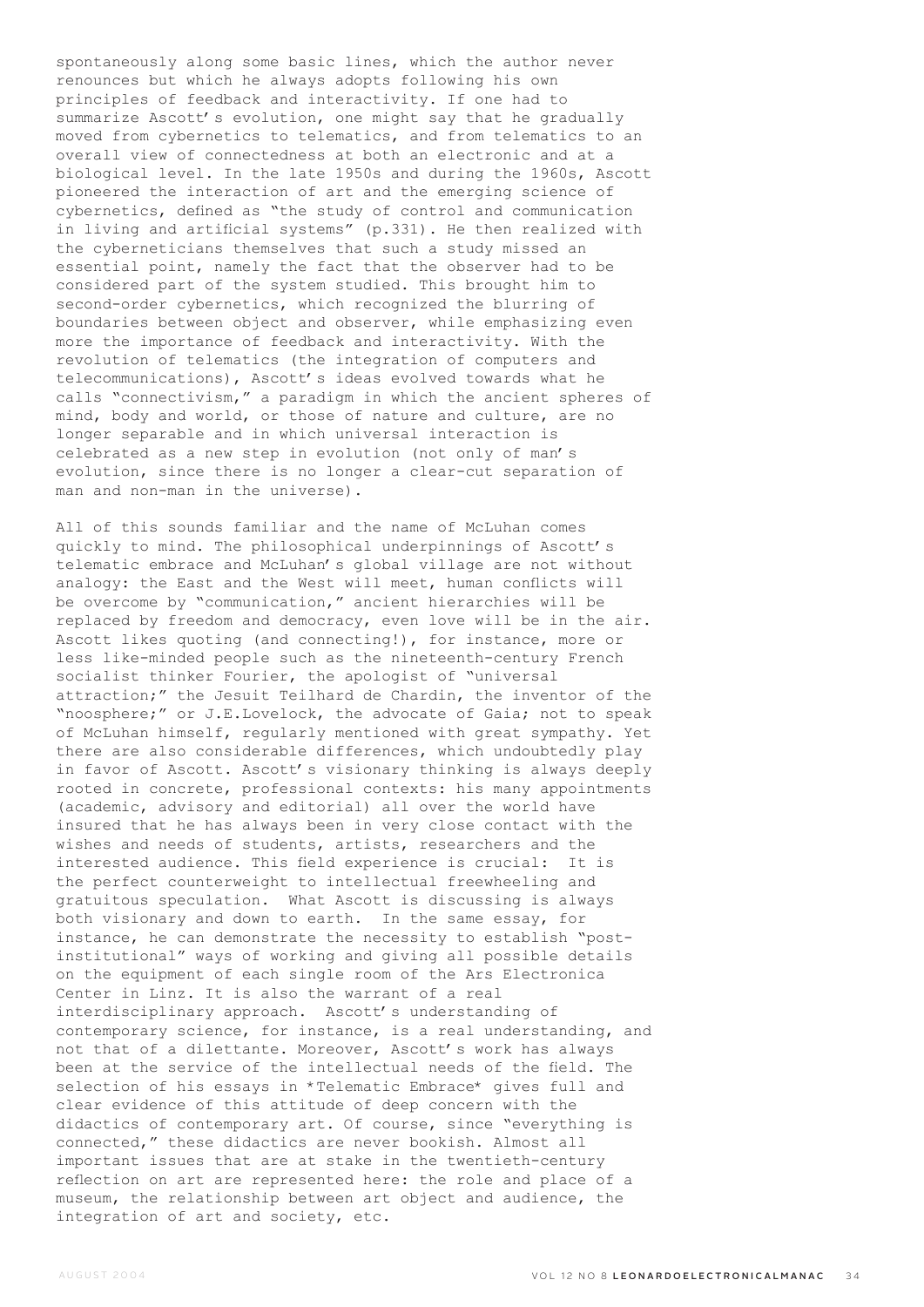spontaneously along some basic lines, which the author never renounces but which he always adopts following his own principles of feedback and interactivity. If one had to summarize Ascott's evolution, one might say that he gradually moved from cybernetics to telematics, and from telematics to an overall view of connectedness at both an electronic and at a biological level. In the late 1950s and during the 1960s, Ascott pioneered the interaction of art and the emerging science of cybernetics, defined as "the study of control and communication in living and artificial systems" (p.331). He then realized with the cyberneticians themselves that such a study missed an essential point, namely the fact that the observer had to be considered part of the system studied. This brought him to second-order cybernetics, which recognized the blurring of boundaries between object and observer, while emphasizing even more the importance of feedback and interactivity. With the revolution of telematics (the integration of computers and telecommunications), Ascott's ideas evolved towards what he calls "connectivism," a paradigm in which the ancient spheres of mind, body and world, or those of nature and culture, are no longer separable and in which universal interaction is celebrated as a new step in evolution (not only of man's evolution, since there is no longer a clear-cut separation of man and non-man in the universe).

All of this sounds familiar and the name of McLuhan comes quickly to mind. The philosophical underpinnings of Ascott's telematic embrace and McLuhan's global village are not without analogy: the East and the West will meet, human conflicts will be overcome by "communication," ancient hierarchies will be replaced by freedom and democracy, even love will be in the air. Ascott likes quoting (and connecting!), for instance, more or less like-minded people such as the nineteenth-century French socialist thinker Fourier, the apologist of "universal attraction;" the Jesuit Teilhard de Chardin, the inventor of the "noosphere;" or J.E.Lovelock, the advocate of Gaia; not to speak of McLuhan himself, regularly mentioned with great sympathy. Yet there are also considerable differences, which undoubtedly play in favor of Ascott. Ascott's visionary thinking is always deeply rooted in concrete, professional contexts: his many appointments (academic, advisory and editorial) all over the world have insured that he has always been in very close contact with the wishes and needs of students, artists, researchers and the interested audience. This field experience is crucial: It is the perfect counterweight to intellectual freewheeling and gratuitous speculation. What Ascott is discussing is always both visionary and down to earth. In the same essay, for instance, he can demonstrate the necessity to establish "postinstitutional" ways of working and giving all possible details on the equipment of each single room of the Ars Electronica Center in Linz. It is also the warrant of a real interdisciplinary approach. Ascott's understanding of contemporary science, for instance, is a real understanding, and not that of a dilettante. Moreover, Ascott's work has always been at the service of the intellectual needs of the field. The selection of his essays in \*Telematic Embrace\* gives full and clear evidence of this attitude of deep concern with the didactics of contemporary art. Of course, since "everything is connected," these didactics are never bookish. Almost all important issues that are at stake in the twentieth-century reflection on art are represented here: the role and place of a museum, the relationship between art object and audience, the integration of art and society, etc.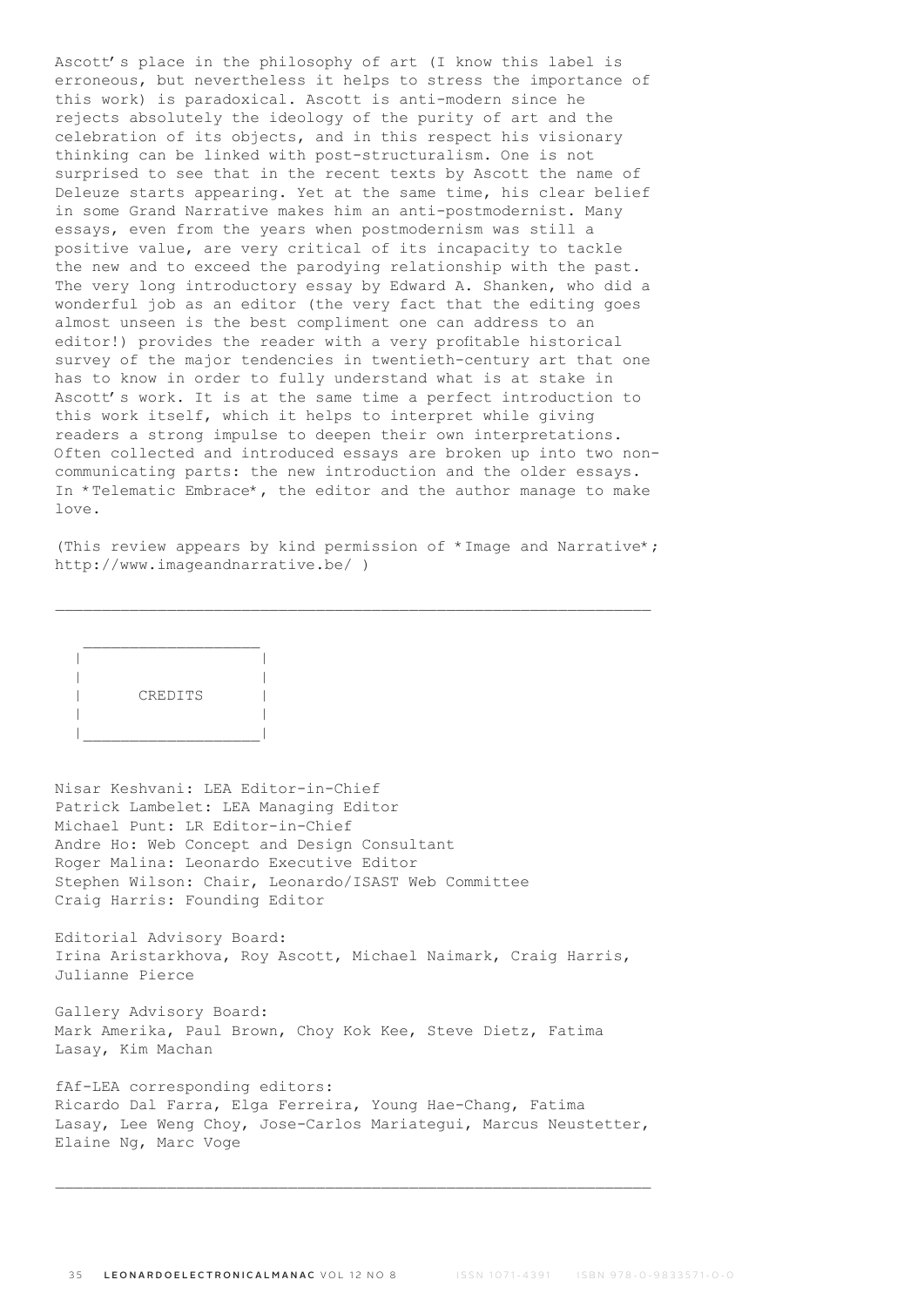Ascott's place in the philosophy of art (I know this label is erroneous, but nevertheless it helps to stress the importance of this work) is paradoxical. Ascott is anti-modern since he rejects absolutely the ideology of the purity of art and the celebration of its objects, and in this respect his visionary thinking can be linked with post-structuralism. One is not surprised to see that in the recent texts by Ascott the name of Deleuze starts appearing. Yet at the same time, his clear belief in some Grand Narrative makes him an anti-postmodernist. Many essays, even from the years when postmodernism was still a positive value, are very critical of its incapacity to tackle the new and to exceed the parodying relationship with the past. The very long introductory essay by Edward A. Shanken, who did a wonderful job as an editor (the very fact that the editing goes almost unseen is the best compliment one can address to an editor!) provides the reader with a very profitable historical survey of the major tendencies in twentieth-century art that one has to know in order to fully understand what is at stake in Ascott's work. It is at the same time a perfect introduction to this work itself, which it helps to interpret while giving readers a strong impulse to deepen their own interpretations. Often collected and introduced essays are broken up into two noncommunicating parts: the new introduction and the older essays. In \*Telematic Embrace\*, the editor and the author manage to make love.

(This review appears by kind permission of \*Image and Narrative\*; http://www.imageandnarrative.be/ )

\_\_\_\_\_\_\_\_\_\_\_\_\_\_\_\_\_\_\_\_\_\_\_\_\_\_\_\_\_\_\_\_\_\_\_\_\_\_\_\_\_\_\_\_\_\_\_\_\_\_\_\_\_\_\_\_\_\_\_\_\_\_\_\_

 $\mathcal{L}=\frac{1}{2}$  , where  $\mathcal{L}=\frac{1}{2}$  , where  $\mathcal{L}=\frac{1}{2}$  | | | | | CREDITS | | | |\_\_\_\_\_\_\_\_\_\_\_\_\_\_\_\_\_\_\_|

Nisar Keshvani: LEA Editor-in-Chief Patrick Lambelet: LEA Managing Editor Michael Punt: LR Editor-in-Chief Andre Ho: Web Concept and Design Consultant Roger Malina: Leonardo Executive Editor Stephen Wilson: Chair, Leonardo/ISAST Web Committee Craig Harris: Founding Editor

Editorial Advisory Board: Irina Aristarkhova, Roy Ascott, Michael Naimark, Craig Harris, Julianne Pierce

Gallery Advisory Board: Mark Amerika, Paul Brown, Choy Kok Kee, Steve Dietz, Fatima Lasay, Kim Machan

fAf-LEA corresponding editors: Ricardo Dal Farra, Elga Ferreira, Young Hae-Chang, Fatima Lasay, Lee Weng Choy, Jose-Carlos Mariategui, Marcus Neustetter, Elaine Ng, Marc Voge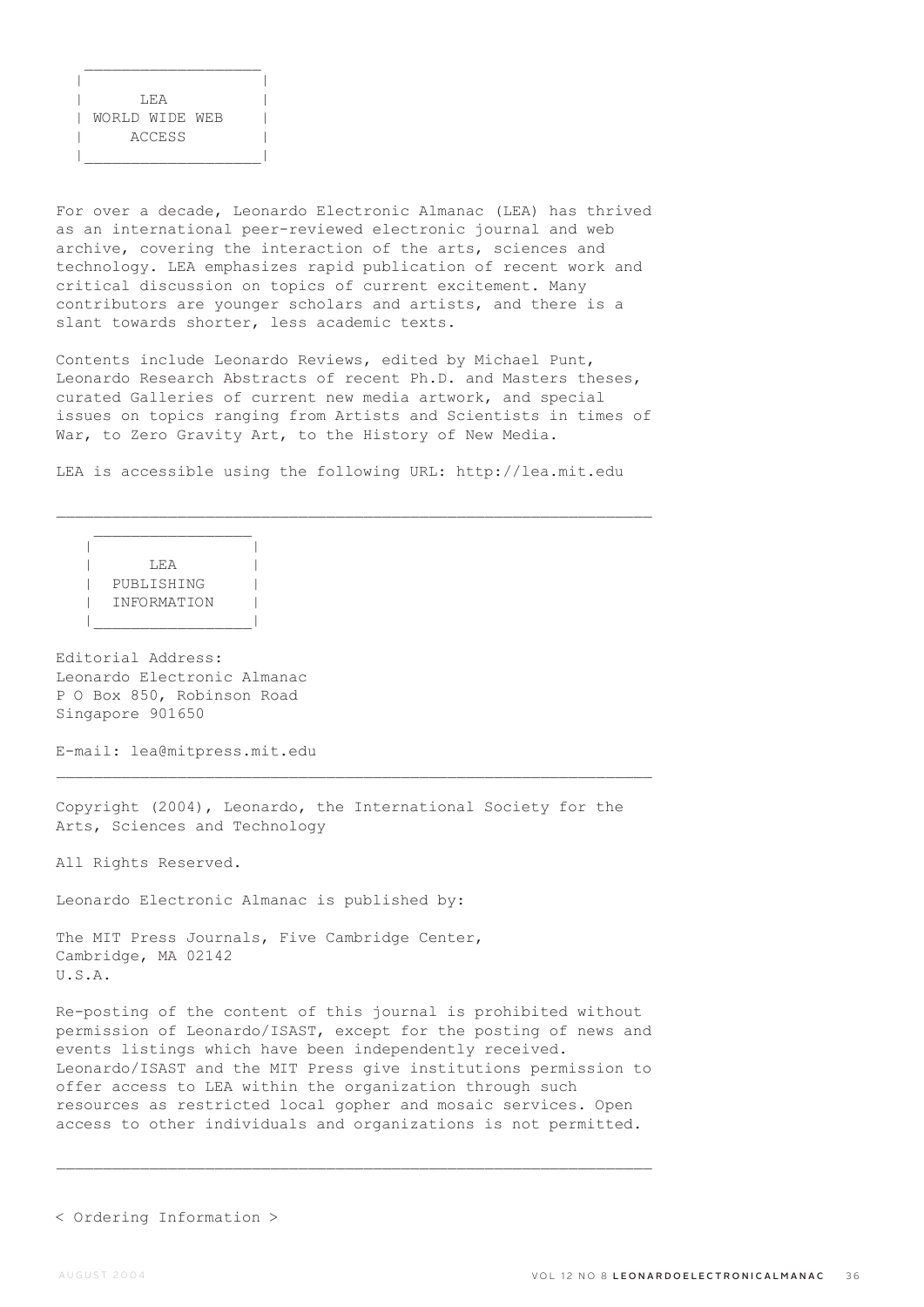| |  $T.F. A$  | WORLD WIDE WEB | | ACCESS | |\_\_\_\_\_\_\_\_\_\_\_\_\_\_\_\_\_\_\_|

 $\mathcal{L}_\text{max}$ 

For over a decade, Leonardo Electronic Almanac (LEA) has thrived as an international peer-reviewed electronic journal and web archive, covering the interaction of the arts, sciences and technology. LEA emphasizes rapid publication of recent work and critical discussion on topics of current excitement. Many contributors are younger scholars and artists, and there is a slant towards shorter, less academic texts.

Contents include Leonardo Reviews, edited by Michael Punt, Leonardo Research Abstracts of recent Ph.D. and Masters theses, curated Galleries of current new media artwork, and special issues on topics ranging from Artists and Scientists in times of War, to Zero Gravity Art, to the History of New Media.

LEA is accessible using the following URL: http://lea.mit.edu

 $\mathcal{L}_\text{max}$ 

 | | | LEA | | PUBLISHING | | INFORMATION | |\_\_\_\_\_\_\_\_\_\_\_\_\_\_\_\_\_|

 $\mathcal{L}_\text{max}$ 

Editorial Address: Leonardo Electronic Almanac P O Box 850, Robinson Road Singapore 901650

E-mail: lea@mitpress.mit.edu

Copyright (2004), Leonardo, the International Society for the Arts, Sciences and Technology

All Rights Reserved.

Leonardo Electronic Almanac is published by:

The MIT Press Journals, Five Cambridge Center, Cambridge, MA 02142 U.S.A.

Re-posting of the content of this journal is prohibited without permission of Leonardo/ISAST, except for the posting of news and events listings which have been independently received. Leonardo/ISAST and the MIT Press give institutions permission to offer access to LEA within the organization through such resources as restricted local gopher and mosaic services. Open access to other individuals and organizations is not permitted.

< Ordering Information >